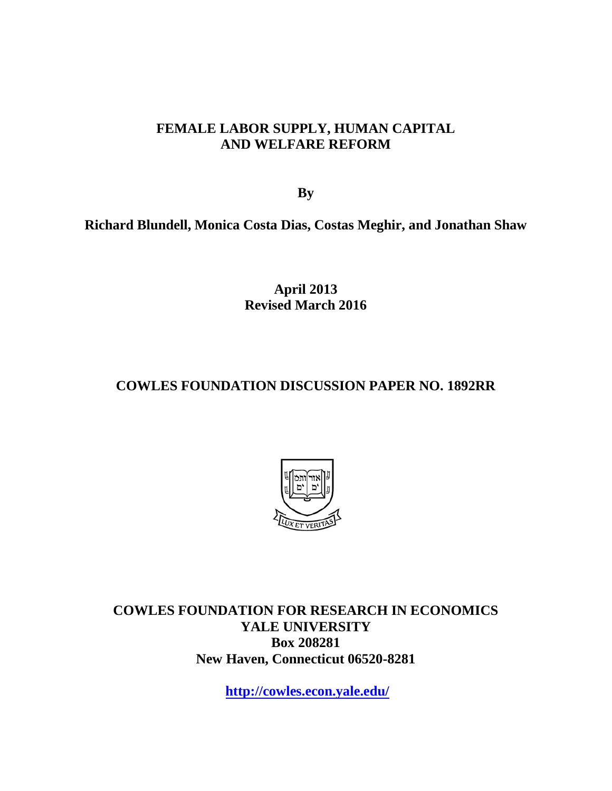### **FEMALE LABOR SUPPLY, HUMAN CAPITAL AND WELFARE REFORM**

**By**

### **Richard Blundell, Monica Costa Dias, Costas Meghir, and Jonathan Shaw**

**April 2013 Revised March 2016**

### **COWLES FOUNDATION DISCUSSION PAPER NO. 1892RR**



**COWLES FOUNDATION FOR RESEARCH IN ECONOMICS YALE UNIVERSITY Box 208281 New Haven, Connecticut 06520-8281**

**<http://cowles.econ.yale.edu/>**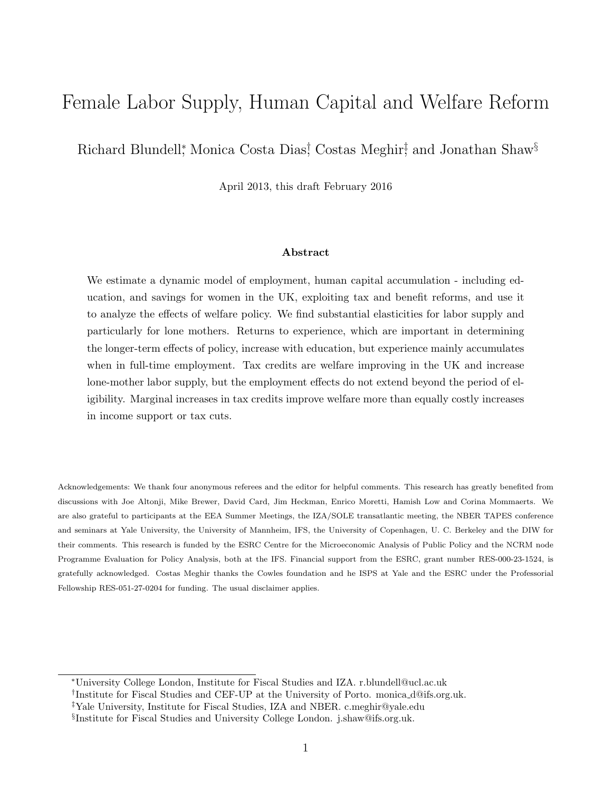# Female Labor Supply, Human Capital and Welfare Reform

Richard Blundell<sup>\*</sup>, Monica Costa Dias<sup>†</sup>, Costas Meghir<sup>‡</sup> and Jonathan Shaw<sup>§</sup>

April 2013, this draft February 2016

#### Abstract

We estimate a dynamic model of employment, human capital accumulation - including education, and savings for women in the UK, exploiting tax and benefit reforms, and use it to analyze the effects of welfare policy. We find substantial elasticities for labor supply and particularly for lone mothers. Returns to experience, which are important in determining the longer-term effects of policy, increase with education, but experience mainly accumulates when in full-time employment. Tax credits are welfare improving in the UK and increase lone-mother labor supply, but the employment effects do not extend beyond the period of eligibility. Marginal increases in tax credits improve welfare more than equally costly increases in income support or tax cuts.

Acknowledgements: We thank four anonymous referees and the editor for helpful comments. This research has greatly benefited from discussions with Joe Altonji, Mike Brewer, David Card, Jim Heckman, Enrico Moretti, Hamish Low and Corina Mommaerts. We are also grateful to participants at the EEA Summer Meetings, the IZA/SOLE transatlantic meeting, the NBER TAPES conference and seminars at Yale University, the University of Mannheim, IFS, the University of Copenhagen, U. C. Berkeley and the DIW for their comments. This research is funded by the ESRC Centre for the Microeconomic Analysis of Public Policy and the NCRM node Programme Evaluation for Policy Analysis, both at the IFS. Financial support from the ESRC, grant number RES-000-23-1524, is gratefully acknowledged. Costas Meghir thanks the Cowles foundation and he ISPS at Yale and the ESRC under the Professorial Fellowship RES-051-27-0204 for funding. The usual disclaimer applies.

<sup>∗</sup>University College London, Institute for Fiscal Studies and IZA. r.blundell@ucl.ac.uk

<sup>†</sup> Institute for Fiscal Studies and CEF-UP at the University of Porto. monica d@ifs.org.uk.

<sup>‡</sup>Yale University, Institute for Fiscal Studies, IZA and NBER. c.meghir@yale.edu

<sup>§</sup> Institute for Fiscal Studies and University College London. j.shaw@ifs.org.uk.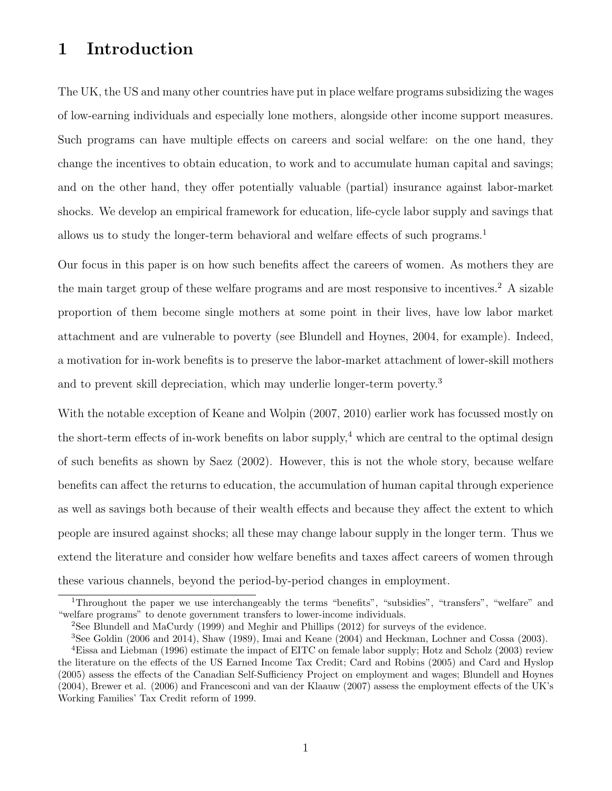# 1 Introduction

The UK, the US and many other countries have put in place welfare programs subsidizing the wages of low-earning individuals and especially lone mothers, alongside other income support measures. Such programs can have multiple effects on careers and social welfare: on the one hand, they change the incentives to obtain education, to work and to accumulate human capital and savings; and on the other hand, they offer potentially valuable (partial) insurance against labor-market shocks. We develop an empirical framework for education, life-cycle labor supply and savings that allows us to study the longer-term behavioral and welfare effects of such programs.<sup>1</sup>

Our focus in this paper is on how such benefits affect the careers of women. As mothers they are the main target group of these welfare programs and are most responsive to incentives.<sup>2</sup> A sizable proportion of them become single mothers at some point in their lives, have low labor market attachment and are vulnerable to poverty (see Blundell and Hoynes, 2004, for example). Indeed, a motivation for in-work benefits is to preserve the labor-market attachment of lower-skill mothers and to prevent skill depreciation, which may underlie longer-term poverty.<sup>3</sup>

With the notable exception of Keane and Wolpin (2007, 2010) earlier work has focussed mostly on the short-term effects of in-work benefits on labor supply,<sup>4</sup> which are central to the optimal design of such benefits as shown by Saez (2002). However, this is not the whole story, because welfare benefits can affect the returns to education, the accumulation of human capital through experience as well as savings both because of their wealth effects and because they affect the extent to which people are insured against shocks; all these may change labour supply in the longer term. Thus we extend the literature and consider how welfare benefits and taxes affect careers of women through these various channels, beyond the period-by-period changes in employment.

<sup>1</sup>Throughout the paper we use interchangeably the terms "benefits", "subsidies", "transfers", "welfare" and "welfare programs" to denote government transfers to lower-income individuals.

<sup>2</sup>See Blundell and MaCurdy (1999) and Meghir and Phillips (2012) for surveys of the evidence.

<sup>3</sup>See Goldin (2006 and 2014), Shaw (1989), Imai and Keane (2004) and Heckman, Lochner and Cossa (2003).

<sup>&</sup>lt;sup>4</sup>Eissa and Liebman (1996) estimate the impact of EITC on female labor supply; Hotz and Scholz (2003) review the literature on the effects of the US Earned Income Tax Credit; Card and Robins (2005) and Card and Hyslop (2005) assess the effects of the Canadian Self-Sufficiency Project on employment and wages; Blundell and Hoynes (2004), Brewer et al. (2006) and Francesconi and van der Klaauw (2007) assess the employment effects of the UK's Working Families' Tax Credit reform of 1999.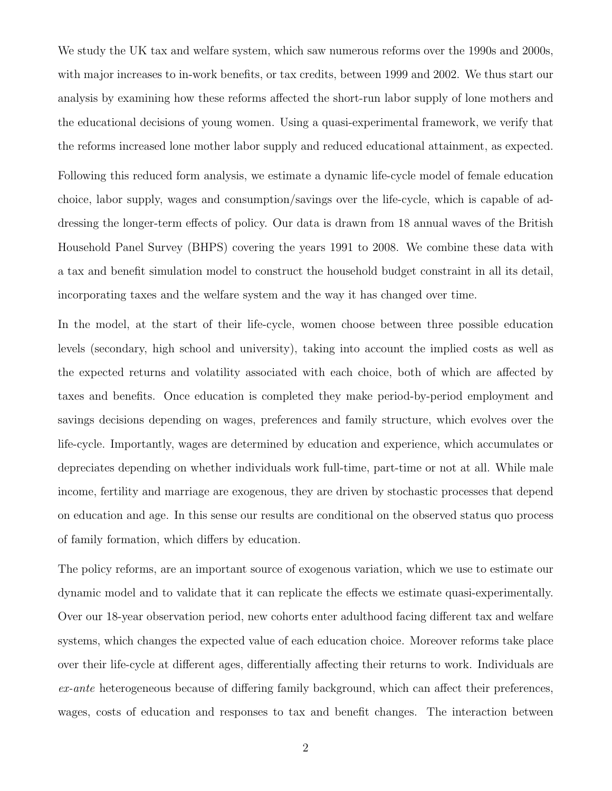We study the UK tax and welfare system, which saw numerous reforms over the 1990s and 2000s, with major increases to in-work benefits, or tax credits, between 1999 and 2002. We thus start our analysis by examining how these reforms affected the short-run labor supply of lone mothers and the educational decisions of young women. Using a quasi-experimental framework, we verify that the reforms increased lone mother labor supply and reduced educational attainment, as expected. Following this reduced form analysis, we estimate a dynamic life-cycle model of female education choice, labor supply, wages and consumption/savings over the life-cycle, which is capable of addressing the longer-term effects of policy. Our data is drawn from 18 annual waves of the British Household Panel Survey (BHPS) covering the years 1991 to 2008. We combine these data with a tax and benefit simulation model to construct the household budget constraint in all its detail, incorporating taxes and the welfare system and the way it has changed over time.

In the model, at the start of their life-cycle, women choose between three possible education levels (secondary, high school and university), taking into account the implied costs as well as the expected returns and volatility associated with each choice, both of which are affected by taxes and benefits. Once education is completed they make period-by-period employment and savings decisions depending on wages, preferences and family structure, which evolves over the life-cycle. Importantly, wages are determined by education and experience, which accumulates or depreciates depending on whether individuals work full-time, part-time or not at all. While male income, fertility and marriage are exogenous, they are driven by stochastic processes that depend on education and age. In this sense our results are conditional on the observed status quo process of family formation, which differs by education.

The policy reforms, are an important source of exogenous variation, which we use to estimate our dynamic model and to validate that it can replicate the effects we estimate quasi-experimentally. Over our 18-year observation period, new cohorts enter adulthood facing different tax and welfare systems, which changes the expected value of each education choice. Moreover reforms take place over their life-cycle at different ages, differentially affecting their returns to work. Individuals are  $ex$ -ante heterogeneous because of differing family background, which can affect their preferences, wages, costs of education and responses to tax and benefit changes. The interaction between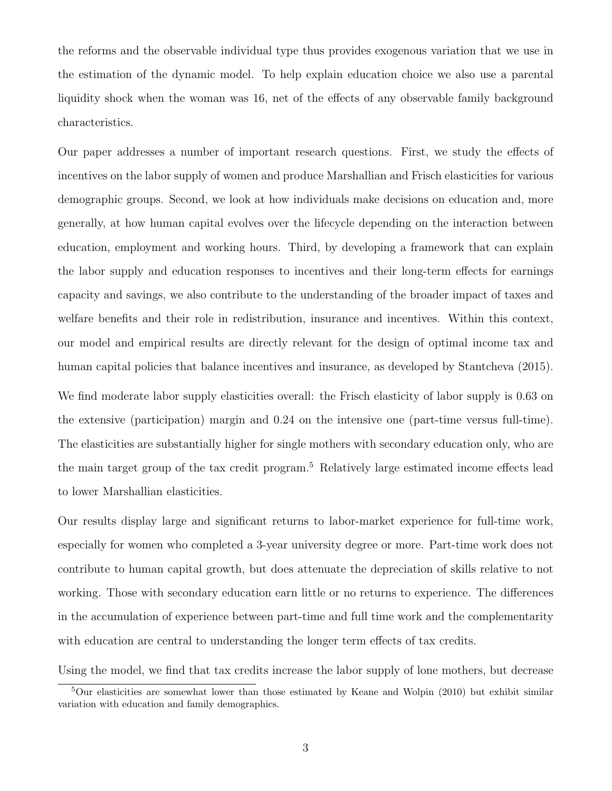the reforms and the observable individual type thus provides exogenous variation that we use in the estimation of the dynamic model. To help explain education choice we also use a parental liquidity shock when the woman was 16, net of the effects of any observable family background characteristics.

Our paper addresses a number of important research questions. First, we study the effects of incentives on the labor supply of women and produce Marshallian and Frisch elasticities for various demographic groups. Second, we look at how individuals make decisions on education and, more generally, at how human capital evolves over the lifecycle depending on the interaction between education, employment and working hours. Third, by developing a framework that can explain the labor supply and education responses to incentives and their long-term effects for earnings capacity and savings, we also contribute to the understanding of the broader impact of taxes and welfare benefits and their role in redistribution, insurance and incentives. Within this context, our model and empirical results are directly relevant for the design of optimal income tax and human capital policies that balance incentives and insurance, as developed by Stantcheva (2015).

We find moderate labor supply elasticities overall: the Frisch elasticity of labor supply is 0.63 on the extensive (participation) margin and 0.24 on the intensive one (part-time versus full-time). The elasticities are substantially higher for single mothers with secondary education only, who are the main target group of the tax credit program.<sup>5</sup> Relatively large estimated income effects lead to lower Marshallian elasticities.

Our results display large and significant returns to labor-market experience for full-time work, especially for women who completed a 3-year university degree or more. Part-time work does not contribute to human capital growth, but does attenuate the depreciation of skills relative to not working. Those with secondary education earn little or no returns to experience. The differences in the accumulation of experience between part-time and full time work and the complementarity with education are central to understanding the longer term effects of tax credits.

Using the model, we find that tax credits increase the labor supply of lone mothers, but decrease

 $5$ Our elasticities are somewhat lower than those estimated by Keane and Wolpin (2010) but exhibit similar variation with education and family demographics.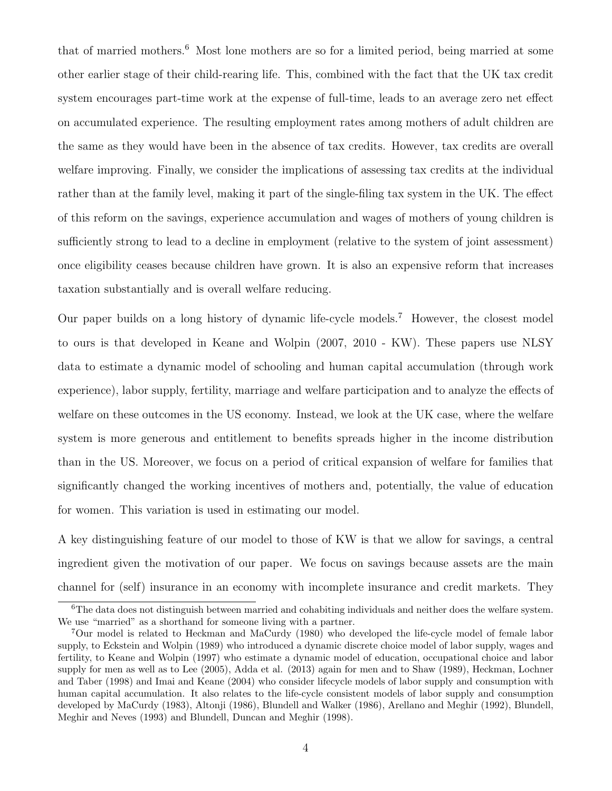that of married mothers.<sup>6</sup> Most lone mothers are so for a limited period, being married at some other earlier stage of their child-rearing life. This, combined with the fact that the UK tax credit system encourages part-time work at the expense of full-time, leads to an average zero net effect on accumulated experience. The resulting employment rates among mothers of adult children are the same as they would have been in the absence of tax credits. However, tax credits are overall welfare improving. Finally, we consider the implications of assessing tax credits at the individual rather than at the family level, making it part of the single-filing tax system in the UK. The effect of this reform on the savings, experience accumulation and wages of mothers of young children is sufficiently strong to lead to a decline in employment (relative to the system of joint assessment) once eligibility ceases because children have grown. It is also an expensive reform that increases taxation substantially and is overall welfare reducing.

Our paper builds on a long history of dynamic life-cycle models.<sup>7</sup> However, the closest model to ours is that developed in Keane and Wolpin (2007, 2010 - KW). These papers use NLSY data to estimate a dynamic model of schooling and human capital accumulation (through work experience), labor supply, fertility, marriage and welfare participation and to analyze the effects of welfare on these outcomes in the US economy. Instead, we look at the UK case, where the welfare system is more generous and entitlement to benefits spreads higher in the income distribution than in the US. Moreover, we focus on a period of critical expansion of welfare for families that significantly changed the working incentives of mothers and, potentially, the value of education for women. This variation is used in estimating our model.

A key distinguishing feature of our model to those of KW is that we allow for savings, a central ingredient given the motivation of our paper. We focus on savings because assets are the main channel for (self) insurance in an economy with incomplete insurance and credit markets. They

<sup>6</sup>The data does not distinguish between married and cohabiting individuals and neither does the welfare system. We use "married" as a shorthand for someone living with a partner.

<sup>7</sup>Our model is related to Heckman and MaCurdy (1980) who developed the life-cycle model of female labor supply, to Eckstein and Wolpin (1989) who introduced a dynamic discrete choice model of labor supply, wages and fertility, to Keane and Wolpin (1997) who estimate a dynamic model of education, occupational choice and labor supply for men as well as to Lee (2005), Adda et al. (2013) again for men and to Shaw (1989), Heckman, Lochner and Taber (1998) and Imai and Keane (2004) who consider lifecycle models of labor supply and consumption with human capital accumulation. It also relates to the life-cycle consistent models of labor supply and consumption developed by MaCurdy (1983), Altonji (1986), Blundell and Walker (1986), Arellano and Meghir (1992), Blundell, Meghir and Neves (1993) and Blundell, Duncan and Meghir (1998).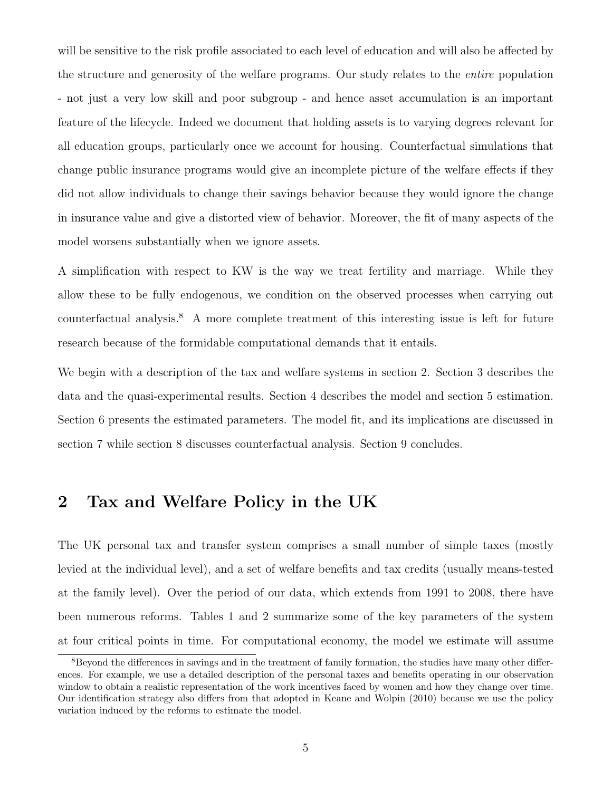will be sensitive to the risk profile associated to each level of education and will also be affected by the structure and generosity of the welfare programs. Our study relates to the entire population - not just a very low skill and poor subgroup - and hence asset accumulation is an important feature of the lifecycle. Indeed we document that holding assets is to varying degrees relevant for all education groups, particularly once we account for housing. Counterfactual simulations that change public insurance programs would give an incomplete picture of the welfare effects if they did not allow individuals to change their savings behavior because they would ignore the change in insurance value and give a distorted view of behavior. Moreover, the fit of many aspects of the model worsens substantially when we ignore assets.

A simplification with respect to KW is the way we treat fertility and marriage. While they allow these to be fully endogenous, we condition on the observed processes when carrying out counterfactual analysis.<sup>8</sup> A more complete treatment of this interesting issue is left for future research because of the formidable computational demands that it entails.

We begin with a description of the tax and welfare systems in section 2. Section 3 describes the data and the quasi-experimental results. Section 4 describes the model and section 5 estimation. Section 6 presents the estimated parameters. The model fit, and its implications are discussed in section 7 while section 8 discusses counterfactual analysis. Section 9 concludes.

### 2 Tax and Welfare Policy in the UK

The UK personal tax and transfer system comprises a small number of simple taxes (mostly levied at the individual level), and a set of welfare benefits and tax credits (usually means-tested at the family level). Over the period of our data, which extends from 1991 to 2008, there have been numerous reforms. Tables 1 and 2 summarize some of the key parameters of the system at four critical points in time. For computational economy, the model we estimate will assume

<sup>&</sup>lt;sup>8</sup>Beyond the differences in savings and in the treatment of family formation, the studies have many other differences. For example, we use a detailed description of the personal taxes and benefits operating in our observation window to obtain a realistic representation of the work incentives faced by women and how they change over time. Our identification strategy also differs from that adopted in Keane and Wolpin (2010) because we use the policy variation induced by the reforms to estimate the model.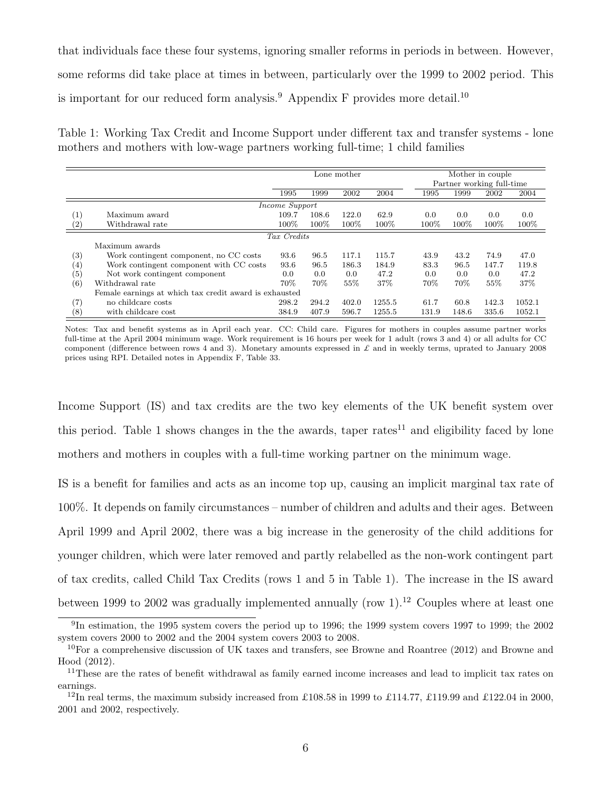that individuals face these four systems, ignoring smaller reforms in periods in between. However, some reforms did take place at times in between, particularly over the 1999 to 2002 period. This is important for our reduced form analysis.<sup>9</sup> Appendix F provides more detail.<sup>10</sup>

Table 1: Working Tax Credit and Income Support under different tax and transfer systems - lone mothers and mothers with low-wage partners working full-time; 1 child families

|                   |                                                        | Mother in couple<br>Lone mother |       |         |        |       |                           |       |        |  |
|-------------------|--------------------------------------------------------|---------------------------------|-------|---------|--------|-------|---------------------------|-------|--------|--|
|                   |                                                        |                                 |       |         |        |       | Partner working full-time |       |        |  |
|                   |                                                        | 1995                            | 1999  | 2002    | 2004   | 1995  | 1999                      | 2002  | 2004   |  |
|                   |                                                        | Income Support                  |       |         |        |       |                           |       |        |  |
| $\left( 1\right)$ | Maximum award                                          | 109.7                           | 108.6 | 122.0   | 62.9   | 0.0   | 0.0                       | 0.0   | 0.0    |  |
| (2)               | Withdrawal rate                                        | $100\%$                         | 100%  | $100\%$ | 100%   | 100%  | $100\%$                   | 100%  | 100%   |  |
|                   | Tax Credits                                            |                                 |       |         |        |       |                           |       |        |  |
|                   | Maximum awards                                         |                                 |       |         |        |       |                           |       |        |  |
| $^{\rm (3)}$      | Work contingent component, no CC costs                 | 93.6                            | 96.5  | 117.1   | 115.7  | 43.9  | 43.2                      | 74.9  | 47.0   |  |
| (4)               | Work contingent component with CC costs                | 93.6                            | 96.5  | 186.3   | 184.9  | 83.3  | 96.5                      | 147.7 | 119.8  |  |
| (5)               | Not work contingent component                          | 0.0                             | 0.0   | 0.0     | 47.2   | 0.0   | 0.0                       | 0.0   | 47.2   |  |
| (6)               | Withdrawal rate                                        | 70%                             | 70%   | 55%     | 37%    | 70%   | 70%                       | 55%   | 37%    |  |
|                   | Female earnings at which tax credit award is exhausted |                                 |       |         |        |       |                           |       |        |  |
| $\left( 7\right)$ | no childcare costs                                     | 298.2                           | 294.2 | 402.0   | 1255.5 | 61.7  | 60.8                      | 142.3 | 1052.1 |  |
| (8)               | with childcare cost                                    | 384.9                           | 407.9 | 596.7   | 1255.5 | 131.9 | 148.6                     | 335.6 | 1052.1 |  |

Notes: Tax and benefit systems as in April each year. CC: Child care. Figures for mothers in couples assume partner works full-time at the April 2004 minimum wage. Work requirement is 16 hours per week for 1 adult (rows 3 and 4) or all adults for CC component (difference between rows 4 and 3). Monetary amounts expressed in  $\mathcal L$  and in weekly terms, uprated to January 2008 prices using RPI. Detailed notes in Appendix F, Table 33.

Income Support (IS) and tax credits are the two key elements of the UK benefit system over this period. Table 1 shows changes in the the awards, taper rates $11$  and eligibility faced by lone mothers and mothers in couples with a full-time working partner on the minimum wage.

IS is a benefit for families and acts as an income top up, causing an implicit marginal tax rate of 100%. It depends on family circumstances – number of children and adults and their ages. Between April 1999 and April 2002, there was a big increase in the generosity of the child additions for younger children, which were later removed and partly relabelled as the non-work contingent part of tax credits, called Child Tax Credits (rows 1 and 5 in Table 1). The increase in the IS award between 1999 to 2002 was gradually implemented annually (row 1).<sup>12</sup> Couples where at least one

<sup>&</sup>lt;sup>9</sup>In estimation, the 1995 system covers the period up to 1996; the 1999 system covers 1997 to 1999; the 2002 system covers 2000 to 2002 and the 2004 system covers 2003 to 2008.

 $10$ For a comprehensive discussion of UK taxes and transfers, see Browne and Roantree (2012) and Browne and Hood (2012).

<sup>&</sup>lt;sup>11</sup>These are the rates of benefit withdrawal as family earned income increases and lead to implicit tax rates on earnings.

 $12$ In real terms, the maximum subsidy increased from £108.58 in 1999 to £114.77, £119.99 and £122.04 in 2000, 2001 and 2002, respectively.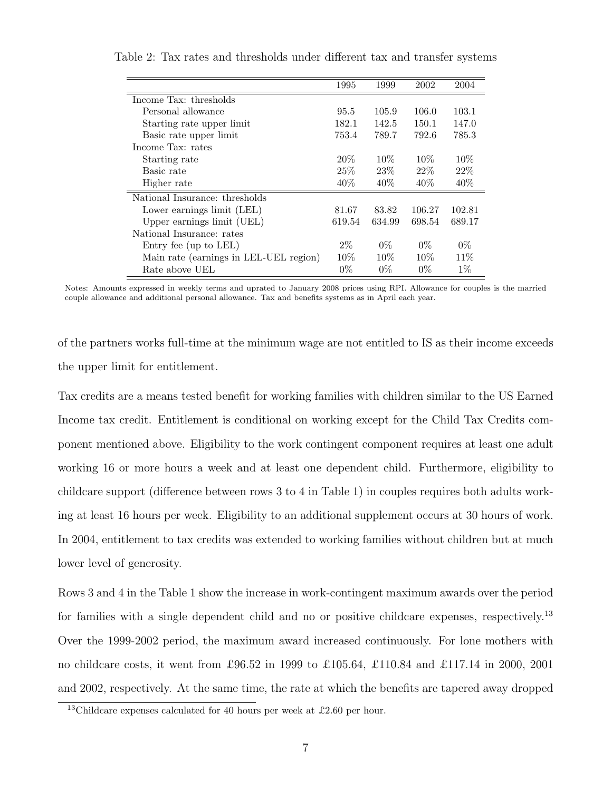|                                        | 1995   | 1999   | 2002   | 2004   |
|----------------------------------------|--------|--------|--------|--------|
| Income Tax: thresholds                 |        |        |        |        |
| Personal allowance                     | 95.5   | 105.9  | 106.0  | 103.1  |
| Starting rate upper limit              | 182.1  | 142.5  | 150.1  | 147.0  |
| Basic rate upper limit                 | 753.4  | 789.7  | 792.6  | 785.3  |
| Income Tax: rates                      |        |        |        |        |
| Starting rate                          | $20\%$ | $10\%$ | $10\%$ | $10\%$ |
| Basic rate                             | 25%    | 23\%   | $22\%$ | 22%    |
| Higher rate                            | 40\%   | 40\%   | 40\%   | 40%    |
| National Insurance: thresholds         |        |        |        |        |
| Lower earnings limit (LEL)             | 81.67  | 83.82  | 106.27 | 102.81 |
| Upper earnings limit (UEL)             | 619.54 | 634.99 | 698.54 | 689.17 |
| National Insurance: rates              |        |        |        |        |
| Entry fee (up to LEL)                  | $2\%$  | $0\%$  | $0\%$  | $0\%$  |
| Main rate (earnings in LEL-UEL region) | 10%    | $10\%$ | $10\%$ | 11\%   |
| Rate above UEL                         | $0\%$  | $0\%$  | $0\%$  | $1\%$  |

Table 2: Tax rates and thresholds under different tax and transfer systems

Notes: Amounts expressed in weekly terms and uprated to January 2008 prices using RPI. Allowance for couples is the married couple allowance and additional personal allowance. Tax and benefits systems as in April each year.

of the partners works full-time at the minimum wage are not entitled to IS as their income exceeds the upper limit for entitlement.

Tax credits are a means tested benefit for working families with children similar to the US Earned Income tax credit. Entitlement is conditional on working except for the Child Tax Credits component mentioned above. Eligibility to the work contingent component requires at least one adult working 16 or more hours a week and at least one dependent child. Furthermore, eligibility to childcare support (difference between rows 3 to 4 in Table 1) in couples requires both adults working at least 16 hours per week. Eligibility to an additional supplement occurs at 30 hours of work. In 2004, entitlement to tax credits was extended to working families without children but at much lower level of generosity.

Rows 3 and 4 in the Table 1 show the increase in work-contingent maximum awards over the period for families with a single dependent child and no or positive childcare expenses, respectively.<sup>13</sup> Over the 1999-2002 period, the maximum award increased continuously. For lone mothers with no childcare costs, it went from £96.52 in 1999 to £105.64, £110.84 and £117.14 in 2000, 2001 and 2002, respectively. At the same time, the rate at which the benefits are tapered away dropped

 $^{13}\mathrm{Childcare}$  expenses calculated for 40 hours per week at £2.60 per hour.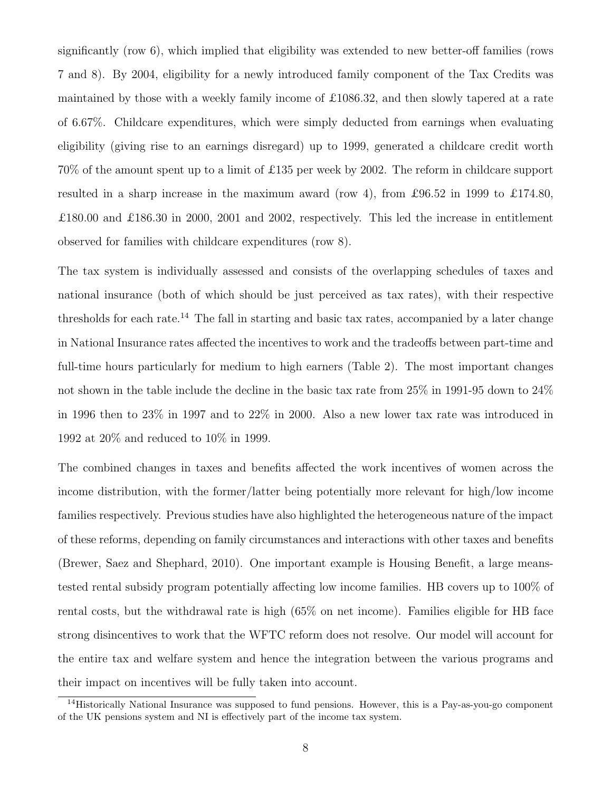significantly (row 6), which implied that eligibility was extended to new better-off families (rows 7 and 8). By 2004, eligibility for a newly introduced family component of the Tax Credits was maintained by those with a weekly family income of £1086.32, and then slowly tapered at a rate of 6.67%. Childcare expenditures, which were simply deducted from earnings when evaluating eligibility (giving rise to an earnings disregard) up to 1999, generated a childcare credit worth 70% of the amount spent up to a limit of £135 per week by 2002. The reform in childcare support resulted in a sharp increase in the maximum award (row 4), from £96.52 in 1999 to £174.80, £180.00 and £186.30 in 2000, 2001 and 2002, respectively. This led the increase in entitlement observed for families with childcare expenditures (row 8).

The tax system is individually assessed and consists of the overlapping schedules of taxes and national insurance (both of which should be just perceived as tax rates), with their respective thresholds for each rate.<sup>14</sup> The fall in starting and basic tax rates, accompanied by a later change in National Insurance rates affected the incentives to work and the tradeoffs between part-time and full-time hours particularly for medium to high earners (Table 2). The most important changes not shown in the table include the decline in the basic tax rate from 25% in 1991-95 down to 24% in 1996 then to 23% in 1997 and to 22% in 2000. Also a new lower tax rate was introduced in 1992 at 20% and reduced to 10% in 1999.

The combined changes in taxes and benefits affected the work incentives of women across the income distribution, with the former/latter being potentially more relevant for high/low income families respectively. Previous studies have also highlighted the heterogeneous nature of the impact of these reforms, depending on family circumstances and interactions with other taxes and benefits (Brewer, Saez and Shephard, 2010). One important example is Housing Benefit, a large meanstested rental subsidy program potentially affecting low income families. HB covers up to 100% of rental costs, but the withdrawal rate is high (65% on net income). Families eligible for HB face strong disincentives to work that the WFTC reform does not resolve. Our model will account for the entire tax and welfare system and hence the integration between the various programs and their impact on incentives will be fully taken into account.

<sup>14</sup>Historically National Insurance was supposed to fund pensions. However, this is a Pay-as-you-go component of the UK pensions system and NI is effectively part of the income tax system.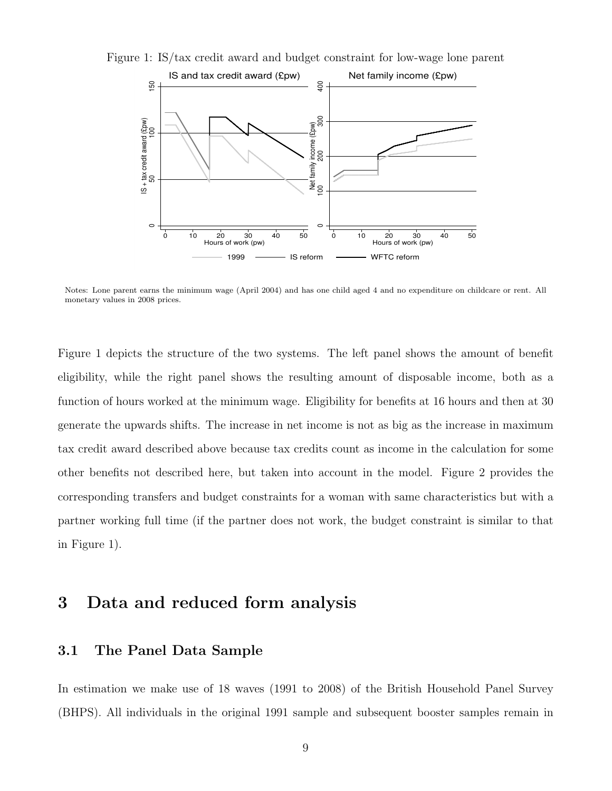

Figure 1: IS/tax credit award and budget constraint for low-wage lone parent

Notes: Lone parent earns the minimum wage (April 2004) and has one child aged 4 and no expenditure on childcare or rent. All monetary values in 2008 prices.

Figure 1 depicts the structure of the two systems. The left panel shows the amount of benefit eligibility, while the right panel shows the resulting amount of disposable income, both as a function of hours worked at the minimum wage. Eligibility for benefits at 16 hours and then at 30 generate the upwards shifts. The increase in net income is not as big as the increase in maximum tax credit award described above because tax credits count as income in the calculation for some other benefits not described here, but taken into account in the model. Figure 2 provides the corresponding transfers and budget constraints for a woman with same characteristics but with a partner working full time (if the partner does not work, the budget constraint is similar to that in Figure 1).

# 3 Data and reduced form analysis

### 3.1 The Panel Data Sample

In estimation we make use of 18 waves (1991 to 2008) of the British Household Panel Survey (BHPS). All individuals in the original 1991 sample and subsequent booster samples remain in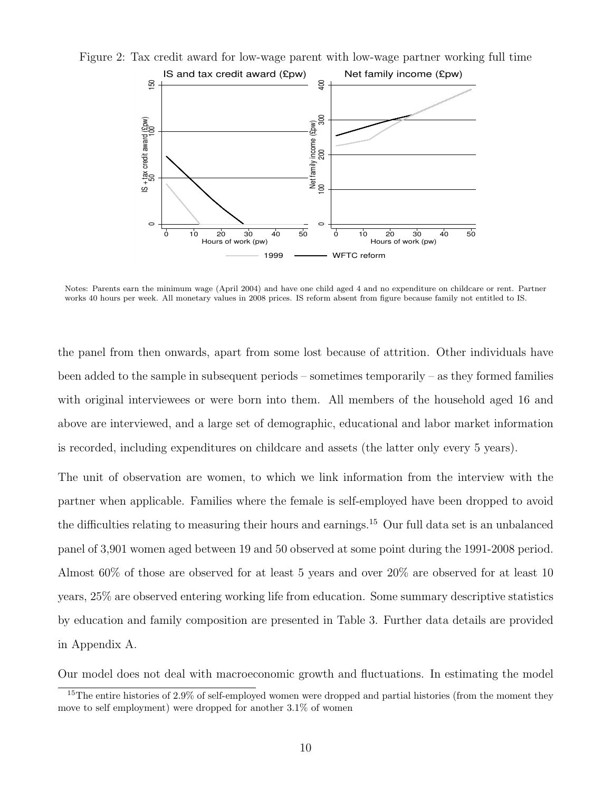

Figure 2: Tax credit award for low-wage parent with low-wage partner working full time

Notes: Parents earn the minimum wage (April 2004) and have one child aged 4 and no expenditure on childcare or rent. Partner works 40 hours per week. All monetary values in 2008 prices. IS reform absent from figure because family not entitled to IS.

the panel from then onwards, apart from some lost because of attrition. Other individuals have been added to the sample in subsequent periods – sometimes temporarily – as they formed families with original interviewees or were born into them. All members of the household aged 16 and above are interviewed, and a large set of demographic, educational and labor market information is recorded, including expenditures on childcare and assets (the latter only every 5 years).

The unit of observation are women, to which we link information from the interview with the partner when applicable. Families where the female is self-employed have been dropped to avoid the difficulties relating to measuring their hours and earnings.<sup>15</sup> Our full data set is an unbalanced panel of 3,901 women aged between 19 and 50 observed at some point during the 1991-2008 period. Almost 60% of those are observed for at least 5 years and over 20% are observed for at least 10 years, 25% are observed entering working life from education. Some summary descriptive statistics by education and family composition are presented in Table 3. Further data details are provided in Appendix A.

Our model does not deal with macroeconomic growth and fluctuations. In estimating the model

<sup>&</sup>lt;sup>15</sup>The entire histories of 2.9% of self-employed women were dropped and partial histories (from the moment they move to self employment) were dropped for another 3.1% of women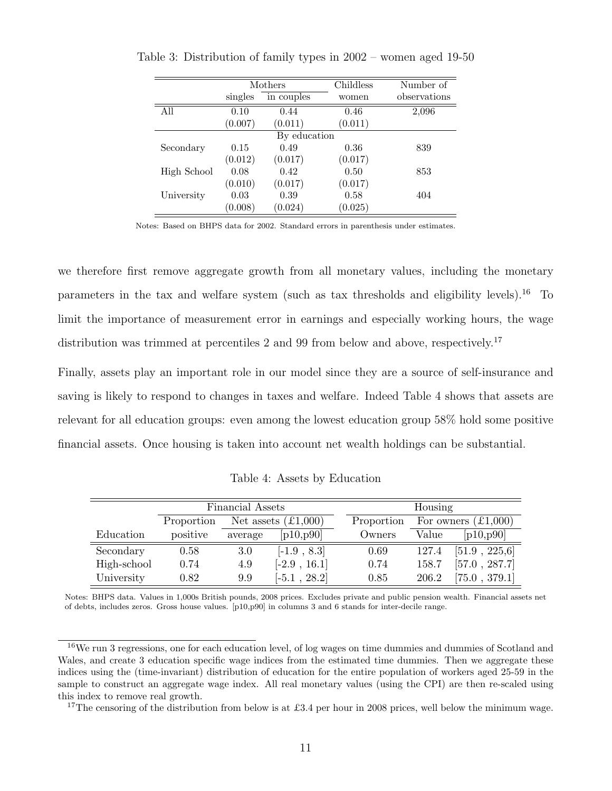|              | Mothers |            | Childless | Number of    |  |  |  |  |
|--------------|---------|------------|-----------|--------------|--|--|--|--|
|              | singles | in couples | women     | observations |  |  |  |  |
| All          | 0.10    | 0.44       | 0.46      | 2,096        |  |  |  |  |
|              | (0.007) | (0.011)    | (0.011)   |              |  |  |  |  |
| By education |         |            |           |              |  |  |  |  |
| Secondary    | 0.15    | 0.49       | 0.36      | 839          |  |  |  |  |
|              | (0.012) | (0.017)    | (0.017)   |              |  |  |  |  |
| High School  | 0.08    | 0.42       | 0.50      | 853          |  |  |  |  |
|              | (0.010) | (0.017)    | (0.017)   |              |  |  |  |  |
| University   | 0.03    | 0.39       | 0.58      | 404          |  |  |  |  |
|              | (0.008) | (0.024)    | (0.025)   |              |  |  |  |  |

Table 3: Distribution of family types in 2002 – women aged 19-50

Notes: Based on BHPS data for 2002. Standard errors in parenthesis under estimates.

we therefore first remove aggregate growth from all monetary values, including the monetary parameters in the tax and welfare system (such as tax thresholds and eligibility levels).<sup>16</sup> To limit the importance of measurement error in earnings and especially working hours, the wage distribution was trimmed at percentiles 2 and 99 from below and above, respectively.<sup>17</sup>

Finally, assets play an important role in our model since they are a source of self-insurance and saving is likely to respond to changes in taxes and welfare. Indeed Table 4 shows that assets are relevant for all education groups: even among the lowest education group 58% hold some positive financial assets. Once housing is taken into account net wealth holdings can be substantial.

|             |            | <b>Financial Assets</b> |                       | Housing    |       |                       |  |
|-------------|------------|-------------------------|-----------------------|------------|-------|-----------------------|--|
|             | Proportion |                         | Net assets $(£1,000)$ | Proportion |       | For owners $(£1,000)$ |  |
| Education   | positive   | average                 | [p10,p90]             | Owners     | Value | [p10,p90]             |  |
| Secondary   | 0.58       | 3.0                     | $[-1.9, 8.3]$         | 0.69       | 127.4 | [51.9, 225.6]         |  |
| High-school | 0.74       | 4.9                     | $[-2.9, 16.1]$        | 0.74       | 158.7 | [57.0, 287.7]         |  |
| University  | 0.82       | 9.9                     | $[-5.1, 28.2]$        | 0.85       | 206.2 | [75.0, 379.1]         |  |

Table 4: Assets by Education

Notes: BHPS data. Values in 1,000s British pounds, 2008 prices. Excludes private and public pension wealth. Financial assets net of debts, includes zeros. Gross house values. [p10,p90] in columns 3 and 6 stands for inter-decile range.

<sup>16</sup>We run 3 regressions, one for each education level, of log wages on time dummies and dummies of Scotland and Wales, and create 3 education specific wage indices from the estimated time dummies. Then we aggregate these indices using the (time-invariant) distribution of education for the entire population of workers aged 25-59 in the sample to construct an aggregate wage index. All real monetary values (using the CPI) are then re-scaled using this index to remove real growth.

<sup>&</sup>lt;sup>17</sup>The censoring of the distribution from below is at £3.4 per hour in 2008 prices, well below the minimum wage.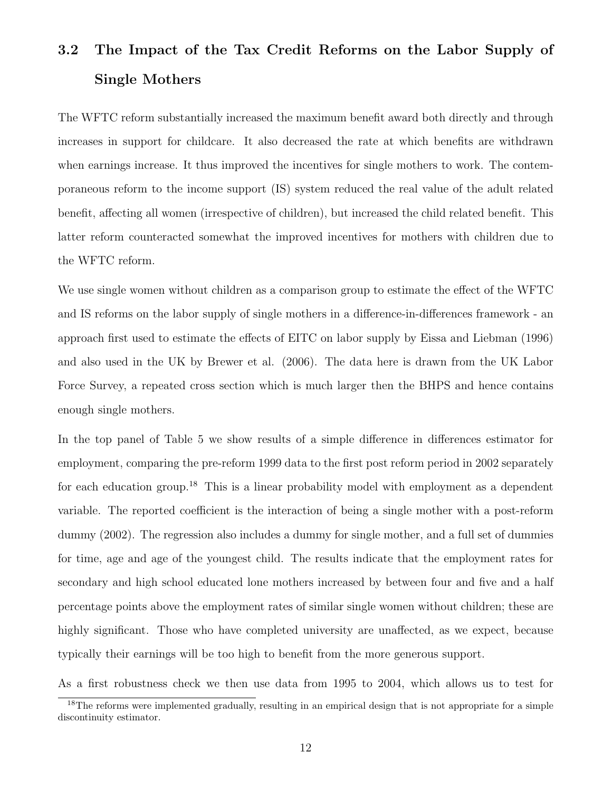# 3.2 The Impact of the Tax Credit Reforms on the Labor Supply of Single Mothers

The WFTC reform substantially increased the maximum benefit award both directly and through increases in support for childcare. It also decreased the rate at which benefits are withdrawn when earnings increase. It thus improved the incentives for single mothers to work. The contemporaneous reform to the income support (IS) system reduced the real value of the adult related benefit, affecting all women (irrespective of children), but increased the child related benefit. This latter reform counteracted somewhat the improved incentives for mothers with children due to the WFTC reform.

We use single women without children as a comparison group to estimate the effect of the WFTC and IS reforms on the labor supply of single mothers in a difference-in-differences framework - an approach first used to estimate the effects of EITC on labor supply by Eissa and Liebman (1996) and also used in the UK by Brewer et al. (2006). The data here is drawn from the UK Labor Force Survey, a repeated cross section which is much larger then the BHPS and hence contains enough single mothers.

In the top panel of Table 5 we show results of a simple difference in differences estimator for employment, comparing the pre-reform 1999 data to the first post reform period in 2002 separately for each education group.<sup>18</sup> This is a linear probability model with employment as a dependent variable. The reported coefficient is the interaction of being a single mother with a post-reform dummy (2002). The regression also includes a dummy for single mother, and a full set of dummies for time, age and age of the youngest child. The results indicate that the employment rates for secondary and high school educated lone mothers increased by between four and five and a half percentage points above the employment rates of similar single women without children; these are highly significant. Those who have completed university are unaffected, as we expect, because typically their earnings will be too high to benefit from the more generous support.

As a first robustness check we then use data from 1995 to 2004, which allows us to test for

<sup>&</sup>lt;sup>18</sup>The reforms were implemented gradually, resulting in an empirical design that is not appropriate for a simple discontinuity estimator.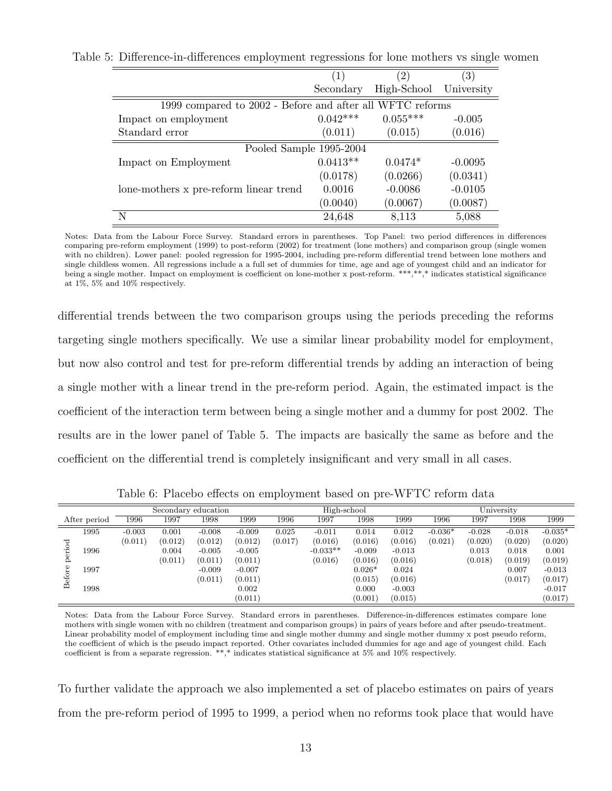|                                                           | (1)        | $\left( 2\right)$ | $^{\prime}3)$ |  |  |  |  |  |
|-----------------------------------------------------------|------------|-------------------|---------------|--|--|--|--|--|
|                                                           | Secondary  | High-School       | University    |  |  |  |  |  |
| 1999 compared to 2002 - Before and after all WFTC reforms |            |                   |               |  |  |  |  |  |
| Impact on employment                                      | $0.042***$ | $0.055***$        | $-0.005$      |  |  |  |  |  |
| Standard error                                            | (0.011)    | (0.015)           | (0.016)       |  |  |  |  |  |
| Pooled Sample 1995-2004                                   |            |                   |               |  |  |  |  |  |
| Impact on Employment                                      | $0.0413**$ | $0.0474*$         | $-0.0095$     |  |  |  |  |  |
|                                                           | (0.0178)   | (0.0266)          | (0.0341)      |  |  |  |  |  |
| lone-mothers x pre-reform linear trend                    | 0.0016     | $-0.0086$         | $-0.0105$     |  |  |  |  |  |
|                                                           | (0.0040)   | (0.0067)          | (0.0087)      |  |  |  |  |  |
| N                                                         | 24,648     | 8,113             | 5,088         |  |  |  |  |  |

Table 5: Difference-in-differences employment regressions for lone mothers vs single women

Notes: Data from the Labour Force Survey. Standard errors in parentheses. Top Panel: two period differences in differences comparing pre-reform employment (1999) to post-reform (2002) for treatment (lone mothers) and comparison group (single women with no children). Lower panel: pooled regression for 1995-2004, including pre-reform differential trend between lone mothers and single childless women. All regressions include a a full set of dummies for time, age and age of youngest child and an indicator for being a single mother. Impact on employment is coefficient on lone-mother x post-reform. \*\*\*,\*\*,\* indicates statistical significance at 1%, 5% and 10% respectively.

differential trends between the two comparison groups using the periods preceding the reforms targeting single mothers specifically. We use a similar linear probability model for employment, but now also control and test for pre-reform differential trends by adding an interaction of being a single mother with a linear trend in the pre-reform period. Again, the estimated impact is the coefficient of the interaction term between being a single mother and a dummy for post 2002. The results are in the lower panel of Table 5. The impacts are basically the same as before and the coefficient on the differential trend is completely insignificant and very small in all cases.

|    |              |          |         | Secondary education |          |         | High-school |          |          |           |          | University |           |
|----|--------------|----------|---------|---------------------|----------|---------|-------------|----------|----------|-----------|----------|------------|-----------|
|    | After period | 1996     | 1997    | 1998                | 1999     | 1996    | 1997        | 1998     | 1999     | 1996      | 1997     | 1998       | 1999      |
|    | 1995         | $-0.003$ | 0.001   | $-0.008$            | $-0.009$ | 0.025   | $-0.011$    | 0.014    | 0.012    | $-0.036*$ | $-0.028$ | $-0.018$   | $-0.035*$ |
|    |              | (0.011)  | (0.012) | (0.012)             | (0.012)  | (0.017) | (0.016)     | (0.016)  | (0.016)  | (0.021)   | (0.020)  | (0.020)    | (0.020)   |
|    | 1996         |          | 0.004   | $-0.005$            | $-0.005$ |         | $-0.033**$  | $-0.009$ | $-0.013$ |           | 0.013    | 0.018      | 0.001     |
| ≏  |              |          | (0.011) | (0.011)             | (0.011)  |         | (0.016)     | (0.016)  | (0.016)  |           | (0.018)  | (0.019)    | (0.019)   |
|    | 1997         |          |         | $-0.009$            | $-0.007$ |         |             | $0.026*$ | 0.024    |           |          | 0.007      | $-0.013$  |
| မေ |              |          |         | (0.011)             | (0.011)  |         |             | (0.015)  | (0.016)  |           |          | (0.017)    | (0.017)   |
| മ് | 1998         |          |         |                     | 0.002    |         |             | 0.000    | $-0.003$ |           |          |            | $-0.017$  |
|    |              |          |         |                     | (0.011)  |         |             | (0.001)  | (0.015)  |           |          |            | (0.017)   |

Table 6: Placebo effects on employment based on pre-WFTC reform data

Notes: Data from the Labour Force Survey. Standard errors in parentheses. Difference-in-differences estimates compare lone mothers with single women with no children (treatment and comparison groups) in pairs of years before and after pseudo-treatment. Linear probability model of employment including time and single mother dummy and single mother dummy x post pseudo reform, the coefficient of which is the pseudo impact reported. Other covariates included dummies for age and age of youngest child. Each coefficient is from a separate regression. \*\*,\* indicates statistical significance at 5% and 10% respectively.

To further validate the approach we also implemented a set of placebo estimates on pairs of years from the pre-reform period of 1995 to 1999, a period when no reforms took place that would have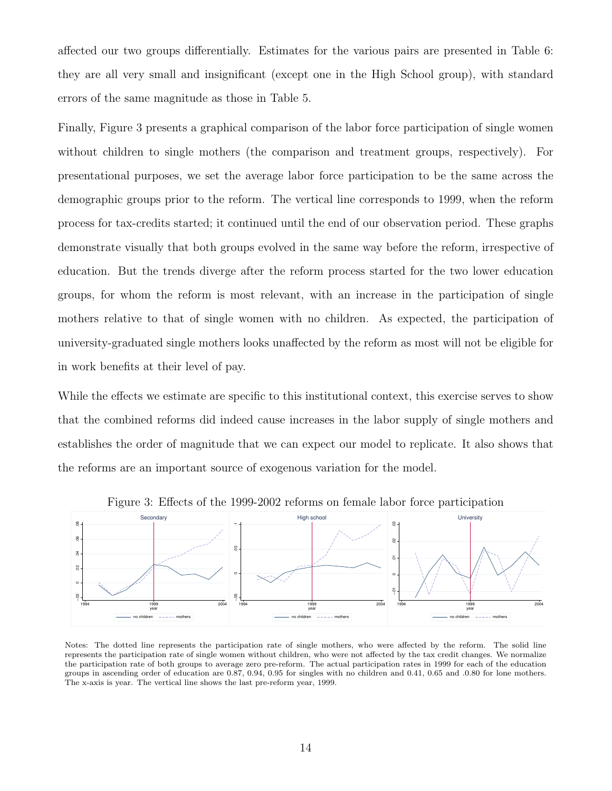affected our two groups differentially. Estimates for the various pairs are presented in Table 6: they are all very small and insignificant (except one in the High School group), with standard errors of the same magnitude as those in Table 5.

Finally, Figure 3 presents a graphical comparison of the labor force participation of single women without children to single mothers (the comparison and treatment groups, respectively). For presentational purposes, we set the average labor force participation to be the same across the demographic groups prior to the reform. The vertical line corresponds to 1999, when the reform process for tax-credits started; it continued until the end of our observation period. These graphs demonstrate visually that both groups evolved in the same way before the reform, irrespective of education. But the trends diverge after the reform process started for the two lower education groups, for whom the reform is most relevant, with an increase in the participation of single mothers relative to that of single women with no children. As expected, the participation of university-graduated single mothers looks unaffected by the reform as most will not be eligible for in work benefits at their level of pay.

While the effects we estimate are specific to this institutional context, this exercise serves to show that the combined reforms did indeed cause increases in the labor supply of single mothers and establishes the order of magnitude that we can expect our model to replicate. It also shows that the reforms are an important source of exogenous variation for the model.



Figure 3: Effects of the 1999-2002 reforms on female labor force participation

Notes: The dotted line represents the participation rate of single mothers, who were affected by the reform. The solid line represents the participation rate of single women without children, who were not affected by the tax credit changes. We normalize the participation rate of both groups to average zero pre-reform. The actual participation rates in 1999 for each of the education groups in ascending order of education are 0.87, 0.94, 0.95 for singles with no children and 0.41, 0.65 and .0.80 for lone mothers. The x-axis is year. The vertical line shows the last pre-reform year, 1999.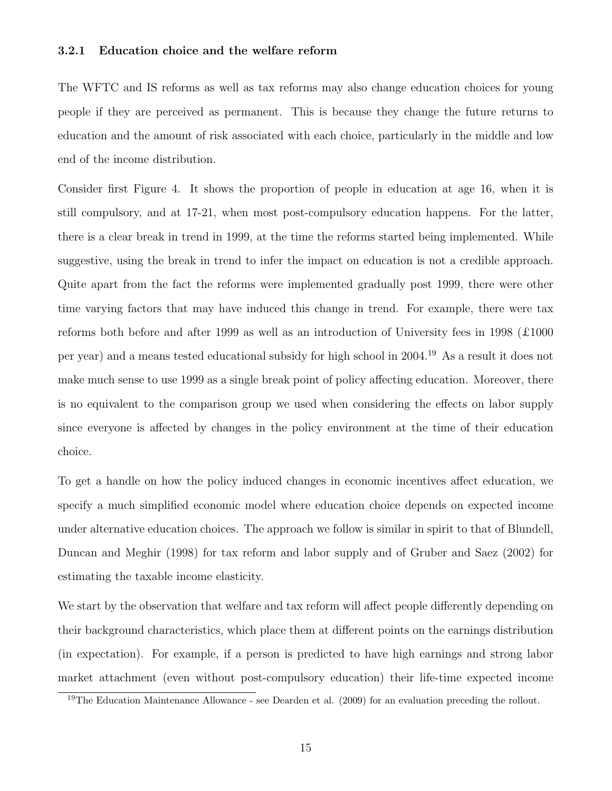#### 3.2.1 Education choice and the welfare reform

The WFTC and IS reforms as well as tax reforms may also change education choices for young people if they are perceived as permanent. This is because they change the future returns to education and the amount of risk associated with each choice, particularly in the middle and low end of the income distribution.

Consider first Figure 4. It shows the proportion of people in education at age 16, when it is still compulsory, and at 17-21, when most post-compulsory education happens. For the latter, there is a clear break in trend in 1999, at the time the reforms started being implemented. While suggestive, using the break in trend to infer the impact on education is not a credible approach. Quite apart from the fact the reforms were implemented gradually post 1999, there were other time varying factors that may have induced this change in trend. For example, there were tax reforms both before and after 1999 as well as an introduction of University fees in 1998 (£1000 per year) and a means tested educational subsidy for high school in 2004.<sup>19</sup> As a result it does not make much sense to use 1999 as a single break point of policy affecting education. Moreover, there is no equivalent to the comparison group we used when considering the effects on labor supply since everyone is affected by changes in the policy environment at the time of their education choice.

To get a handle on how the policy induced changes in economic incentives affect education, we specify a much simplified economic model where education choice depends on expected income under alternative education choices. The approach we follow is similar in spirit to that of Blundell, Duncan and Meghir (1998) for tax reform and labor supply and of Gruber and Saez (2002) for estimating the taxable income elasticity.

We start by the observation that welfare and tax reform will affect people differently depending on their background characteristics, which place them at different points on the earnings distribution (in expectation). For example, if a person is predicted to have high earnings and strong labor market attachment (even without post-compulsory education) their life-time expected income

<sup>&</sup>lt;sup>19</sup>The Education Maintenance Allowance - see Dearden et al. (2009) for an evaluation preceding the rollout.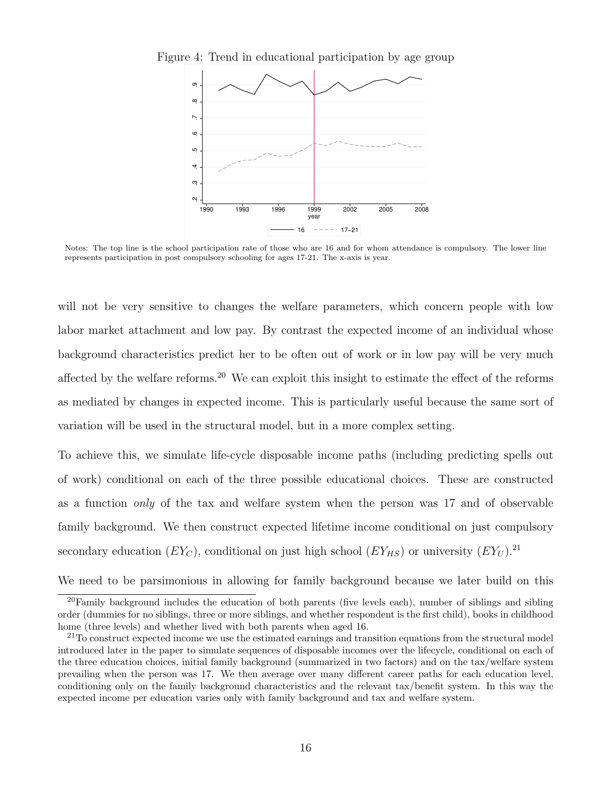

Figure 4: Trend in educational participation by age group

Notes: The top line is the school participation rate of those who are 16 and for whom attendance is compulsory. The lower line represents participation in post compulsory schooling for ages 17-21. The x-axis is year.

will not be very sensitive to changes the welfare parameters, which concern people with low labor market attachment and low pay. By contrast the expected income of an individual whose background characteristics predict her to be often out of work or in low pay will be very much affected by the welfare reforms.<sup>20</sup> We can exploit this insight to estimate the effect of the reforms as mediated by changes in expected income. This is particularly useful because the same sort of variation will be used in the structural model, but in a more complex setting.

To achieve this, we simulate life-cycle disposable income paths (including predicting spells out of work) conditional on each of the three possible educational choices. These are constructed as a function only of the tax and welfare system when the person was 17 and of observable family background. We then construct expected lifetime income conditional on just compulsory secondary education  $(EY_C)$ , conditional on just high school  $(EY_{HS})$  or university  $(EY_U)$ .<sup>21</sup>

We need to be parsimonious in allowing for family background because we later build on this

 $^{20}$ Family background includes the education of both parents (five levels each), number of siblings and sibling order (dummies for no siblings, three or more siblings, and whether respondent is the first child), books in childhood home (three levels) and whether lived with both parents when aged 16.

 $^{21}$ To construct expected income we use the estimated earnings and transition equations from the structural model introduced later in the paper to simulate sequences of disposable incomes over the lifecycle, conditional on each of the three education choices, initial family background (summarized in two factors) and on the tax/welfare system prevailing when the person was 17. We then average over many different career paths for each education level, conditioning only on the family background characteristics and the relevant tax/benefit system. In this way the expected income per education varies only with family background and tax and welfare system.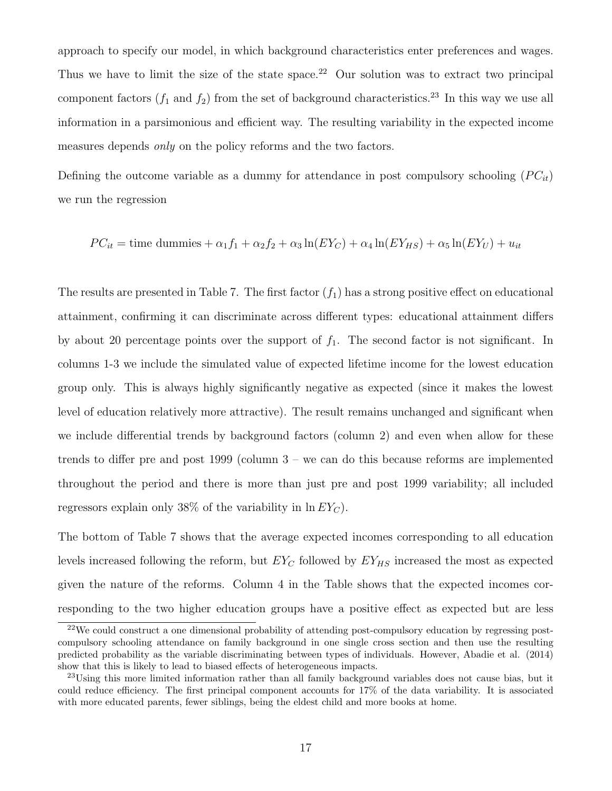approach to specify our model, in which background characteristics enter preferences and wages. Thus we have to limit the size of the state space.<sup>22</sup> Our solution was to extract two principal component factors  $(f_1 \text{ and } f_2)$  from the set of background characteristics.<sup>23</sup> In this way we use all information in a parsimonious and efficient way. The resulting variability in the expected income measures depends only on the policy reforms and the two factors.

Defining the outcome variable as a dummy for attendance in post compulsory schooling  $(PC_{it})$ we run the regression

$$
PC_{it} = \text{time dummies} + \alpha_1 f_1 + \alpha_2 f_2 + \alpha_3 \ln(EY_C) + \alpha_4 \ln(EY_{HS}) + \alpha_5 \ln(EY_U) + u_{it}
$$

The results are presented in Table 7. The first factor  $(f_1)$  has a strong positive effect on educational attainment, confirming it can discriminate across different types: educational attainment differs by about 20 percentage points over the support of  $f_1$ . The second factor is not significant. In columns 1-3 we include the simulated value of expected lifetime income for the lowest education group only. This is always highly significantly negative as expected (since it makes the lowest level of education relatively more attractive). The result remains unchanged and significant when we include differential trends by background factors (column 2) and even when allow for these trends to differ pre and post 1999 (column 3 – we can do this because reforms are implemented throughout the period and there is more than just pre and post 1999 variability; all included regressors explain only 38% of the variability in  $\ln EY_C$ .

The bottom of Table 7 shows that the average expected incomes corresponding to all education levels increased following the reform, but  $EY_C$  followed by  $EY_{HS}$  increased the most as expected given the nature of the reforms. Column 4 in the Table shows that the expected incomes corresponding to the two higher education groups have a positive effect as expected but are less

<sup>22</sup>We could construct a one dimensional probability of attending post-compulsory education by regressing postcompulsory schooling attendance on family background in one single cross section and then use the resulting predicted probability as the variable discriminating between types of individuals. However, Abadie et al. (2014) show that this is likely to lead to biased effects of heterogeneous impacts.

<sup>&</sup>lt;sup>23</sup>Using this more limited information rather than all family background variables does not cause bias, but it could reduce efficiency. The first principal component accounts for 17% of the data variability. It is associated with more educated parents, fewer siblings, being the eldest child and more books at home.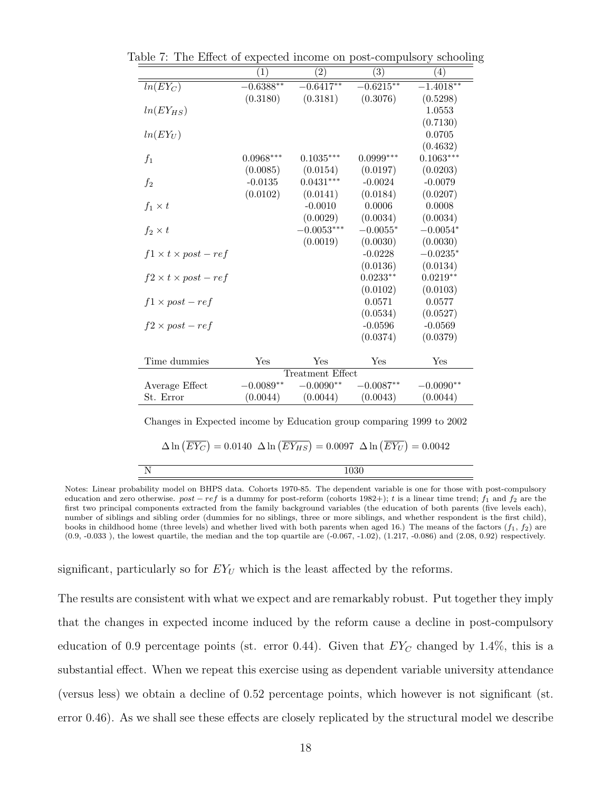|                               | $\left(1\right)$ | $\left( 2\right)$ | $\left(3\right)$ | $\left(4\right)$ |
|-------------------------------|------------------|-------------------|------------------|------------------|
| $ln(EY_C)$                    | $-0.6388**$      | $-0.6417**$       | $-0.6215**$      | $-1.4018**$      |
|                               | (0.3180)         | (0.3181)          | (0.3076)         | (0.5298)         |
| $ln(EY_{HS})$                 |                  |                   |                  | 1.0553           |
|                               |                  |                   |                  | (0.7130)         |
| $ln(EY_U)$                    |                  |                   |                  | 0.0705           |
|                               |                  |                   |                  | (0.4632)         |
| $f_1$                         | $0.0968***$      | $0.1035***$       | $0.0999***$      | $0.1063***$      |
|                               | (0.0085)         | (0.0154)          | (0.0197)         | (0.0203)         |
| $f_2$                         | $-0.0135$        | $0.0431***$       | $-0.0024$        | $-0.0079$        |
|                               | (0.0102)         | (0.0141)          | (0.0184)         | (0.0207)         |
| $f_1 \times t$                |                  | $-0.0010$         | 0.0006           | 0.0008           |
|                               |                  | (0.0029)          | (0.0034)         | (0.0034)         |
| $f_2 \times t$                |                  | $-0.0053***$      | $-0.0055*$       | $-0.0054*$       |
|                               |                  | (0.0019)          | (0.0030)         | (0.0030)         |
| $f1 \times t \times post-ref$ |                  |                   | $-0.0228$        | $-0.0235*$       |
|                               |                  |                   | (0.0136)         | (0.0134)         |
| $f2 \times t \times post-ref$ |                  |                   | $0.0233**$       | $0.0219**$       |
|                               |                  |                   | (0.0102)         | (0.0103)         |
| $f1 \times post-ref$          |                  |                   | 0.0571           | 0.0577           |
|                               |                  |                   | (0.0534)         | (0.0527)         |
| $f2 \times post-ref$          |                  |                   | $-0.0596$        | $-0.0569$        |
|                               |                  |                   | (0.0374)         | (0.0379)         |
| Time dummies                  | Yes              | Yes               | Yes              | Yes              |
|                               |                  | Treatment Effect  |                  |                  |
| Average Effect                | $-0.0089**$      | $-0.0090**$       | $-0.0087**$      | $-0.0090**$      |
| St. Error                     | (0.0044)         | (0.0044)          | (0.0043)         | (0.0044)         |
|                               |                  |                   |                  |                  |

Table 7: The Effect of expected income on post-compulsory schooling

Changes in Expected income by Education group comparing 1999 to 2002

 $\Delta \ln \left( \overline{EY_C} \right) = 0.0140 \; \Delta \ln \left( \overline{EY_{HS}} \right) = 0.0097 \; \Delta \ln \left( \overline{EY_U} \right) = 0.0042$ 

Notes: Linear probability model on BHPS data. Cohorts 1970-85. The dependent variable is one for those with post-compulsory education and zero otherwise. post – ref is a dummy for post-reform (cohorts 1982+); t is a linear time trend;  $f_1$  and  $f_2$  are the first two principal components extracted from the family background variables (the education of both parents (five levels each), number of siblings and sibling order (dummies for no siblings, three or more siblings, and whether respondent is the first child), books in childhood home (three levels) and whether lived with both parents when aged 16.) The means of the factors  $(f_1, f_2)$  are  $(0.9, -0.033)$ , the lowest quartile, the median and the top quartile are  $(-0.067, -1.02)$ ,  $(1.217, -0.086)$  and  $(2.08, 0.92)$  respectively.

significant, particularly so for  $EY_U$  which is the least affected by the reforms.

N 1030

The results are consistent with what we expect and are remarkably robust. Put together they imply that the changes in expected income induced by the reform cause a decline in post-compulsory education of 0.9 percentage points (st. error 0.44). Given that  $EY_C$  changed by 1.4%, this is a substantial effect. When we repeat this exercise using as dependent variable university attendance (versus less) we obtain a decline of 0.52 percentage points, which however is not significant (st. error 0.46). As we shall see these effects are closely replicated by the structural model we describe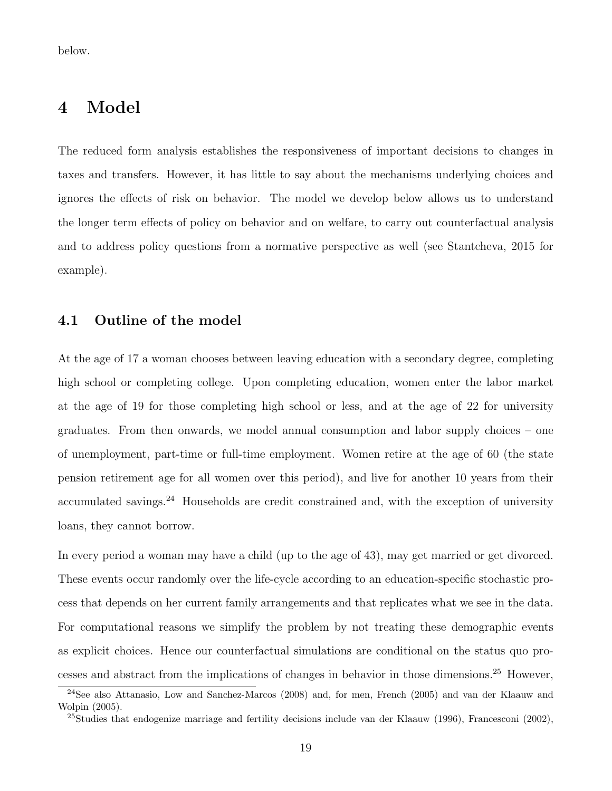below.

## 4 Model

The reduced form analysis establishes the responsiveness of important decisions to changes in taxes and transfers. However, it has little to say about the mechanisms underlying choices and ignores the effects of risk on behavior. The model we develop below allows us to understand the longer term effects of policy on behavior and on welfare, to carry out counterfactual analysis and to address policy questions from a normative perspective as well (see Stantcheva, 2015 for example).

### 4.1 Outline of the model

At the age of 17 a woman chooses between leaving education with a secondary degree, completing high school or completing college. Upon completing education, women enter the labor market at the age of 19 for those completing high school or less, and at the age of 22 for university graduates. From then onwards, we model annual consumption and labor supply choices – one of unemployment, part-time or full-time employment. Women retire at the age of 60 (the state pension retirement age for all women over this period), and live for another 10 years from their accumulated savings.<sup>24</sup> Households are credit constrained and, with the exception of university loans, they cannot borrow.

In every period a woman may have a child (up to the age of 43), may get married or get divorced. These events occur randomly over the life-cycle according to an education-specific stochastic process that depends on her current family arrangements and that replicates what we see in the data. For computational reasons we simplify the problem by not treating these demographic events as explicit choices. Hence our counterfactual simulations are conditional on the status quo processes and abstract from the implications of changes in behavior in those dimensions.<sup>25</sup> However,

<sup>24</sup>See also Attanasio, Low and Sanchez-Marcos (2008) and, for men, French (2005) and van der Klaauw and Wolpin (2005).

 $^{25}$ Studies that endogenize marriage and fertility decisions include van der Klaauw (1996), Francesconi (2002),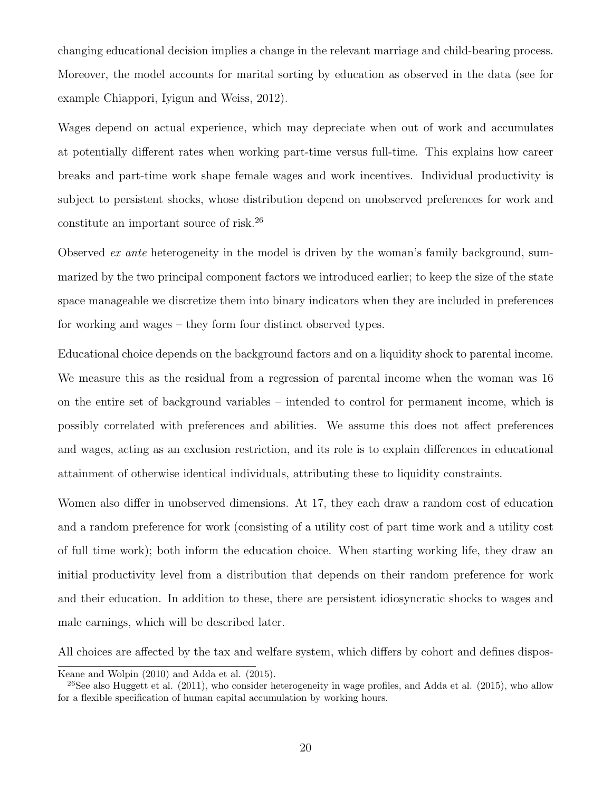changing educational decision implies a change in the relevant marriage and child-bearing process. Moreover, the model accounts for marital sorting by education as observed in the data (see for example Chiappori, Iyigun and Weiss, 2012).

Wages depend on actual experience, which may depreciate when out of work and accumulates at potentially different rates when working part-time versus full-time. This explains how career breaks and part-time work shape female wages and work incentives. Individual productivity is subject to persistent shocks, whose distribution depend on unobserved preferences for work and constitute an important source of risk.<sup>26</sup>

Observed ex ante heterogeneity in the model is driven by the woman's family background, summarized by the two principal component factors we introduced earlier; to keep the size of the state space manageable we discretize them into binary indicators when they are included in preferences for working and wages – they form four distinct observed types.

Educational choice depends on the background factors and on a liquidity shock to parental income. We measure this as the residual from a regression of parental income when the woman was 16 on the entire set of background variables – intended to control for permanent income, which is possibly correlated with preferences and abilities. We assume this does not affect preferences and wages, acting as an exclusion restriction, and its role is to explain differences in educational attainment of otherwise identical individuals, attributing these to liquidity constraints.

Women also differ in unobserved dimensions. At 17, they each draw a random cost of education and a random preference for work (consisting of a utility cost of part time work and a utility cost of full time work); both inform the education choice. When starting working life, they draw an initial productivity level from a distribution that depends on their random preference for work and their education. In addition to these, there are persistent idiosyncratic shocks to wages and male earnings, which will be described later.

All choices are affected by the tax and welfare system, which differs by cohort and defines dispos-

Keane and Wolpin (2010) and Adda et al. (2015).

<sup>&</sup>lt;sup>26</sup>See also Huggett et al. (2011), who consider heterogeneity in wage profiles, and Adda et al. (2015), who allow for a flexible specification of human capital accumulation by working hours.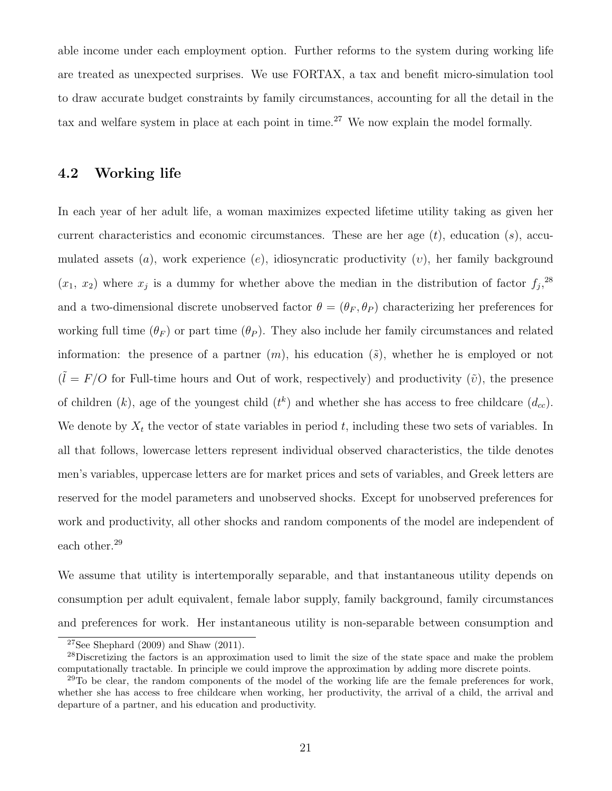able income under each employment option. Further reforms to the system during working life are treated as unexpected surprises. We use FORTAX, a tax and benefit micro-simulation tool to draw accurate budget constraints by family circumstances, accounting for all the detail in the tax and welfare system in place at each point in time.<sup>27</sup> We now explain the model formally.

### 4.2 Working life

In each year of her adult life, a woman maximizes expected lifetime utility taking as given her current characteristics and economic circumstances. These are her age  $(t)$ , education  $(s)$ , accumulated assets (a), work experience (e), idiosyncratic productivity (v), her family background  $(x_1, x_2)$  where  $x_j$  is a dummy for whether above the median in the distribution of factor  $f_j$ <sup>28</sup> and a two-dimensional discrete unobserved factor  $\theta = (\theta_F, \theta_P)$  characterizing her preferences for working full time  $(\theta_F)$  or part time  $(\theta_P)$ . They also include her family circumstances and related information: the presence of a partner  $(m)$ , his education  $(\tilde{s})$ , whether he is employed or not  $(\tilde{l} = F/O$  for Full-time hours and Out of work, respectively) and productivity  $(\tilde{v})$ , the presence of children  $(k)$ , age of the youngest child  $(t<sup>k</sup>)$  and whether she has access to free childcare  $(d_{cc})$ . We denote by  $X_t$  the vector of state variables in period t, including these two sets of variables. In all that follows, lowercase letters represent individual observed characteristics, the tilde denotes men's variables, uppercase letters are for market prices and sets of variables, and Greek letters are reserved for the model parameters and unobserved shocks. Except for unobserved preferences for work and productivity, all other shocks and random components of the model are independent of each other.<sup>29</sup>

We assume that utility is intertemporally separable, and that instantaneous utility depends on consumption per adult equivalent, female labor supply, family background, family circumstances and preferences for work. Her instantaneous utility is non-separable between consumption and

<sup>&</sup>lt;sup>27</sup>See Shephard (2009) and Shaw (2011).

<sup>&</sup>lt;sup>28</sup>Discretizing the factors is an approximation used to limit the size of the state space and make the problem computationally tractable. In principle we could improve the approximation by adding more discrete points.

 $^{29}$ To be clear, the random components of the model of the working life are the female preferences for work, whether she has access to free childcare when working, her productivity, the arrival of a child, the arrival and departure of a partner, and his education and productivity.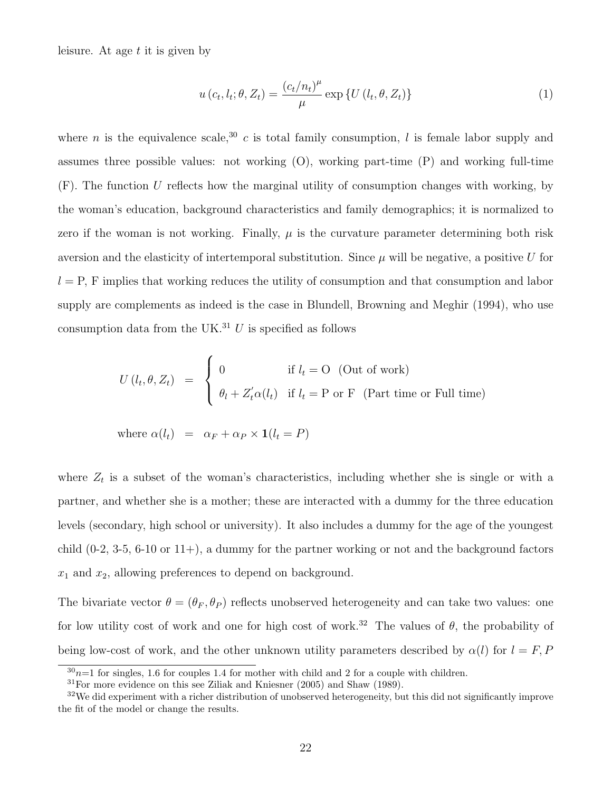leisure. At age  $t$  it is given by

$$
u\left(c_{t}, l_{t}; \theta, Z_{t}\right) = \frac{\left(c_{t}/n_{t}\right)^{\mu}}{\mu} \exp\left\{U\left(l_{t}, \theta, Z_{t}\right)\right\}
$$
 (1)

where n is the equivalence scale,<sup>30</sup> c is total family consumption, l is female labor supply and assumes three possible values: not working (O), working part-time (P) and working full-time  $(F)$ . The function U reflects how the marginal utility of consumption changes with working, by the woman's education, background characteristics and family demographics; it is normalized to zero if the woman is not working. Finally,  $\mu$  is the curvature parameter determining both risk aversion and the elasticity of intertemporal substitution. Since  $\mu$  will be negative, a positive U for  $l = P$ , F implies that working reduces the utility of consumption and that consumption and labor supply are complements as indeed is the case in Blundell, Browning and Meghir (1994), who use consumption data from the UK.<sup>31</sup>  $U$  is specified as follows

$$
U(l_t, \theta, Z_t) = \begin{cases} 0 & \text{if } l_t = O \text{ (Out of work)} \\ \theta_l + Z_t' \alpha(l_t) & \text{if } l_t = P \text{ or } F \text{ (Part time or Full time)} \end{cases}
$$
  
where  $\alpha(l_t) = \alpha_F + \alpha_P \times \mathbf{1}(l_t = P)$ 

where  $Z_t$  is a subset of the woman's characteristics, including whether she is single or with a partner, and whether she is a mother; these are interacted with a dummy for the three education levels (secondary, high school or university). It also includes a dummy for the age of the youngest child  $(0-2, 3-5, 6-10)$  or  $(1+1)$ , a dummy for the partner working or not and the background factors  $x_1$  and  $x_2$ , allowing preferences to depend on background.

The bivariate vector  $\theta = (\theta_F, \theta_P)$  reflects unobserved heterogeneity and can take two values: one for low utility cost of work and one for high cost of work.<sup>32</sup> The values of  $\theta$ , the probability of being low-cost of work, and the other unknown utility parameters described by  $\alpha(l)$  for  $l = F, P$ 

 $30n=1$  for singles, 1.6 for couples 1.4 for mother with child and 2 for a couple with children.

 $31$  For more evidence on this see Ziliak and Kniesner (2005) and Shaw (1989).

 $32\text{We did experiment with a richer distribution of unobserved heterogeneity, but this did not significantly improve}$ the fit of the model or change the results.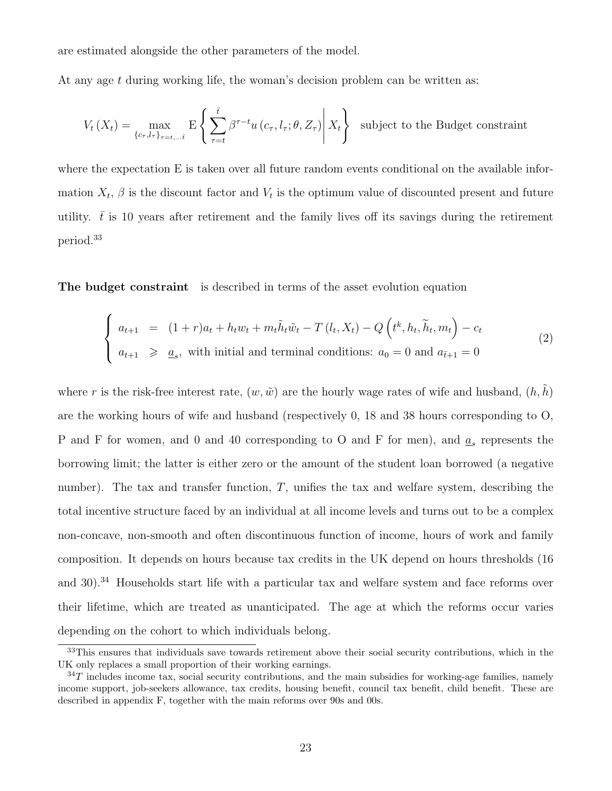are estimated alongside the other parameters of the model.

At any age t during working life, the woman's decision problem can be written as:

$$
V_t(X_t) = \max_{\{c_{\tau}, l_{\tau}\}_{\tau=t,...\bar{t}}} \mathbb{E}\left\{\sum_{\tau=t}^{\bar{t}} \beta^{\tau-t} u\left(c_{\tau}, l_{\tau}; \theta, Z_{\tau}\right) \middle| X_t\right\} \text{ subject to the Budget constraint}
$$

where the expectation E is taken over all future random events conditional on the available information  $X_t$ ,  $\beta$  is the discount factor and  $V_t$  is the optimum value of discounted present and future utility.  $\bar{t}$  is 10 years after retirement and the family lives off its savings during the retirement period.<sup>33</sup>

The budget constraint is described in terms of the asset evolution equation

$$
\begin{cases}\n a_{t+1} = (1+r)a_t + h_t w_t + m_t \tilde{h}_t \tilde{w}_t - T(l_t, X_t) - Q\left(t^k, h_t, \tilde{h}_t, m_t\right) - c_t \\
a_{t+1} \geq a_s, \text{ with initial and terminal conditions: } a_0 = 0 \text{ and } a_{\tilde{t}+1} = 0\n\end{cases}
$$
\n(2)

where r is the risk-free interest rate,  $(w,\tilde{w})$  are the hourly wage rates of wife and husband,  $(h,\tilde{h})$ are the working hours of wife and husband (respectively 0, 18 and 38 hours corresponding to O, P and F for women, and 0 and 40 corresponding to O and F for men), and  $\underline{a}_s$  represents the borrowing limit; the latter is either zero or the amount of the student loan borrowed (a negative number). The tax and transfer function,  $T$ , unifies the tax and welfare system, describing the total incentive structure faced by an individual at all income levels and turns out to be a complex non-concave, non-smooth and often discontinuous function of income, hours of work and family composition. It depends on hours because tax credits in the UK depend on hours thresholds (16 and 30).<sup>34</sup> Households start life with a particular tax and welfare system and face reforms over their lifetime, which are treated as unanticipated. The age at which the reforms occur varies depending on the cohort to which individuals belong.

<sup>33</sup>This ensures that individuals save towards retirement above their social security contributions, which in the UK only replaces a small proportion of their working earnings.

 $34T$  includes income tax, social security contributions, and the main subsidies for working-age families, namely income support, job-seekers allowance, tax credits, housing benefit, council tax benefit, child benefit. These are described in appendix F, together with the main reforms over 90s and 00s.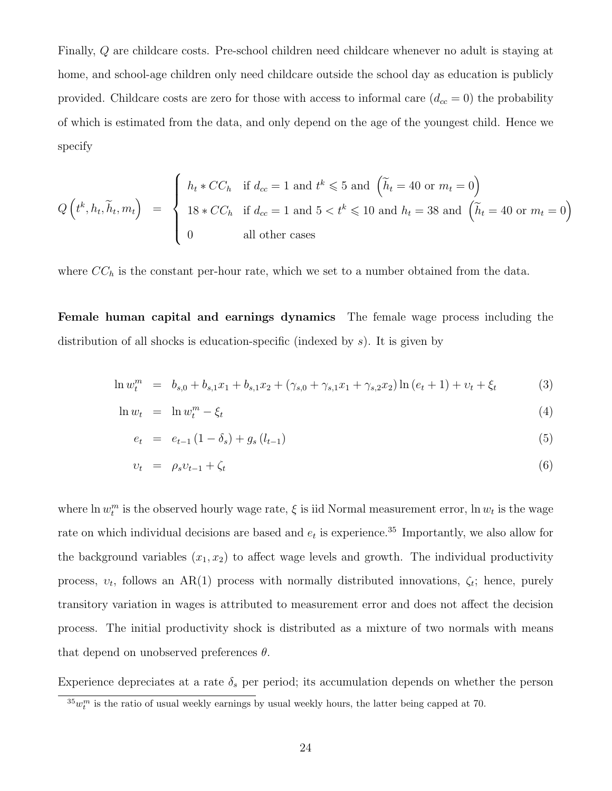Finally, Q are childcare costs. Pre-school children need childcare whenever no adult is staying at home, and school-age children only need childcare outside the school day as education is publicly provided. Childcare costs are zero for those with access to informal care  $(d_{cc} = 0)$  the probability of which is estimated from the data, and only depend on the age of the youngest child. Hence we specify

$$
Q\left(t^k, h_t, \widetilde{h}_t, m_t\right) = \begin{cases} h_t * CC_h & \text{if } d_{cc} = 1 \text{ and } t^k \leqslant 5 \text{ and } \left(\widetilde{h}_t = 40 \text{ or } m_t = 0\right) \\ 18 * CC_h & \text{if } d_{cc} = 1 \text{ and } 5 < t^k \leqslant 10 \text{ and } h_t = 38 \text{ and } \left(\widetilde{h}_t = 40 \text{ or } m_t = 0\right) \\ 0 & \text{all other cases} \end{cases}
$$

where  $CC_h$  is the constant per-hour rate, which we set to a number obtained from the data.

Female human capital and earnings dynamics The female wage process including the distribution of all shocks is education-specific (indexed by s). It is given by

$$
\ln w_t^m = b_{s,0} + b_{s,1}x_1 + b_{s,1}x_2 + (\gamma_{s,0} + \gamma_{s,1}x_1 + \gamma_{s,2}x_2) \ln(e_t + 1) + v_t + \xi_t
$$
 (3)

$$
\ln w_t = \ln w_t^m - \xi_t \tag{4}
$$

$$
e_{t} = e_{t-1} (1 - \delta_{s}) + g_{s} (l_{t-1}) \tag{5}
$$

$$
v_t = \rho_s v_{t-1} + \zeta_t \tag{6}
$$

where  $\ln w_t^m$  is the observed hourly wage rate,  $\xi$  is iid Normal measurement error,  $\ln w_t$  is the wage rate on which individual decisions are based and  $e_t$  is experience.<sup>35</sup> Importantly, we also allow for the background variables  $(x_1, x_2)$  to affect wage levels and growth. The individual productivity process,  $v_t$ , follows an AR(1) process with normally distributed innovations,  $\zeta_t$ ; hence, purely transitory variation in wages is attributed to measurement error and does not affect the decision process. The initial productivity shock is distributed as a mixture of two normals with means that depend on unobserved preferences  $\theta$ .

Experience depreciates at a rate  $\delta_s$  per period; its accumulation depends on whether the person

 ${}^{35}w_t^m$  is the ratio of usual weekly earnings by usual weekly hours, the latter being capped at 70.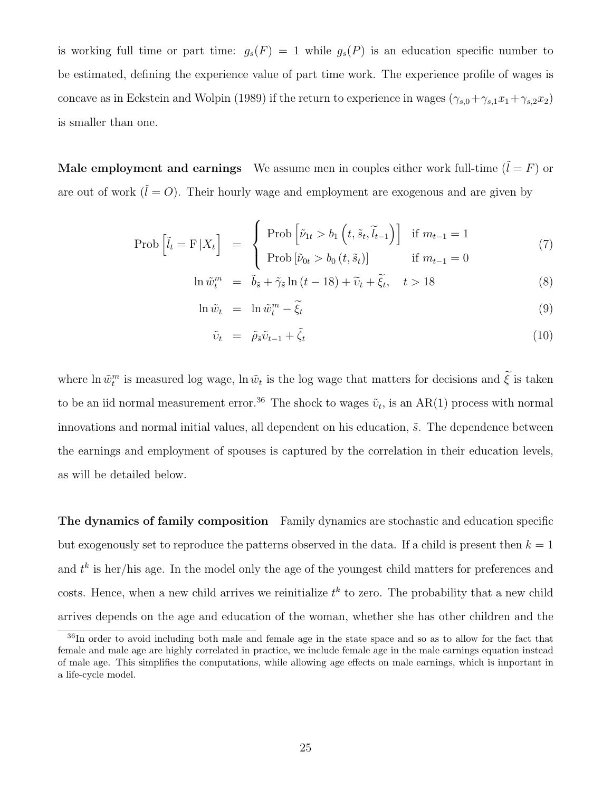is working full time or part time:  $g_s(F) = 1$  while  $g_s(P)$  is an education specific number to be estimated, defining the experience value of part time work. The experience profile of wages is concave as in Eckstein and Wolpin (1989) if the return to experience in wages  $(\gamma_{s,0}+\gamma_{s,1}x_1+\gamma_{s,2}x_2)$ is smaller than one.

Male employment and earnings We assume men in couples either work full-time  $(\tilde{l} = F)$  or are out of work  $(\tilde{l} = 0)$ . Their hourly wage and employment are exogenous and are given by

$$
\text{Prob}\left[\tilde{l}_t = \mathcal{F} | X_t\right] = \begin{cases} \text{Prob}\left[\tilde{\nu}_{1t} > b_1\left(t, \tilde{s}_t, \tilde{l}_{t-1}\right)\right] & \text{if } m_{t-1} = 1\\ \text{Prob}\left[\tilde{\nu}_{0t} > b_0\left(t, \tilde{s}_t\right)\right] & \text{if } m_{t-1} = 0 \end{cases}
$$
\n(7)

$$
\ln \tilde{w}_t^m = \tilde{b}_{\tilde{s}} + \tilde{\gamma}_{\tilde{s}} \ln (t - 18) + \tilde{v}_t + \tilde{\xi}_t, \quad t > 18 \tag{8}
$$

$$
\ln \tilde{w}_t = \ln \tilde{w}_t^m - \tilde{\xi}_t \tag{9}
$$

$$
\tilde{v}_t = \tilde{\rho}_s \tilde{v}_{t-1} + \tilde{\zeta}_t \tag{10}
$$

where  $\ln \tilde{w}_t^m$  is measured log wage,  $\ln \tilde{w}_t$  is the log wage that matters for decisions and  $\tilde{\xi}$  is taken to be an iid normal measurement error.<sup>36</sup> The shock to wages  $\tilde{v}_t$ , is an AR(1) process with normal innovations and normal initial values, all dependent on his education,  $\tilde{s}$ . The dependence between the earnings and employment of spouses is captured by the correlation in their education levels, as will be detailed below.

The dynamics of family composition Family dynamics are stochastic and education specific but exogenously set to reproduce the patterns observed in the data. If a child is present then  $k = 1$ and  $t^k$  is her/his age. In the model only the age of the youngest child matters for preferences and costs. Hence, when a new child arrives we reinitialize  $t^k$  to zero. The probability that a new child arrives depends on the age and education of the woman, whether she has other children and the

<sup>&</sup>lt;sup>36</sup>In order to avoid including both male and female age in the state space and so as to allow for the fact that female and male age are highly correlated in practice, we include female age in the male earnings equation instead of male age. This simplifies the computations, while allowing age effects on male earnings, which is important in a life-cycle model.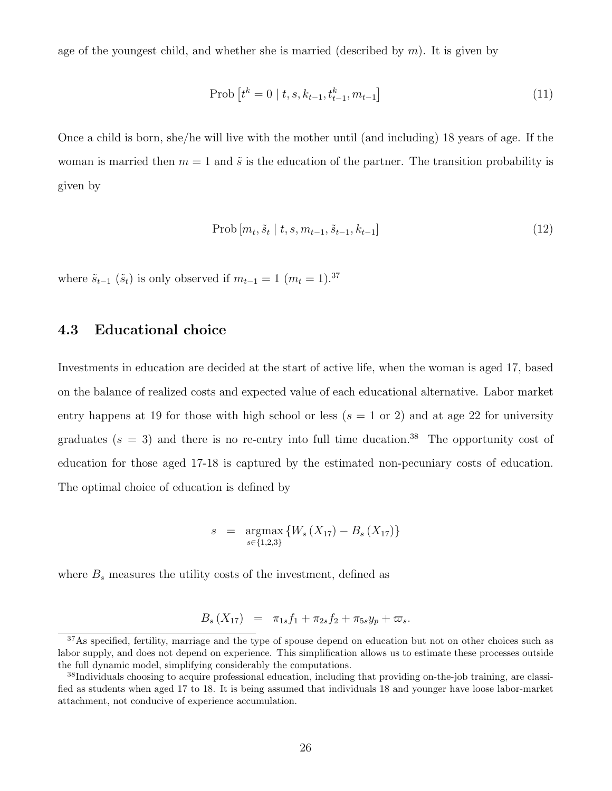age of the youngest child, and whether she is married (described by  $m$ ). It is given by

$$
Prob[t^{k} = 0 | t, s, k_{t-1}, t_{t-1}^{k}, m_{t-1}]
$$
\n(11)

Once a child is born, she/he will live with the mother until (and including) 18 years of age. If the woman is married then  $m = 1$  and  $\tilde{s}$  is the education of the partner. The transition probability is given by

$$
Prob[m_t, \tilde{s}_t | t, s, m_{t-1}, \tilde{s}_{t-1}, k_{t-1}]
$$
\n(12)

where  $\tilde{s}_{t-1}$  ( $\tilde{s}_t$ ) is only observed if  $m_{t-1} = 1$  ( $m_t = 1$ ).<sup>37</sup>

### 4.3 Educational choice

Investments in education are decided at the start of active life, when the woman is aged 17, based on the balance of realized costs and expected value of each educational alternative. Labor market entry happens at 19 for those with high school or less  $(s = 1 \text{ or } 2)$  and at age 22 for university graduates  $(s = 3)$  and there is no re-entry into full time ducation.<sup>38</sup> The opportunity cost of education for those aged 17-18 is captured by the estimated non-pecuniary costs of education. The optimal choice of education is defined by

$$
s = \underset{s \in \{1,2,3\}}{\text{argmax}} \left\{ W_s \left( X_{17} \right) - B_s \left( X_{17} \right) \right\}
$$

where  $B_s$  measures the utility costs of the investment, defined as

$$
B_s(X_{17}) = \pi_{1s}f_1 + \pi_{2s}f_2 + \pi_{5s}y_p + \varpi_s.
$$

 $37\text{As}$  specified, fertility, marriage and the type of spouse depend on education but not on other choices such as labor supply, and does not depend on experience. This simplification allows us to estimate these processes outside the full dynamic model, simplifying considerably the computations.

<sup>38</sup>Individuals choosing to acquire professional education, including that providing on-the-job training, are classified as students when aged 17 to 18. It is being assumed that individuals 18 and younger have loose labor-market attachment, not conducive of experience accumulation.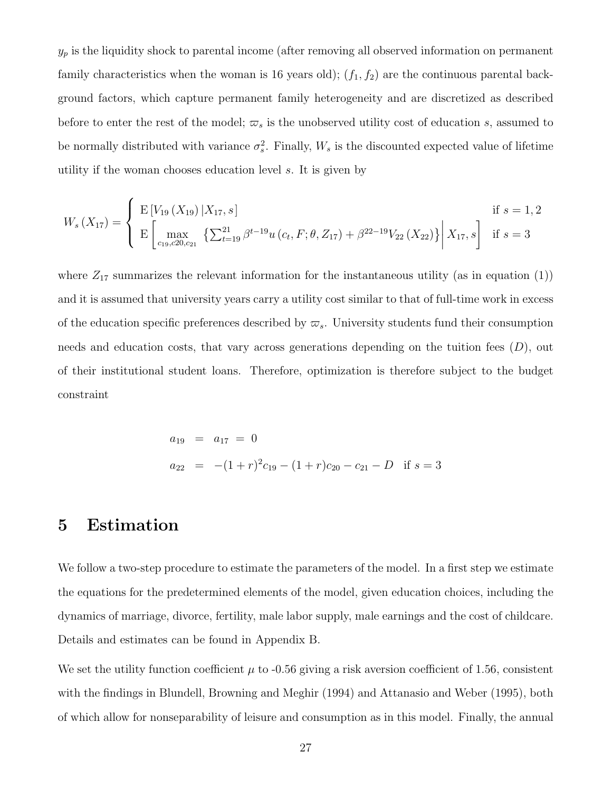$y_p$  is the liquidity shock to parental income (after removing all observed information on permanent family characteristics when the woman is 16 years old);  $(f_1, f_2)$  are the continuous parental background factors, which capture permanent family heterogeneity and are discretized as described before to enter the rest of the model;  $\varpi_s$  is the unobserved utility cost of education s, assumed to be normally distributed with variance  $\sigma_s^2$ . Finally,  $W_s$  is the discounted expected value of lifetime utility if the woman chooses education level s. It is given by

$$
W_s(X_{17}) = \begin{cases} \mathbf{E}\left[V_{19}\left(X_{19}\right)|X_{17},s\right] & \text{if } s = 1,2\\ \mathbf{E}\left[\max_{c_{19},c_{20},c_{21}}\left\{\sum_{t=19}^{21} \beta^{t-19} u\left(c_t, F; \theta, Z_{17}\right) + \beta^{22-19} V_{22}\left(X_{22}\right)\right\} \middle| X_{17},s\right] & \text{if } s = 3 \end{cases}
$$

where  $Z_{17}$  summarizes the relevant information for the instantaneous utility (as in equation (1)) and it is assumed that university years carry a utility cost similar to that of full-time work in excess of the education specific preferences described by  $\varpi_s$ . University students fund their consumption needs and education costs, that vary across generations depending on the tuition fees  $(D)$ , out of their institutional student loans. Therefore, optimization is therefore subject to the budget constraint

$$
a_{19} = a_{17} = 0
$$
  
\n $a_{22} = -(1+r)^2 c_{19} - (1+r) c_{20} - c_{21} - D$  if  $s = 3$ 

## 5 Estimation

We follow a two-step procedure to estimate the parameters of the model. In a first step we estimate the equations for the predetermined elements of the model, given education choices, including the dynamics of marriage, divorce, fertility, male labor supply, male earnings and the cost of childcare. Details and estimates can be found in Appendix B.

We set the utility function coefficient  $\mu$  to -0.56 giving a risk aversion coefficient of 1.56, consistent with the findings in Blundell, Browning and Meghir (1994) and Attanasio and Weber (1995), both of which allow for nonseparability of leisure and consumption as in this model. Finally, the annual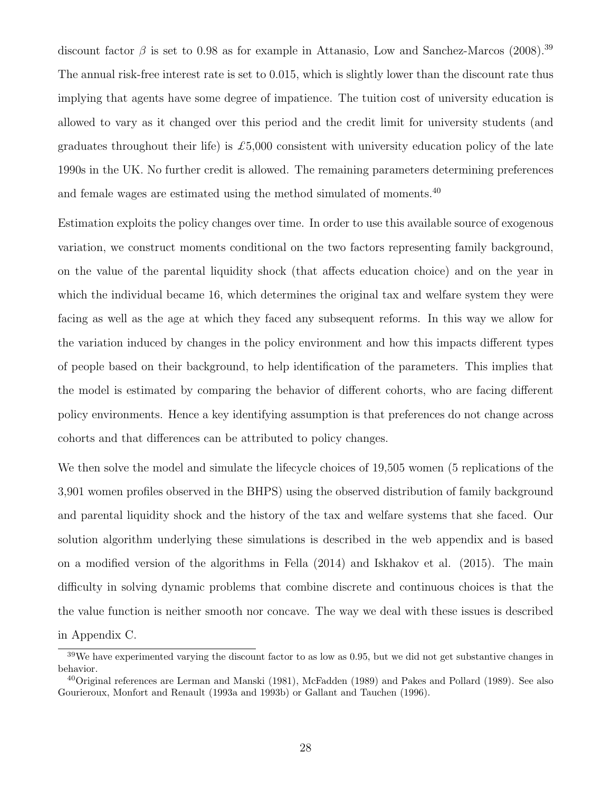discount factor  $\beta$  is set to 0.98 as for example in Attanasio, Low and Sanchez-Marcos (2008).<sup>39</sup> The annual risk-free interest rate is set to 0.015, which is slightly lower than the discount rate thus implying that agents have some degree of impatience. The tuition cost of university education is allowed to vary as it changed over this period and the credit limit for university students (and graduates throughout their life) is  $\pounds 5,000$  consistent with university education policy of the late 1990s in the UK. No further credit is allowed. The remaining parameters determining preferences and female wages are estimated using the method simulated of moments.<sup>40</sup>

Estimation exploits the policy changes over time. In order to use this available source of exogenous variation, we construct moments conditional on the two factors representing family background, on the value of the parental liquidity shock (that affects education choice) and on the year in which the individual became 16, which determines the original tax and welfare system they were facing as well as the age at which they faced any subsequent reforms. In this way we allow for the variation induced by changes in the policy environment and how this impacts different types of people based on their background, to help identification of the parameters. This implies that the model is estimated by comparing the behavior of different cohorts, who are facing different policy environments. Hence a key identifying assumption is that preferences do not change across cohorts and that differences can be attributed to policy changes.

We then solve the model and simulate the lifecycle choices of 19,505 women (5 replications of the 3,901 women profiles observed in the BHPS) using the observed distribution of family background and parental liquidity shock and the history of the tax and welfare systems that she faced. Our solution algorithm underlying these simulations is described in the web appendix and is based on a modified version of the algorithms in Fella (2014) and Iskhakov et al. (2015). The main difficulty in solving dynamic problems that combine discrete and continuous choices is that the the value function is neither smooth nor concave. The way we deal with these issues is described in Appendix C.

<sup>39</sup>We have experimented varying the discount factor to as low as 0.95, but we did not get substantive changes in behavior.

 $^{40}$ Original references are Lerman and Manski (1981), McFadden (1989) and Pakes and Pollard (1989). See also Gourieroux, Monfort and Renault (1993a and 1993b) or Gallant and Tauchen (1996).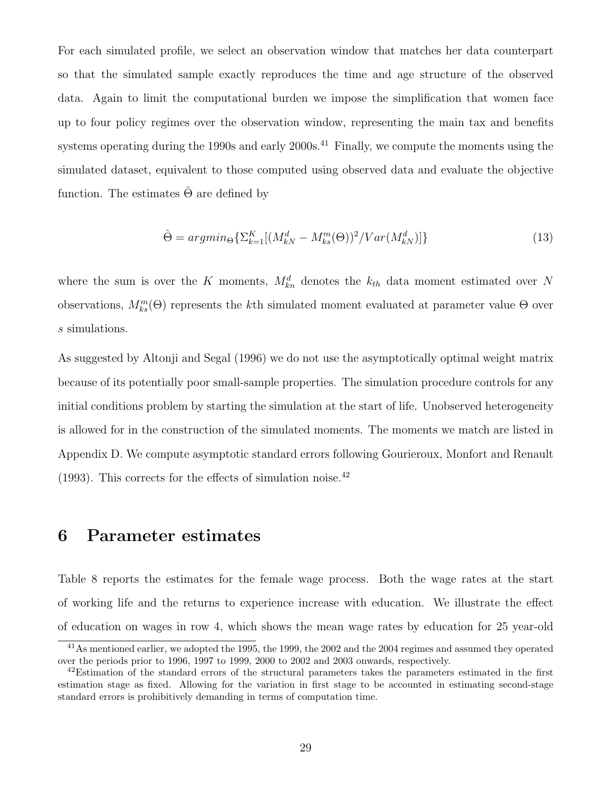For each simulated profile, we select an observation window that matches her data counterpart so that the simulated sample exactly reproduces the time and age structure of the observed data. Again to limit the computational burden we impose the simplification that women face up to four policy regimes over the observation window, representing the main tax and benefits systems operating during the 1990s and early  $2000s<sup>41</sup>$  Finally, we compute the moments using the simulated dataset, equivalent to those computed using observed data and evaluate the objective function. The estimates  $\hat{\Theta}$  are defined by

$$
\hat{\Theta} = argmin_{\Theta} \{ \Sigma_{k=1}^{K} [(M_{kN}^{d} - M_{ks}^{m}(\Theta))^{2} / Var(M_{kN}^{d})] \}
$$
\n(13)

where the sum is over the K moments,  $M_{kn}^d$  denotes the  $k_{th}$  data moment estimated over N observations,  $M_{ks}^m(\Theta)$  represents the k<sup>th</sup> simulated moment evaluated at parameter value  $\Theta$  over s simulations.

As suggested by Altonji and Segal (1996) we do not use the asymptotically optimal weight matrix because of its potentially poor small-sample properties. The simulation procedure controls for any initial conditions problem by starting the simulation at the start of life. Unobserved heterogeneity is allowed for in the construction of the simulated moments. The moments we match are listed in Appendix D. We compute asymptotic standard errors following Gourieroux, Monfort and Renault (1993). This corrects for the effects of simulation noise.  $42$ 

## 6 Parameter estimates

Table 8 reports the estimates for the female wage process. Both the wage rates at the start of working life and the returns to experience increase with education. We illustrate the effect of education on wages in row 4, which shows the mean wage rates by education for 25 year-old

 $41\text{As mentioned earlier, we adopted the 1995, the 1999, the 2002 and the 2004 regimes and assumed they operated.}$ over the periods prior to 1996, 1997 to 1999, 2000 to 2002 and 2003 onwards, respectively.

 $^{42}$ Estimation of the standard errors of the structural parameters takes the parameters estimated in the first estimation stage as fixed. Allowing for the variation in first stage to be accounted in estimating second-stage standard errors is prohibitively demanding in terms of computation time.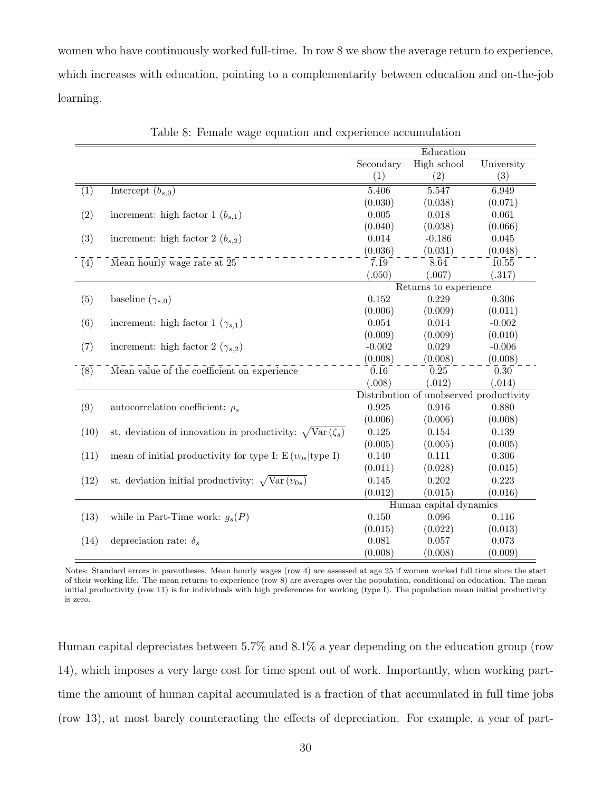women who have continuously worked full-time. In row 8 we show the average return to experience, which increases with education, pointing to a complementarity between education and on-the-job learning.

|                  |                                                                           |           | Education                               |            |
|------------------|---------------------------------------------------------------------------|-----------|-----------------------------------------|------------|
|                  |                                                                           | Secondary | High school                             | University |
|                  |                                                                           | (1)       | (2)                                     | (3)        |
| $\overline{(1)}$ | Intercept $(b_{s,0})$                                                     | 5.406     | 5.547                                   | 6.949      |
|                  |                                                                           | (0.030)   | (0.038)                                 | (0.071)    |
| (2)              | increment: high factor 1 $(b_{s,1})$                                      | 0.005     | 0.018                                   | 0.061      |
|                  |                                                                           | (0.040)   | (0.038)                                 | (0.066)    |
| (3)              | increment: high factor 2 $(b_{s,2})$                                      | 0.014     | $-0.186$                                | 0.045      |
|                  |                                                                           | (0.036)   | (0.031)                                 | (0.048)    |
| (4)              | Mean hourly wage rate at $25$                                             | 7.19      | $\overline{8.64}$                       | 10.55      |
|                  |                                                                           | (.050)    | (.067)                                  | (.317)     |
|                  |                                                                           |           | Returns to experience                   |            |
| (5)              | baseline $(\gamma_{s,0})$                                                 | 0.152     | 0.229                                   | 0.306      |
|                  |                                                                           | (0.006)   | (0.009)                                 | (0.011)    |
| (6)              | increment: high factor 1 $(\gamma_{s,1})$                                 | 0.054     | 0.014                                   | $-0.002$   |
|                  |                                                                           | (0.009)   | (0.009)                                 | (0.010)    |
| (7)              | increment: high factor 2 $(\gamma_{s,2})$                                 | $-0.002$  | 0.029                                   | $-0.006$   |
|                  |                                                                           | (0.008)   | (0.008)                                 | (0.008)    |
| (8)              | Mean value of the coefficient on experience                               | 0.16      | $\overline{0.25}$                       | 0.30       |
|                  |                                                                           | (.008)    | (.012)                                  | (.014)     |
|                  |                                                                           |           | Distribution of unobserved productivity |            |
| (9)              | autocorrelation coefficient: $\rho_s$                                     | 0.925     | 0.916                                   | 0.880      |
|                  |                                                                           | (0.006)   | (0.006)                                 | (0.008)    |
| (10)             | st. deviation of innovation in productivity: $\sqrt{\text{Var}(\zeta_s)}$ | 0.125     | 0.154                                   | 0.139      |
|                  |                                                                           | (0.005)   | (0.005)                                 | (0.005)    |
| (11)             | mean of initial productivity for type I: $E(v_{0s} $ type I)              | 0.140     | 0.111                                   | 0.306      |
|                  |                                                                           | (0.011)   | (0.028)                                 | (0.015)    |
| (12)             | st. deviation initial productivity: $\sqrt{\text{Var}(v_{0s})}$           | 0.145     | 0.202                                   | 0.223      |
|                  |                                                                           | (0.012)   | (0.015)                                 | (0.016)    |
|                  |                                                                           |           | Human capital dynamics                  |            |
| (13)             | while in Part-Time work: $g_s(P)$                                         | 0.150     | 0.096                                   | 0.116      |
|                  |                                                                           | (0.015)   | (0.022)                                 | (0.013)    |
| (14)             | depreciation rate: $\delta_s$                                             | 0.081     | 0.057                                   | 0.073      |
|                  |                                                                           | (0.008)   | (0.008)                                 | (0.009)    |

Table 8: Female wage equation and experience accumulation

Notes: Standard errors in parentheses. Mean hourly wages (row 4) are assessed at age 25 if women worked full time since the start of their working life. The mean returns to experience (row 8) are averages over the population, conditional on education. The mean initial productivity (row 11) is for individuals with high preferences for working (type I). The population mean initial productivity is zero.

Human capital depreciates between 5.7% and 8.1% a year depending on the education group (row 14), which imposes a very large cost for time spent out of work. Importantly, when working parttime the amount of human capital accumulated is a fraction of that accumulated in full time jobs (row 13), at most barely counteracting the effects of depreciation. For example, a year of part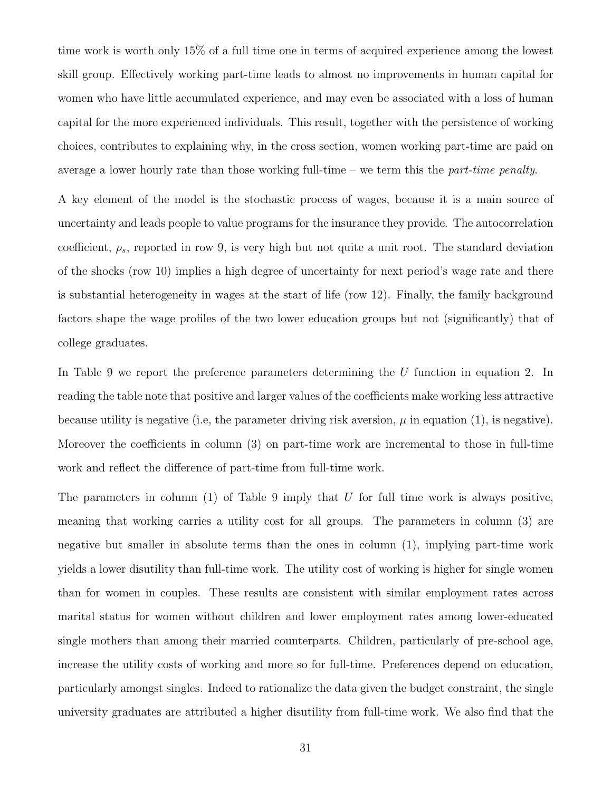time work is worth only 15% of a full time one in terms of acquired experience among the lowest skill group. Effectively working part-time leads to almost no improvements in human capital for women who have little accumulated experience, and may even be associated with a loss of human capital for the more experienced individuals. This result, together with the persistence of working choices, contributes to explaining why, in the cross section, women working part-time are paid on average a lower hourly rate than those working full-time – we term this the part-time penalty.

A key element of the model is the stochastic process of wages, because it is a main source of uncertainty and leads people to value programs for the insurance they provide. The autocorrelation coefficient,  $\rho_s$ , reported in row 9, is very high but not quite a unit root. The standard deviation of the shocks (row 10) implies a high degree of uncertainty for next period's wage rate and there is substantial heterogeneity in wages at the start of life (row 12). Finally, the family background factors shape the wage profiles of the two lower education groups but not (significantly) that of college graduates.

In Table 9 we report the preference parameters determining the U function in equation 2. In reading the table note that positive and larger values of the coefficients make working less attractive because utility is negative (i.e, the parameter driving risk aversion,  $\mu$  in equation (1), is negative). Moreover the coefficients in column (3) on part-time work are incremental to those in full-time work and reflect the difference of part-time from full-time work.

The parameters in column  $(1)$  of Table 9 imply that U for full time work is always positive, meaning that working carries a utility cost for all groups. The parameters in column (3) are negative but smaller in absolute terms than the ones in column (1), implying part-time work yields a lower disutility than full-time work. The utility cost of working is higher for single women than for women in couples. These results are consistent with similar employment rates across marital status for women without children and lower employment rates among lower-educated single mothers than among their married counterparts. Children, particularly of pre-school age, increase the utility costs of working and more so for full-time. Preferences depend on education, particularly amongst singles. Indeed to rationalize the data given the budget constraint, the single university graduates are attributed a higher disutility from full-time work. We also find that the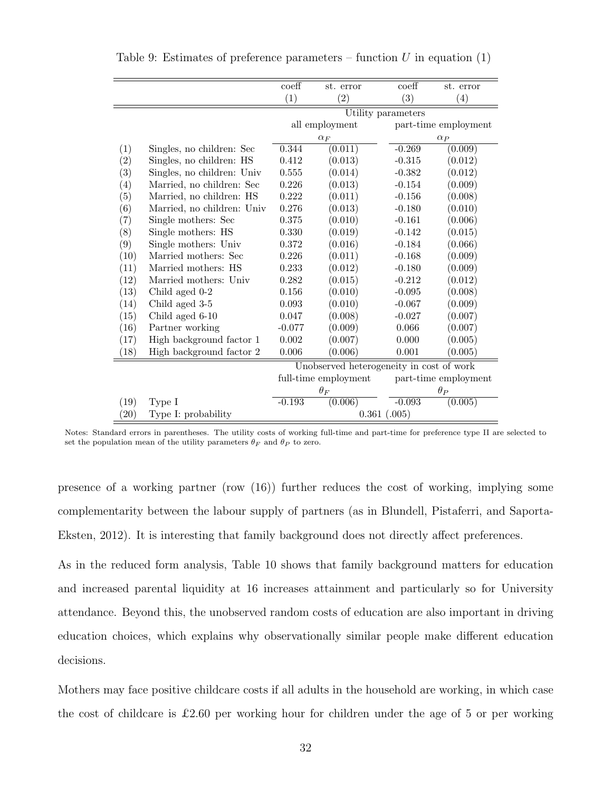|      |                            | $\mathrm{coeff}$ | st. error                                | $\mathrm{coeff}$   | st. error            |
|------|----------------------------|------------------|------------------------------------------|--------------------|----------------------|
|      |                            | (1)              | (2)                                      | (3)                | (4)                  |
|      |                            |                  |                                          | Utility parameters |                      |
|      |                            |                  | all employment                           |                    | part-time employment |
|      |                            |                  | $\alpha_F$                               |                    | $\alpha_P$           |
| (1)  | Singles, no children: Sec  | 0.344            | (0.011)                                  | $-0.269$           | (0.009)              |
| (2)  | Singles, no children: HS   | 0.412            | (0.013)                                  | $-0.315$           | (0.012)              |
| (3)  | Singles, no children: Univ | $0.555\,$        | (0.014)                                  | $-0.382$           | (0.012)              |
| (4)  | Married, no children: Sec  | 0.226            | (0.013)                                  | $-0.154$           | (0.009)              |
| (5)  | Married, no children: HS   | 0.222            | (0.011)                                  | $-0.156$           | (0.008)              |
| (6)  | Married, no children: Univ | 0.276            | (0.013)                                  | $-0.180$           | (0.010)              |
| (7)  | Single mothers: Sec        | 0.375            | (0.010)                                  | $-0.161$           | (0.006)              |
| (8)  | Single mothers: HS         | 0.330            | (0.019)                                  | $-0.142$           | (0.015)              |
| (9)  | Single mothers: Univ       | 0.372            | (0.016)                                  | $-0.184$           | (0.066)              |
| (10) | Married mothers: Sec       | 0.226            | (0.011)                                  | $-0.168$           | (0.009)              |
| (11) | Married mothers: HS        | 0.233            | (0.012)                                  | $-0.180$           | (0.009)              |
| (12) | Married mothers: Univ      | 0.282            | (0.015)                                  | $-0.212$           | (0.012)              |
| (13) | Child aged 0-2             | 0.156            | (0.010)                                  | $-0.095$           | (0.008)              |
| (14) | Child aged 3-5             | 0.093            | (0.010)                                  | $-0.067$           | (0.009)              |
| (15) | Child aged 6-10            | 0.047            | (0.008)                                  | $-0.027$           | (0.007)              |
| (16) | Partner working            | $-0.077$         | (0.009)                                  | 0.066              | (0.007)              |
| (17) | High background factor 1   | 0.002            | (0.007)                                  | 0.000              | (0.005)              |
| (18) | High background factor 2   | 0.006            | (0.006)                                  | 0.001              | (0.005)              |
|      |                            |                  | Unobserved heterogeneity in cost of work |                    |                      |
|      |                            |                  | full-time employment                     |                    | part-time employment |
|      |                            |                  | $\theta_F$                               |                    | $\theta_P$           |
| (19) | Type I                     | $-0.193$         | (0.006)                                  | $-0.093$           | (0.005)              |
| (20) | Type I: probability        |                  |                                          | $0.361$ $(.005)$   |                      |

Table 9: Estimates of preference parameters – function  $U$  in equation (1)

Notes: Standard errors in parentheses. The utility costs of working full-time and part-time for preference type II are selected to set the population mean of the utility parameters  $\theta_F$  and  $\theta_P$  to zero.

presence of a working partner (row (16)) further reduces the cost of working, implying some complementarity between the labour supply of partners (as in Blundell, Pistaferri, and Saporta-Eksten, 2012). It is interesting that family background does not directly affect preferences.

As in the reduced form analysis, Table 10 shows that family background matters for education and increased parental liquidity at 16 increases attainment and particularly so for University attendance. Beyond this, the unobserved random costs of education are also important in driving education choices, which explains why observationally similar people make different education decisions.

Mothers may face positive childcare costs if all adults in the household are working, in which case the cost of childcare is £2.60 per working hour for children under the age of 5 or per working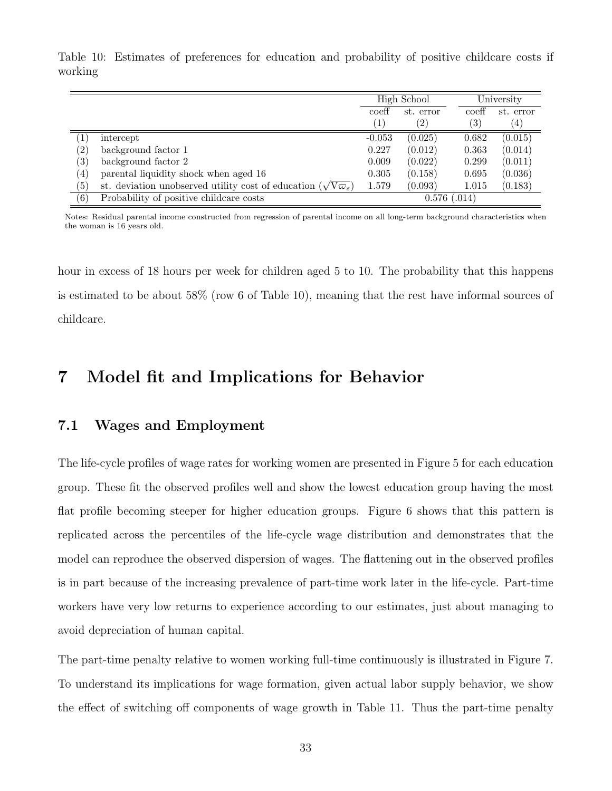|                        |                                                                               | High School |                   |                   | University |
|------------------------|-------------------------------------------------------------------------------|-------------|-------------------|-------------------|------------|
|                        |                                                                               | coeff       | st. error         | coeff             | st. error  |
|                        |                                                                               |             | $\left( 2\right)$ | $\left( 3\right)$ | (4)        |
| $\left 1\right\rangle$ | intercept                                                                     | $-0.053$    | (0.025)           | 0.682             | (0.015)    |
| $^{\prime}2)$          | background factor 1                                                           | 0.227       | (0.012)           | 0.363             | (0.014)    |
| $\left( 3\right)$      | background factor 2                                                           | 0.009       | (0.022)           | 0.299             | (0.011)    |
| $\left(4\right)$       | parental liquidity shock when aged 16                                         | 0.305       | (0.158)           | 0.695             | (0.036)    |
| $\left( 5\right)$      | st. deviation unobserved utility cost of education $(\sqrt{\nabla \varpi_s})$ | 1.579       | (0.093)           | 1.015             | (0.183)    |
| (6)                    | Probability of positive childcare costs                                       |             | $0.576$ $(.014)$  |                   |            |

Table 10: Estimates of preferences for education and probability of positive childcare costs if working

Notes: Residual parental income constructed from regression of parental income on all long-term background characteristics when the woman is 16 years old.

hour in excess of 18 hours per week for children aged 5 to 10. The probability that this happens is estimated to be about 58% (row 6 of Table 10), meaning that the rest have informal sources of childcare.

# 7 Model fit and Implications for Behavior

### 7.1 Wages and Employment

The life-cycle profiles of wage rates for working women are presented in Figure 5 for each education group. These fit the observed profiles well and show the lowest education group having the most flat profile becoming steeper for higher education groups. Figure 6 shows that this pattern is replicated across the percentiles of the life-cycle wage distribution and demonstrates that the model can reproduce the observed dispersion of wages. The flattening out in the observed profiles is in part because of the increasing prevalence of part-time work later in the life-cycle. Part-time workers have very low returns to experience according to our estimates, just about managing to avoid depreciation of human capital.

The part-time penalty relative to women working full-time continuously is illustrated in Figure 7. To understand its implications for wage formation, given actual labor supply behavior, we show the effect of switching off components of wage growth in Table 11. Thus the part-time penalty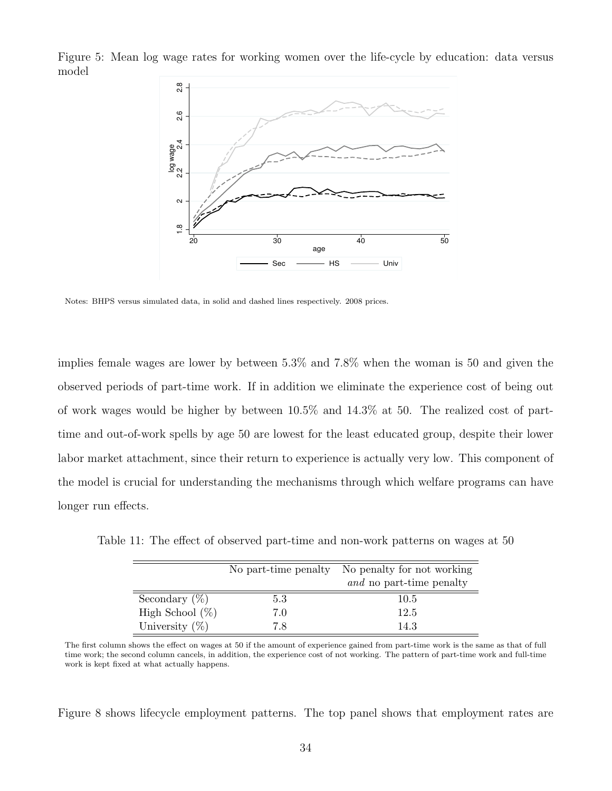Figure 5: Mean log wage rates for working women over the life-cycle by education: data versus model



Notes: BHPS versus simulated data, in solid and dashed lines respectively. 2008 prices.

implies female wages are lower by between 5.3% and 7.8% when the woman is 50 and given the observed periods of part-time work. If in addition we eliminate the experience cost of being out of work wages would be higher by between 10.5% and 14.3% at 50. The realized cost of parttime and out-of-work spells by age 50 are lowest for the least educated group, despite their lower labor market attachment, since their return to experience is actually very low. This component of the model is crucial for understanding the mechanisms through which welfare programs can have longer run effects.

|                    |     | No part-time penalty No penalty for not working |
|--------------------|-----|-------------------------------------------------|
|                    |     | <i>and</i> no part-time penalty                 |
| Secondary $(\%)$   | 5.3 | 10.5                                            |
| High School $(\%)$ | 7.0 | 12.5                                            |
| University $(\%)$  | 78  | 14.3                                            |

Table 11: The effect of observed part-time and non-work patterns on wages at 50

Figure 8 shows lifecycle employment patterns. The top panel shows that employment rates are

The first column shows the effect on wages at 50 if the amount of experience gained from part-time work is the same as that of full time work; the second column cancels, in addition, the experience cost of not working. The pattern of part-time work and full-time work is kept fixed at what actually happens.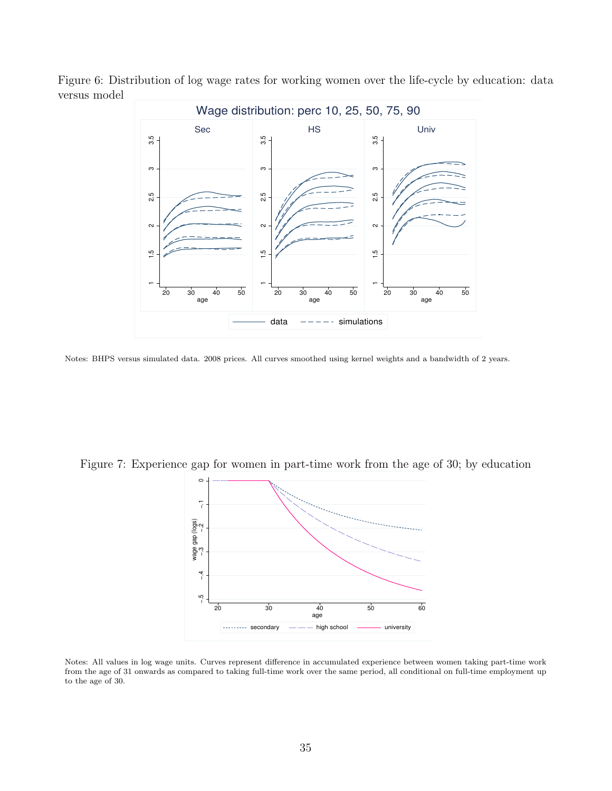

Figure 6: Distribution of log wage rates for working women over the life-cycle by education: data versus model

Notes: BHPS versus simulated data. 2008 prices. All curves smoothed using kernel weights and a bandwidth of 2 years.

Figure 7: Experience gap for women in part-time work from the age of 30; by education



Notes: All values in log wage units. Curves represent difference in accumulated experience between women taking part-time work from the age of 31 onwards as compared to taking full-time work over the same period, all conditional on full-time employment up to the age of 30.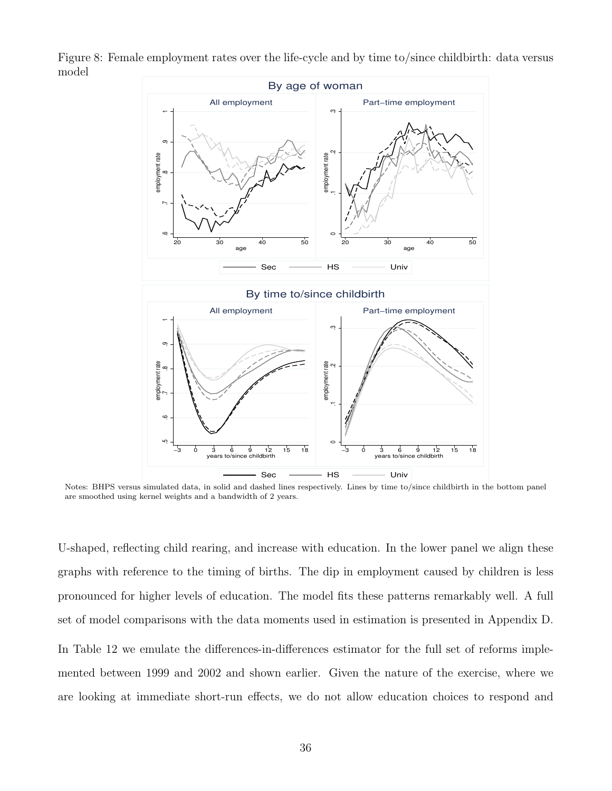Figure 8: Female employment rates over the life-cycle and by time to/since childbirth: data versus model



Notes: BHPS versus simulated data, in solid and dashed lines respectively. Lines by time to/since childbirth in the bottom panel are smoothed using kernel weights and a bandwidth of 2 years.

U-shaped, reflecting child rearing, and increase with education. In the lower panel we align these graphs with reference to the timing of births. The dip in employment caused by children is less pronounced for higher levels of education. The model fits these patterns remarkably well. A full set of model comparisons with the data moments used in estimation is presented in Appendix D. In Table 12 we emulate the differences-in-differences estimator for the full set of reforms implemented between 1999 and 2002 and shown earlier. Given the nature of the exercise, where we are looking at immediate short-run effects, we do not allow education choices to respond and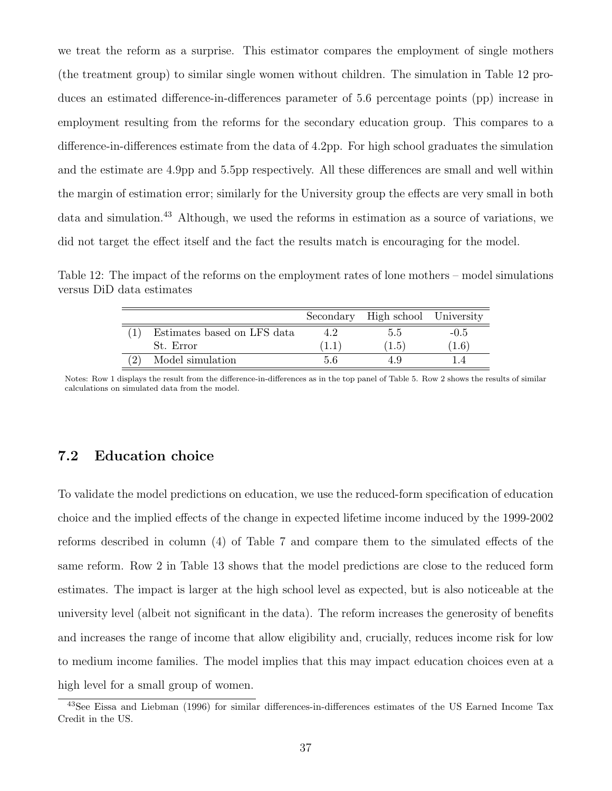we treat the reform as a surprise. This estimator compares the employment of single mothers (the treatment group) to similar single women without children. The simulation in Table 12 produces an estimated difference-in-differences parameter of 5.6 percentage points (pp) increase in employment resulting from the reforms for the secondary education group. This compares to a difference-in-differences estimate from the data of 4.2pp. For high school graduates the simulation and the estimate are 4.9pp and 5.5pp respectively. All these differences are small and well within the margin of estimation error; similarly for the University group the effects are very small in both data and simulation.<sup>43</sup> Although, we used the reforms in estimation as a source of variations, we did not target the effect itself and the fact the results match is encouraging for the model.

Table 12: The impact of the reforms on the employment rates of lone mothers – model simulations versus DiD data estimates

|                             | Secondary High school University |        |
|-----------------------------|----------------------------------|--------|
| Estimates based on LFS data | 5.5                              | $-0.5$ |
| St. Error                   | (1.5)                            | 1.6)   |
| Model simulation            |                                  |        |

Notes: Row 1 displays the result from the difference-in-differences as in the top panel of Table 5. Row 2 shows the results of similar calculations on simulated data from the model.

## 7.2 Education choice

To validate the model predictions on education, we use the reduced-form specification of education choice and the implied effects of the change in expected lifetime income induced by the 1999-2002 reforms described in column (4) of Table 7 and compare them to the simulated effects of the same reform. Row 2 in Table 13 shows that the model predictions are close to the reduced form estimates. The impact is larger at the high school level as expected, but is also noticeable at the university level (albeit not significant in the data). The reform increases the generosity of benefits and increases the range of income that allow eligibility and, crucially, reduces income risk for low to medium income families. The model implies that this may impact education choices even at a high level for a small group of women.

<sup>&</sup>lt;sup>43</sup>See Eissa and Liebman (1996) for similar differences-in-differences estimates of the US Earned Income Tax Credit in the US.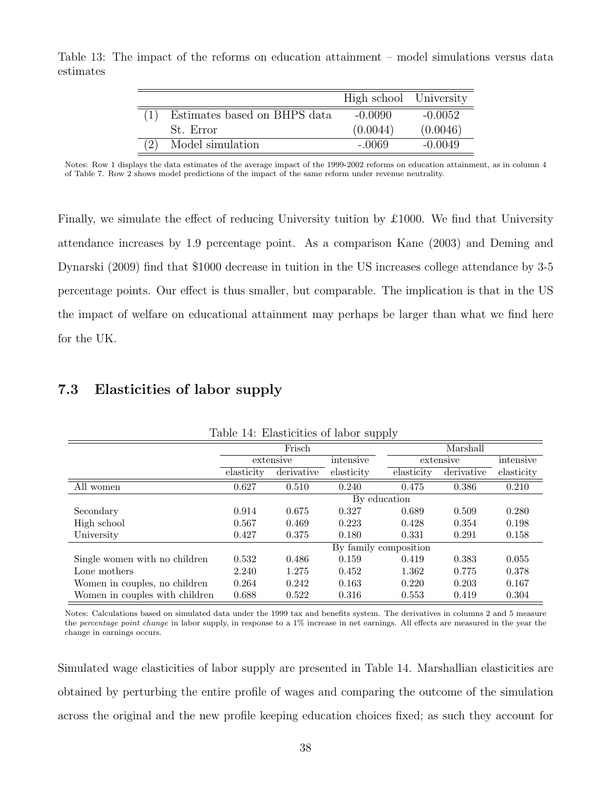|     |                              | High school University |           |
|-----|------------------------------|------------------------|-----------|
|     | Estimates based on BHPS data | $-0.0090$              | $-0.0052$ |
|     | St. Error                    | (0.0044)               | (0.0046)  |
| (2) | Model simulation             | $-.0069$               | $-0.0049$ |

Table 13: The impact of the reforms on education attainment – model simulations versus data estimates

Notes: Row 1 displays the data estimates of the average impact of the 1999-2002 reforms on education attainment, as in column 4 of Table 7. Row 2 shows model predictions of the impact of the same reform under revenue neutrality.

Finally, we simulate the effect of reducing University tuition by £1000. We find that University attendance increases by 1.9 percentage point. As a comparison Kane (2003) and Deming and Dynarski (2009) find that \$1000 decrease in tuition in the US increases college attendance by 3-5 percentage points. Our effect is thus smaller, but comparable. The implication is that in the US the impact of welfare on educational attainment may perhaps be larger than what we find here for the UK.

| Table 14: Elasticities of labor supply |              |            |            |                       |            |            |  |  |  |  |  |
|----------------------------------------|--------------|------------|------------|-----------------------|------------|------------|--|--|--|--|--|
|                                        |              | Frisch     |            |                       | Marshall   |            |  |  |  |  |  |
|                                        |              | extensive  | intensive  |                       | extensive  | intensive  |  |  |  |  |  |
|                                        | elasticity   | derivative | elasticity | elasticity            | derivative | elasticity |  |  |  |  |  |
| All women                              | 0.627        | 0.510      | 0.240      | 0.475                 | 0.386      | 0.210      |  |  |  |  |  |
|                                        | By education |            |            |                       |            |            |  |  |  |  |  |
| Secondary                              | 0.914        | 0.675      | 0.327      | 0.689                 | 0.509      | 0.280      |  |  |  |  |  |
| High school                            | 0.567        | 0.469      | 0.223      | 0.428                 | 0.354      | 0.198      |  |  |  |  |  |
| University                             | 0.427        | 0.375      | 0.180      | 0.331                 | 0.291      | 0.158      |  |  |  |  |  |
|                                        |              |            |            | By family composition |            |            |  |  |  |  |  |
| Single women with no children          | 0.532        | 0.486      | 0.159      | 0.419                 | 0.383      | 0.055      |  |  |  |  |  |
| Lone mothers                           | 2.240        | 1.275      | 0.452      | 1.362                 | 0.775      | 0.378      |  |  |  |  |  |
| Women in couples, no children          | 0.264        | 0.242      | 0.163      | 0.220                 | 0.203      | 0.167      |  |  |  |  |  |
| Women in couples with children         | 0.688        | 0.522      | 0.316      | 0.553                 | 0.419      | 0.304      |  |  |  |  |  |

## 7.3 Elasticities of labor supply

Notes: Calculations based on simulated data under the 1999 tax and benefits system. The derivatives in columns 2 and 5 measure the percentage point change in labor supply, in response to a 1% increase in net earnings. All effects are measured in the year the change in earnings occurs.

Simulated wage elasticities of labor supply are presented in Table 14. Marshallian elasticities are obtained by perturbing the entire profile of wages and comparing the outcome of the simulation across the original and the new profile keeping education choices fixed; as such they account for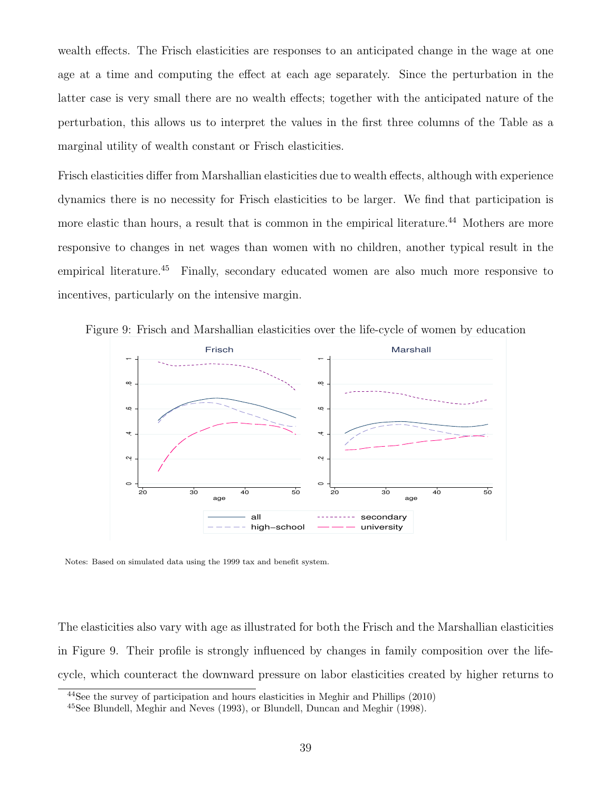wealth effects. The Frisch elasticities are responses to an anticipated change in the wage at one age at a time and computing the effect at each age separately. Since the perturbation in the latter case is very small there are no wealth effects; together with the anticipated nature of the perturbation, this allows us to interpret the values in the first three columns of the Table as a marginal utility of wealth constant or Frisch elasticities.

Frisch elasticities differ from Marshallian elasticities due to wealth effects, although with experience dynamics there is no necessity for Frisch elasticities to be larger. We find that participation is more elastic than hours, a result that is common in the empirical literature.<sup>44</sup> Mothers are more responsive to changes in net wages than women with no children, another typical result in the empirical literature.<sup>45</sup> Finally, secondary educated women are also much more responsive to incentives, particularly on the intensive margin.





Notes: Based on simulated data using the 1999 tax and benefit system.

The elasticities also vary with age as illustrated for both the Frisch and the Marshallian elasticities in Figure 9. Their profile is strongly influenced by changes in family composition over the lifecycle, which counteract the downward pressure on labor elasticities created by higher returns to

 $^{44}$ See the survey of participation and hours elasticities in Meghir and Phillips (2010)

<sup>45</sup>See Blundell, Meghir and Neves (1993), or Blundell, Duncan and Meghir (1998).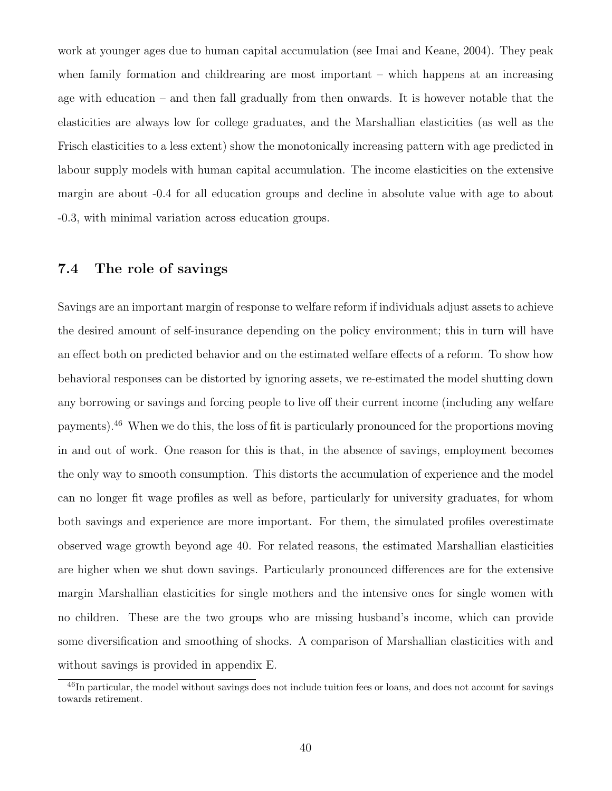work at younger ages due to human capital accumulation (see Imai and Keane, 2004). They peak when family formation and childrearing are most important – which happens at an increasing age with education – and then fall gradually from then onwards. It is however notable that the elasticities are always low for college graduates, and the Marshallian elasticities (as well as the Frisch elasticities to a less extent) show the monotonically increasing pattern with age predicted in labour supply models with human capital accumulation. The income elasticities on the extensive margin are about -0.4 for all education groups and decline in absolute value with age to about -0.3, with minimal variation across education groups.

## 7.4 The role of savings

Savings are an important margin of response to welfare reform if individuals adjust assets to achieve the desired amount of self-insurance depending on the policy environment; this in turn will have an effect both on predicted behavior and on the estimated welfare effects of a reform. To show how behavioral responses can be distorted by ignoring assets, we re-estimated the model shutting down any borrowing or savings and forcing people to live off their current income (including any welfare payments).<sup>46</sup> When we do this, the loss of fit is particularly pronounced for the proportions moving in and out of work. One reason for this is that, in the absence of savings, employment becomes the only way to smooth consumption. This distorts the accumulation of experience and the model can no longer fit wage profiles as well as before, particularly for university graduates, for whom both savings and experience are more important. For them, the simulated profiles overestimate observed wage growth beyond age 40. For related reasons, the estimated Marshallian elasticities are higher when we shut down savings. Particularly pronounced differences are for the extensive margin Marshallian elasticities for single mothers and the intensive ones for single women with no children. These are the two groups who are missing husband's income, which can provide some diversification and smoothing of shocks. A comparison of Marshallian elasticities with and without savings is provided in appendix E.

<sup>&</sup>lt;sup>46</sup>In particular, the model without savings does not include tuition fees or loans, and does not account for savings towards retirement.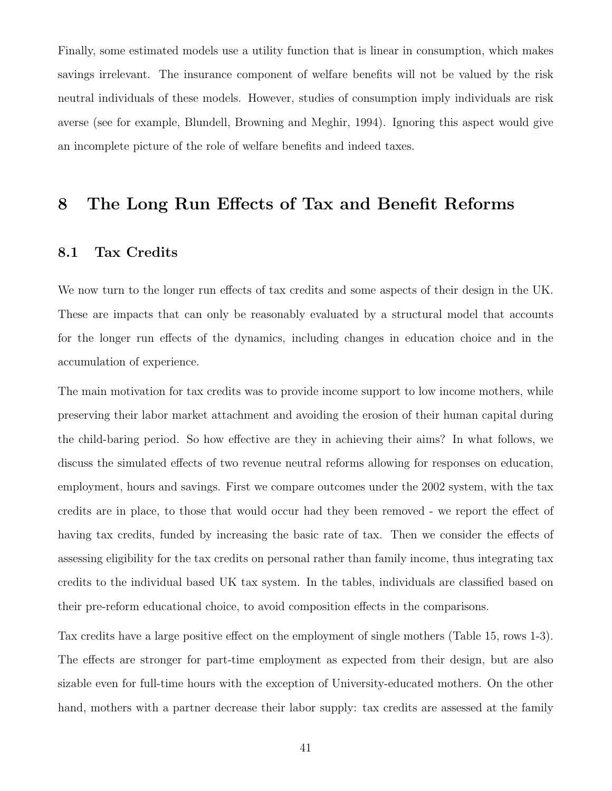Finally, some estimated models use a utility function that is linear in consumption, which makes savings irrelevant. The insurance component of welfare benefits will not be valued by the risk neutral individuals of these models. However, studies of consumption imply individuals are risk averse (see for example, Blundell, Browning and Meghir, 1994). Ignoring this aspect would give an incomplete picture of the role of welfare benefits and indeed taxes.

# 8 The Long Run Effects of Tax and Benefit Reforms

### 8.1 Tax Credits

We now turn to the longer run effects of tax credits and some aspects of their design in the UK. These are impacts that can only be reasonably evaluated by a structural model that accounts for the longer run effects of the dynamics, including changes in education choice and in the accumulation of experience.

The main motivation for tax credits was to provide income support to low income mothers, while preserving their labor market attachment and avoiding the erosion of their human capital during the child-baring period. So how effective are they in achieving their aims? In what follows, we discuss the simulated effects of two revenue neutral reforms allowing for responses on education, employment, hours and savings. First we compare outcomes under the 2002 system, with the tax credits are in place, to those that would occur had they been removed - we report the effect of having tax credits, funded by increasing the basic rate of tax. Then we consider the effects of assessing eligibility for the tax credits on personal rather than family income, thus integrating tax credits to the individual based UK tax system. In the tables, individuals are classified based on their pre-reform educational choice, to avoid composition effects in the comparisons.

Tax credits have a large positive effect on the employment of single mothers (Table 15, rows 1-3). The effects are stronger for part-time employment as expected from their design, but are also sizable even for full-time hours with the exception of University-educated mothers. On the other hand, mothers with a partner decrease their labor supply: tax credits are assessed at the family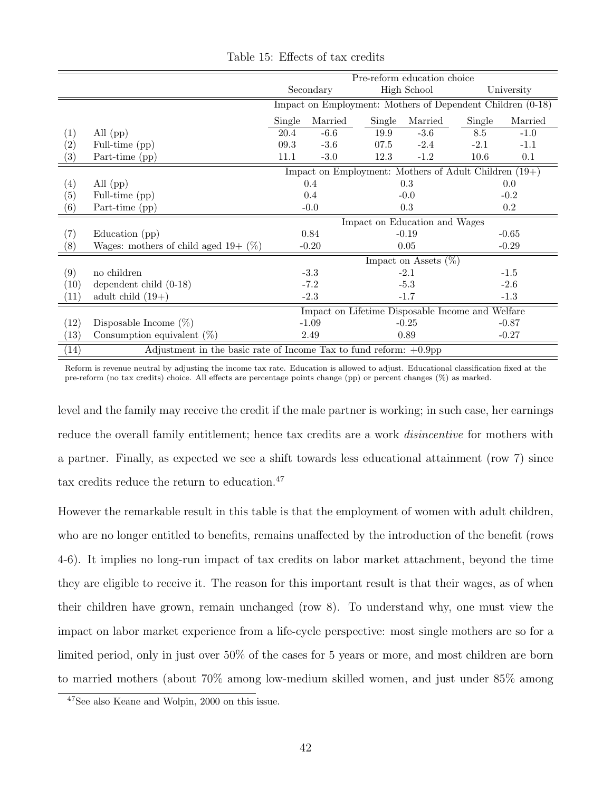|      |                                                                      | Pre-reform education choice   |           |        |                                                            |         |            |  |  |
|------|----------------------------------------------------------------------|-------------------------------|-----------|--------|------------------------------------------------------------|---------|------------|--|--|
|      |                                                                      |                               | Secondary |        | High School                                                |         | University |  |  |
|      |                                                                      |                               |           |        | Impact on Employment: Mothers of Dependent Children (0-18) |         |            |  |  |
|      |                                                                      | Single                        | Married   | Single | Married                                                    |         |            |  |  |
| (1)  | All $(pp)$                                                           | 20.4                          | $-6.6$    | 19.9   | $-3.6$                                                     | 8.5     | $-1.0$     |  |  |
| (2)  | Full-time (pp)                                                       | 09.3                          | $-3.6$    | 07.5   | $-2.4$                                                     | $-2.1$  | $-1.1$     |  |  |
| (3)  | Part-time (pp)                                                       | 11.1                          | $-3.0$    | 12.3   | $-1.2$                                                     | 10.6    | 0.1        |  |  |
|      | Impact on Employment: Mothers of Adult Children $(19+)$              |                               |           |        |                                                            |         |            |  |  |
| (4)  | All $(pp)$                                                           | 0.4<br>0.3<br>0.0             |           |        |                                                            |         |            |  |  |
| (5)  | Full-time (pp)                                                       |                               | 0.4       |        | $-0.0$                                                     |         | $-0.2$     |  |  |
| (6)  | Part-time (pp)                                                       |                               | $-0.0$    |        | 0.3                                                        |         | 0.2        |  |  |
|      |                                                                      | Impact on Education and Wages |           |        |                                                            |         |            |  |  |
| (7)  | Education (pp)                                                       |                               | 0.84      |        | $-0.19$                                                    |         | $-0.65$    |  |  |
| (8)  | Wages: mothers of child aged $19 + (\%)$                             |                               | $-0.20$   |        | 0.05                                                       | $-0.29$ |            |  |  |
|      |                                                                      |                               |           |        | Impact on Assets $(\%)$                                    |         |            |  |  |
| (9)  | no children                                                          |                               | $-3.3$    |        | $-2.1$                                                     |         | $-1.5$     |  |  |
| (10) | dependent child $(0-18)$                                             |                               | $-7.2$    |        | $-5.3$                                                     |         | $-2.6$     |  |  |
| (11) | adult child $(19+)$                                                  |                               | $-2.3$    |        | $-1.7$                                                     |         | $-1.3$     |  |  |
|      |                                                                      |                               |           |        | Impact on Lifetime Disposable Income and Welfare           |         |            |  |  |
| (12) | Disposable Income $(\%)$                                             | $-1.09$<br>$-0.25$<br>$-0.87$ |           |        |                                                            |         |            |  |  |
| (13) | Consumption equivalent $(\%)$                                        | 2.49<br>0.89<br>$-0.27$       |           |        |                                                            |         |            |  |  |
| (14) | Adjustment in the basic rate of Income Tax to fund reform: $+0.9$ pp |                               |           |        |                                                            |         |            |  |  |

Table 15: Effects of tax credits

Reform is revenue neutral by adjusting the income tax rate. Education is allowed to adjust. Educational classification fixed at the pre-reform (no tax credits) choice. All effects are percentage points change (pp) or percent changes (%) as marked.

level and the family may receive the credit if the male partner is working; in such case, her earnings reduce the overall family entitlement; hence tax credits are a work *disincentive* for mothers with a partner. Finally, as expected we see a shift towards less educational attainment (row 7) since tax credits reduce the return to education.<sup>47</sup>

However the remarkable result in this table is that the employment of women with adult children, who are no longer entitled to benefits, remains unaffected by the introduction of the benefit (rows 4-6). It implies no long-run impact of tax credits on labor market attachment, beyond the time they are eligible to receive it. The reason for this important result is that their wages, as of when their children have grown, remain unchanged (row 8). To understand why, one must view the impact on labor market experience from a life-cycle perspective: most single mothers are so for a limited period, only in just over 50% of the cases for 5 years or more, and most children are born to married mothers (about 70% among low-medium skilled women, and just under 85% among

<sup>47</sup>See also Keane and Wolpin, 2000 on this issue.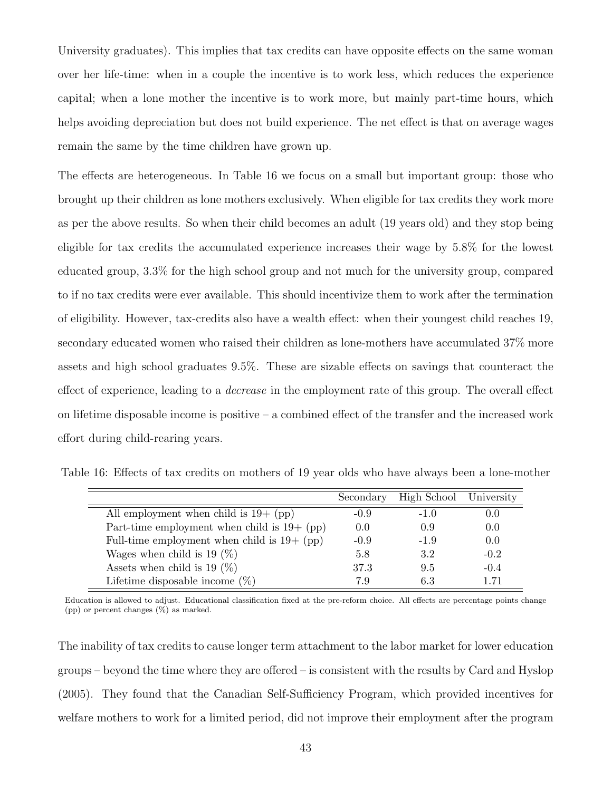University graduates). This implies that tax credits can have opposite effects on the same woman over her life-time: when in a couple the incentive is to work less, which reduces the experience capital; when a lone mother the incentive is to work more, but mainly part-time hours, which helps avoiding depreciation but does not build experience. The net effect is that on average wages remain the same by the time children have grown up.

The effects are heterogeneous. In Table 16 we focus on a small but important group: those who brought up their children as lone mothers exclusively. When eligible for tax credits they work more as per the above results. So when their child becomes an adult (19 years old) and they stop being eligible for tax credits the accumulated experience increases their wage by 5.8% for the lowest educated group, 3.3% for the high school group and not much for the university group, compared to if no tax credits were ever available. This should incentivize them to work after the termination of eligibility. However, tax-credits also have a wealth effect: when their youngest child reaches 19, secondary educated women who raised their children as lone-mothers have accumulated  $37\%$  more assets and high school graduates 9.5%. These are sizable effects on savings that counteract the effect of experience, leading to a decrease in the employment rate of this group. The overall effect on lifetime disposable income is positive – a combined effect of the transfer and the increased work effort during child-rearing years.

|                                               | Secondary | High School University |        |
|-----------------------------------------------|-----------|------------------------|--------|
| All employment when child is $19+$ (pp)       | $-0.9$    | $-1.0$                 | (0.0)  |
| Part-time employment when child is $19+$ (pp) | 0.0       | 0.9                    | 0.0    |
| Full-time employment when child is $19+$ (pp) | $-0.9$    | $-1.9$                 | 0.0    |
| Wages when child is 19 $(\%)$                 | 5.8       | 3.2                    | $-0.2$ |
| Assets when child is 19 $(\%)$                | 37.3      | 9.5                    | $-0.4$ |
| Lifetime disposable income $(\%)$             | 79        | 6.3                    | 171    |

Table 16: Effects of tax credits on mothers of 19 year olds who have always been a lone-mother

Education is allowed to adjust. Educational classification fixed at the pre-reform choice. All effects are percentage points change (pp) or percent changes (%) as marked.

The inability of tax credits to cause longer term attachment to the labor market for lower education groups – beyond the time where they are offered – is consistent with the results by Card and Hyslop (2005). They found that the Canadian Self-Sufficiency Program, which provided incentives for welfare mothers to work for a limited period, did not improve their employment after the program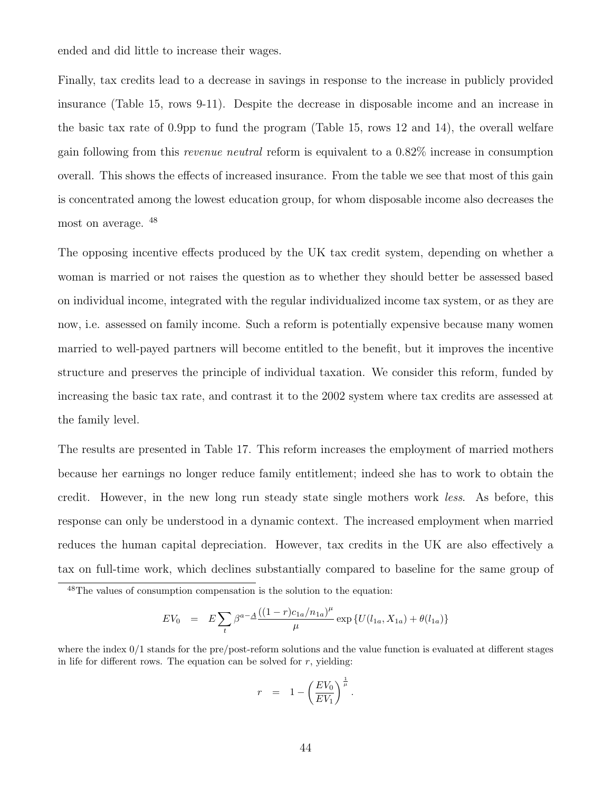ended and did little to increase their wages.

Finally, tax credits lead to a decrease in savings in response to the increase in publicly provided insurance (Table 15, rows 9-11). Despite the decrease in disposable income and an increase in the basic tax rate of 0.9pp to fund the program (Table 15, rows 12 and 14), the overall welfare gain following from this revenue neutral reform is equivalent to a 0.82% increase in consumption overall. This shows the effects of increased insurance. From the table we see that most of this gain is concentrated among the lowest education group, for whom disposable income also decreases the most on average. <sup>48</sup>

The opposing incentive effects produced by the UK tax credit system, depending on whether a woman is married or not raises the question as to whether they should better be assessed based on individual income, integrated with the regular individualized income tax system, or as they are now, i.e. assessed on family income. Such a reform is potentially expensive because many women married to well-payed partners will become entitled to the benefit, but it improves the incentive structure and preserves the principle of individual taxation. We consider this reform, funded by increasing the basic tax rate, and contrast it to the 2002 system where tax credits are assessed at the family level.

The results are presented in Table 17. This reform increases the employment of married mothers because her earnings no longer reduce family entitlement; indeed she has to work to obtain the credit. However, in the new long run steady state single mothers work less. As before, this response can only be understood in a dynamic context. The increased employment when married reduces the human capital depreciation. However, tax credits in the UK are also effectively a tax on full-time work, which declines substantially compared to baseline for the same group of

$$
EV_0 = E \sum_{t} \beta^{a-\underline{A}} \frac{((1-r)c_{1a}/n_{1a})^{\mu}}{\mu} \exp \{U(l_{1a}, X_{1a}) + \theta(l_{1a})\}
$$

$$
r = 1 - \left(\frac{EV_0}{EV_1}\right)^{\frac{1}{\mu}}.
$$

<sup>&</sup>lt;sup>48</sup>The values of consumption compensation is the solution to the equation:

where the index  $0/1$  stands for the pre/post-reform solutions and the value function is evaluated at different stages in life for different rows. The equation can be solved for  $r$ , yielding: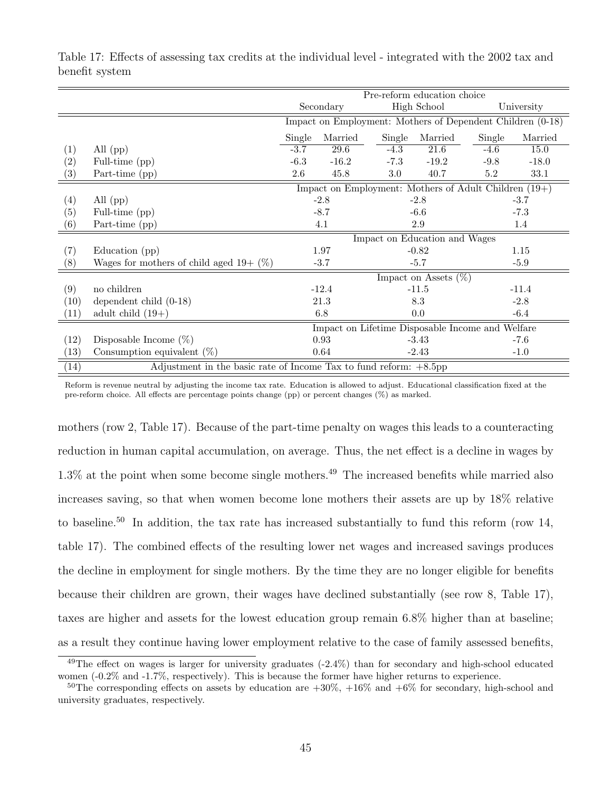|      |                                                                      | Pre-reform education choice |                                                            |        |                               |        |            |  |  |
|------|----------------------------------------------------------------------|-----------------------------|------------------------------------------------------------|--------|-------------------------------|--------|------------|--|--|
|      |                                                                      |                             | Secondary                                                  |        | High School                   |        | University |  |  |
|      |                                                                      |                             | Impact on Employment: Mothers of Dependent Children (0-18) |        |                               |        |            |  |  |
|      |                                                                      | Single                      | Married                                                    | Single | Married                       | Single | Married    |  |  |
| (1)  | All $(pp)$                                                           | $-3.7$                      | 29.6                                                       | $-4.3$ | 21.6                          | $-4.6$ | 15.0       |  |  |
| (2)  | Full-time (pp)                                                       | $-6.3$                      | $-16.2$                                                    | $-7.3$ | $-19.2$                       | $-9.8$ | $-18.0$    |  |  |
| (3)  | Part-time (pp)                                                       | 2.6                         | 45.8                                                       | 3.0    | 40.7                          | 5.2    | 33.1       |  |  |
|      |                                                                      |                             | Impact on Employment: Mothers of Adult Children $(19+)$    |        |                               |        |            |  |  |
| (4)  | All $(pp)$                                                           |                             | $-2.8$                                                     |        | $-2.8$                        |        | $-3.7$     |  |  |
| (5)  | Full-time (pp)                                                       |                             | $-8.7$                                                     |        | $-6.6$                        |        | $-7.3$     |  |  |
| (6)  | Part-time (pp)                                                       |                             | 4.1                                                        |        | 2.9                           |        | 1.4        |  |  |
|      |                                                                      |                             |                                                            |        | Impact on Education and Wages |        |            |  |  |
| (7)  | Education (pp)                                                       |                             | 1.97                                                       |        | $-0.82$                       |        | 1.15       |  |  |
| (8)  | Wages for mothers of child aged $19 + (\%)$                          |                             | $-3.7$                                                     |        | $-5.7$                        |        | $-5.9$     |  |  |
|      |                                                                      |                             |                                                            |        | Impact on Assets $(\%)$       |        |            |  |  |
| (9)  | no children                                                          |                             | $-12.4$                                                    |        | $-11.5$                       |        | $-11.4$    |  |  |
| (10) | dependent child $(0-18)$                                             |                             | 21.3                                                       |        | 8.3                           |        | $-2.8$     |  |  |
| (11) | adult child $(19+)$                                                  |                             | $6.8\,$                                                    |        | $0.0\,$                       |        | $-6.4$     |  |  |
|      |                                                                      |                             | Impact on Lifetime Disposable Income and Welfare           |        |                               |        |            |  |  |
| (12) | Disposable Income $(\%)$                                             |                             | 0.93                                                       |        | $-3.43$                       |        | $-7.6$     |  |  |
| (13) | Consumption equivalent $(\%)$                                        |                             | 0.64                                                       |        | $-2.43$                       |        | $-1.0$     |  |  |
| (14) | Adjustment in the basic rate of Income Tax to fund reform: $+8.5$ pp |                             |                                                            |        |                               |        |            |  |  |

Table 17: Effects of assessing tax credits at the individual level - integrated with the 2002 tax and benefit system

Reform is revenue neutral by adjusting the income tax rate. Education is allowed to adjust. Educational classification fixed at the pre-reform choice. All effects are percentage points change (pp) or percent changes (%) as marked.

mothers (row 2, Table 17). Because of the part-time penalty on wages this leads to a counteracting reduction in human capital accumulation, on average. Thus, the net effect is a decline in wages by  $1.3\%$  at the point when some become single mothers.<sup>49</sup> The increased benefits while married also increases saving, so that when women become lone mothers their assets are up by 18% relative to baseline.<sup>50</sup> In addition, the tax rate has increased substantially to fund this reform (row 14, table 17). The combined effects of the resulting lower net wages and increased savings produces the decline in employment for single mothers. By the time they are no longer eligible for benefits because their children are grown, their wages have declined substantially (see row 8, Table 17), taxes are higher and assets for the lowest education group remain 6.8% higher than at baseline; as a result they continue having lower employment relative to the case of family assessed benefits,

 $49$ The effect on wages is larger for university graduates  $(-2.4\%)$  than for secondary and high-school educated women (-0.2% and -1.7%, respectively). This is because the former have higher returns to experience.

<sup>&</sup>lt;sup>50</sup>The corresponding effects on assets by education are  $+30\%$ ,  $+16\%$  and  $+6\%$  for secondary, high-school and university graduates, respectively.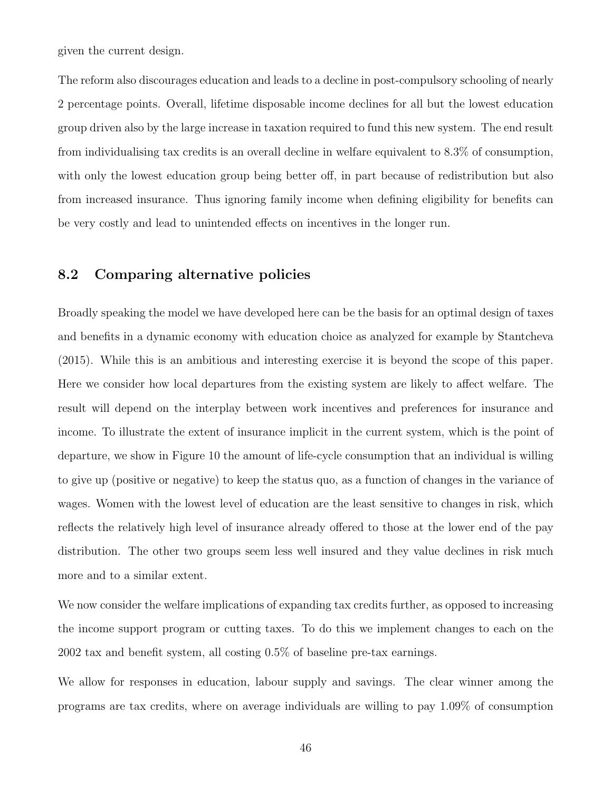given the current design.

The reform also discourages education and leads to a decline in post-compulsory schooling of nearly 2 percentage points. Overall, lifetime disposable income declines for all but the lowest education group driven also by the large increase in taxation required to fund this new system. The end result from individualising tax credits is an overall decline in welfare equivalent to 8.3% of consumption, with only the lowest education group being better off, in part because of redistribution but also from increased insurance. Thus ignoring family income when defining eligibility for benefits can be very costly and lead to unintended effects on incentives in the longer run.

### 8.2 Comparing alternative policies

Broadly speaking the model we have developed here can be the basis for an optimal design of taxes and benefits in a dynamic economy with education choice as analyzed for example by Stantcheva (2015). While this is an ambitious and interesting exercise it is beyond the scope of this paper. Here we consider how local departures from the existing system are likely to affect welfare. The result will depend on the interplay between work incentives and preferences for insurance and income. To illustrate the extent of insurance implicit in the current system, which is the point of departure, we show in Figure 10 the amount of life-cycle consumption that an individual is willing to give up (positive or negative) to keep the status quo, as a function of changes in the variance of wages. Women with the lowest level of education are the least sensitive to changes in risk, which reflects the relatively high level of insurance already offered to those at the lower end of the pay distribution. The other two groups seem less well insured and they value declines in risk much more and to a similar extent.

We now consider the welfare implications of expanding tax credits further, as opposed to increasing the income support program or cutting taxes. To do this we implement changes to each on the 2002 tax and benefit system, all costing 0.5% of baseline pre-tax earnings.

We allow for responses in education, labour supply and savings. The clear winner among the programs are tax credits, where on average individuals are willing to pay 1.09% of consumption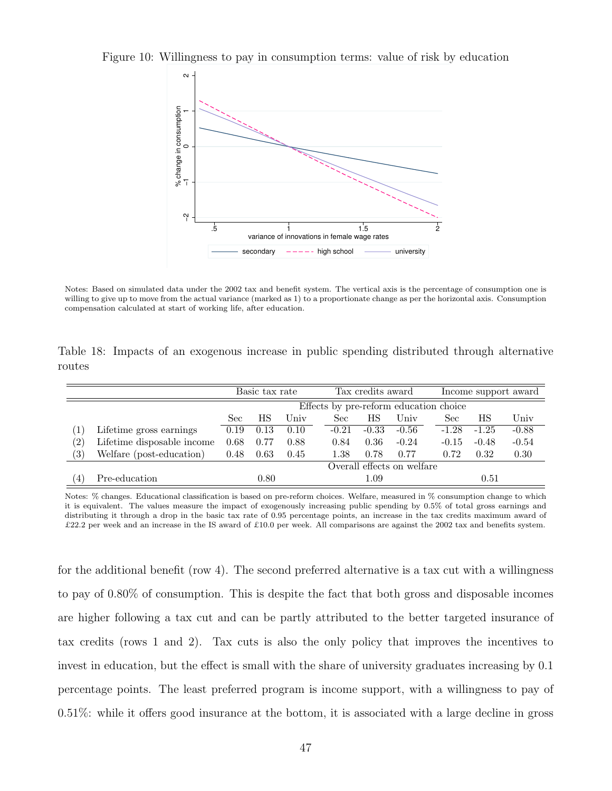Figure 10: Willingness to pay in consumption terms: value of risk by education



Notes: Based on simulated data under the 2002 tax and benefit system. The vertical axis is the percentage of consumption one is willing to give up to move from the actual variance (marked as 1) to a proportionate change as per the horizontal axis. Consumption compensation calculated at start of working life, after education.

Table 18: Impacts of an exogenous increase in public spending distributed through alternative routes

|                   |                            |                            | Basic tax rate |      |         | Tax credits award |         |                                        | Income support award |         |  |  |  |
|-------------------|----------------------------|----------------------------|----------------|------|---------|-------------------|---------|----------------------------------------|----------------------|---------|--|--|--|
|                   |                            |                            |                |      |         |                   |         | Effects by pre-reform education choice |                      |         |  |  |  |
|                   |                            | Sec                        | НS             | Univ | Sec.    | НS                | Univ    | <b>Sec</b>                             | НS                   | Univ    |  |  |  |
| $\perp$           | Lifetime gross earnings    | 0.19                       | 0.13           | 0.10 | $-0.21$ | $-0.33$           | $-0.56$ | $-1.28$                                | $-1.25$              | $-0.88$ |  |  |  |
| $\left( 2\right)$ | Lifetime disposable income | 0.68                       | 0.77           | 0.88 | 0.84    | 0.36              | $-0.24$ | $-0.15$                                | $-0.48$              | $-0.54$ |  |  |  |
| $\left( 3\right)$ | Welfare (post-education)   | 0.48                       | 0.63           | 0.45 | 1.38    | 0.78              | 0.77    | 0.72                                   | 0.32                 | 0.30    |  |  |  |
|                   |                            | Overall effects on welfare |                |      |         |                   |         |                                        |                      |         |  |  |  |
| $\left(4\right)$  | Pre-education              |                            | 0.80           |      |         | 1.09              |         |                                        | 0.51                 |         |  |  |  |

Notes: % changes. Educational classification is based on pre-reform choices. Welfare, measured in % consumption change to which it is equivalent. The values measure the impact of exogenously increasing public spending by 0.5% of total gross earnings and distributing it through a drop in the basic tax rate of 0.95 percentage points, an increase in the tax credits maximum award of £22.2 per week and an increase in the IS award of £10.0 per week. All comparisons are against the 2002 tax and benefits system.

for the additional benefit (row 4). The second preferred alternative is a tax cut with a willingness to pay of 0.80% of consumption. This is despite the fact that both gross and disposable incomes are higher following a tax cut and can be partly attributed to the better targeted insurance of tax credits (rows 1 and 2). Tax cuts is also the only policy that improves the incentives to invest in education, but the effect is small with the share of university graduates increasing by 0.1 percentage points. The least preferred program is income support, with a willingness to pay of 0.51%: while it offers good insurance at the bottom, it is associated with a large decline in gross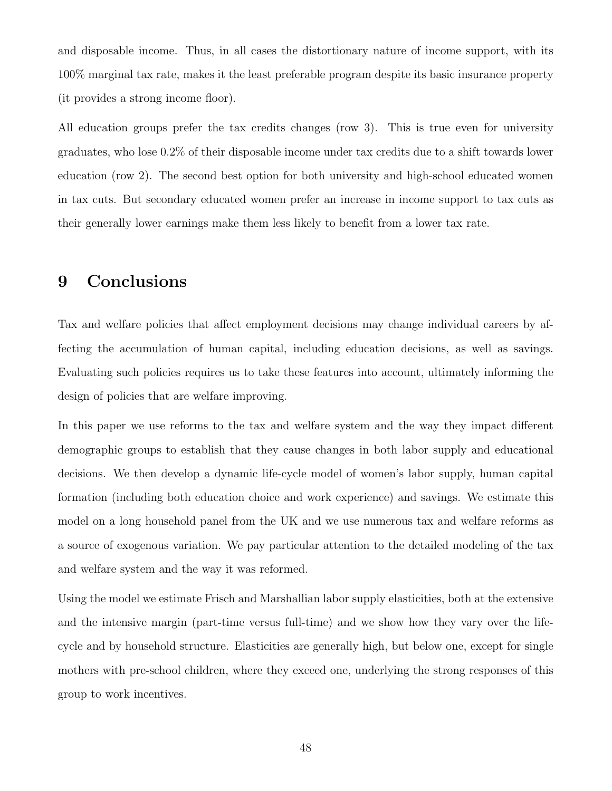and disposable income. Thus, in all cases the distortionary nature of income support, with its 100% marginal tax rate, makes it the least preferable program despite its basic insurance property (it provides a strong income floor).

All education groups prefer the tax credits changes (row 3). This is true even for university graduates, who lose 0.2% of their disposable income under tax credits due to a shift towards lower education (row 2). The second best option for both university and high-school educated women in tax cuts. But secondary educated women prefer an increase in income support to tax cuts as their generally lower earnings make them less likely to benefit from a lower tax rate.

# 9 Conclusions

Tax and welfare policies that affect employment decisions may change individual careers by affecting the accumulation of human capital, including education decisions, as well as savings. Evaluating such policies requires us to take these features into account, ultimately informing the design of policies that are welfare improving.

In this paper we use reforms to the tax and welfare system and the way they impact different demographic groups to establish that they cause changes in both labor supply and educational decisions. We then develop a dynamic life-cycle model of women's labor supply, human capital formation (including both education choice and work experience) and savings. We estimate this model on a long household panel from the UK and we use numerous tax and welfare reforms as a source of exogenous variation. We pay particular attention to the detailed modeling of the tax and welfare system and the way it was reformed.

Using the model we estimate Frisch and Marshallian labor supply elasticities, both at the extensive and the intensive margin (part-time versus full-time) and we show how they vary over the lifecycle and by household structure. Elasticities are generally high, but below one, except for single mothers with pre-school children, where they exceed one, underlying the strong responses of this group to work incentives.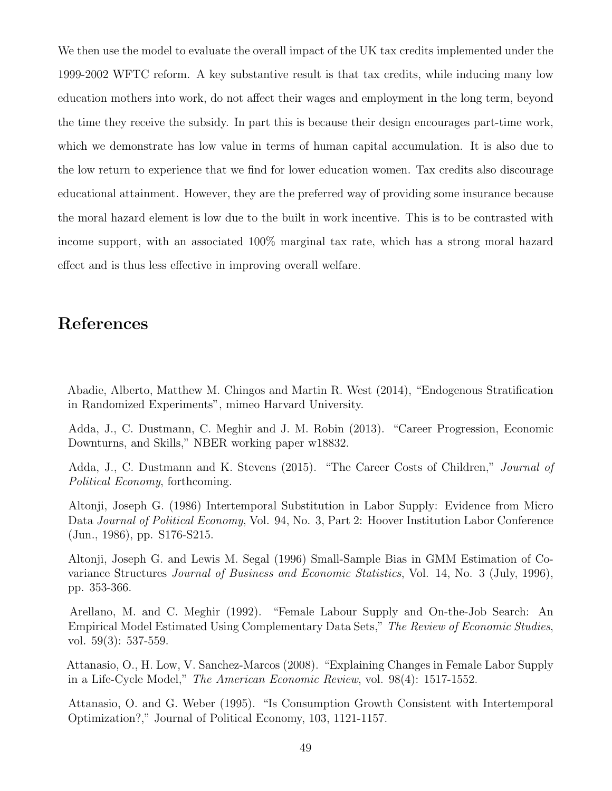We then use the model to evaluate the overall impact of the UK tax credits implemented under the 1999-2002 WFTC reform. A key substantive result is that tax credits, while inducing many low education mothers into work, do not affect their wages and employment in the long term, beyond the time they receive the subsidy. In part this is because their design encourages part-time work, which we demonstrate has low value in terms of human capital accumulation. It is also due to the low return to experience that we find for lower education women. Tax credits also discourage educational attainment. However, they are the preferred way of providing some insurance because the moral hazard element is low due to the built in work incentive. This is to be contrasted with income support, with an associated 100% marginal tax rate, which has a strong moral hazard effect and is thus less effective in improving overall welfare.

# References

Abadie, Alberto, Matthew M. Chingos and Martin R. West (2014), "Endogenous Stratification in Randomized Experiments", mimeo Harvard University.

Adda, J., C. Dustmann, C. Meghir and J. M. Robin (2013). "Career Progression, Economic Downturns, and Skills," NBER working paper w18832.

Adda, J., C. Dustmann and K. Stevens (2015). "The Career Costs of Children," Journal of Political Economy, forthcoming.

Altonji, Joseph G. (1986) Intertemporal Substitution in Labor Supply: Evidence from Micro Data *Journal of Political Economy*, Vol. 94, No. 3, Part 2: Hoover Institution Labor Conference (Jun., 1986), pp. S176-S215.

Altonji, Joseph G. and Lewis M. Segal (1996) Small-Sample Bias in GMM Estimation of Covariance Structures Journal of Business and Economic Statistics, Vol. 14, No. 3 (July, 1996), pp. 353-366.

Arellano, M. and C. Meghir (1992). "Female Labour Supply and On-the-Job Search: An Empirical Model Estimated Using Complementary Data Sets," The Review of Economic Studies, vol. 59(3): 537-559.

Attanasio, O., H. Low, V. Sanchez-Marcos (2008). "Explaining Changes in Female Labor Supply in a Life-Cycle Model," The American Economic Review, vol. 98(4): 1517-1552.

Attanasio, O. and G. Weber (1995). "Is Consumption Growth Consistent with Intertemporal Optimization?," Journal of Political Economy, 103, 1121-1157.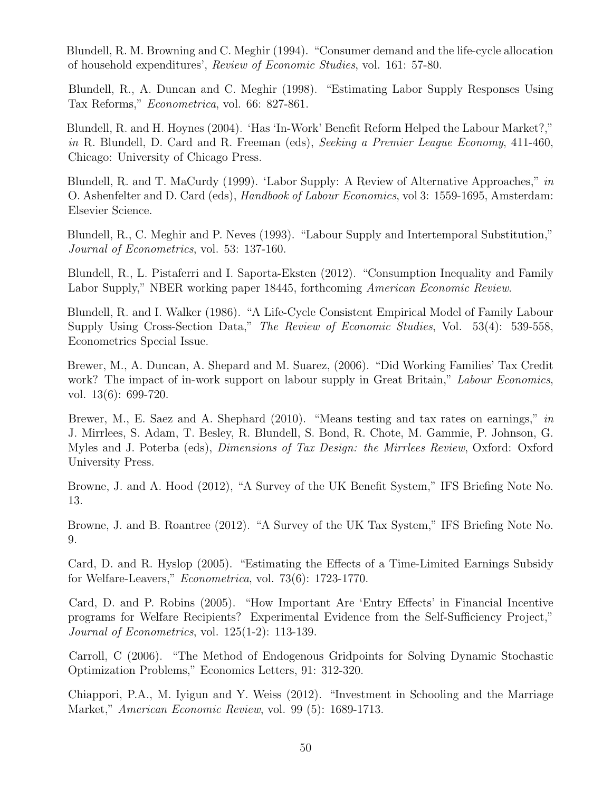Blundell, R. M. Browning and C. Meghir (1994). "Consumer demand and the life-cycle allocation of household expenditures', Review of Economic Studies, vol. 161: 57-80.

Blundell, R., A. Duncan and C. Meghir (1998). "Estimating Labor Supply Responses Using Tax Reforms," Econometrica, vol. 66: 827-861.

Blundell, R. and H. Hoynes (2004). 'Has 'In-Work' Benefit Reform Helped the Labour Market?," in R. Blundell, D. Card and R. Freeman (eds), Seeking a Premier League Economy, 411-460, Chicago: University of Chicago Press.

Blundell, R. and T. MaCurdy (1999). 'Labor Supply: A Review of Alternative Approaches," in O. Ashenfelter and D. Card (eds), Handbook of Labour Economics, vol 3: 1559-1695, Amsterdam: Elsevier Science.

Blundell, R., C. Meghir and P. Neves (1993). "Labour Supply and Intertemporal Substitution," Journal of Econometrics, vol. 53: 137-160.

Blundell, R., L. Pistaferri and I. Saporta-Eksten (2012). "Consumption Inequality and Family Labor Supply," NBER working paper 18445, forthcoming American Economic Review.

Blundell, R. and I. Walker (1986). "A Life-Cycle Consistent Empirical Model of Family Labour Supply Using Cross-Section Data," The Review of Economic Studies, Vol. 53(4): 539-558, Econometrics Special Issue.

Brewer, M., A. Duncan, A. Shepard and M. Suarez, (2006). "Did Working Families' Tax Credit work? The impact of in-work support on labour supply in Great Britain," Labour Economics, vol. 13(6): 699-720.

Brewer, M., E. Saez and A. Shephard (2010). "Means testing and tax rates on earnings," in J. Mirrlees, S. Adam, T. Besley, R. Blundell, S. Bond, R. Chote, M. Gammie, P. Johnson, G. Myles and J. Poterba (eds), *Dimensions of Tax Design: the Mirrlees Review*, Oxford: Oxford University Press.

Browne, J. and A. Hood (2012), "A Survey of the UK Benefit System," IFS Briefing Note No. 13.

Browne, J. and B. Roantree (2012). "A Survey of the UK Tax System," IFS Briefing Note No. 9.

Card, D. and R. Hyslop (2005). "Estimating the Effects of a Time-Limited Earnings Subsidy for Welfare-Leavers," Econometrica, vol. 73(6): 1723-1770.

Card, D. and P. Robins (2005). "How Important Are 'Entry Effects' in Financial Incentive programs for Welfare Recipients? Experimental Evidence from the Self-Sufficiency Project," Journal of Econometrics, vol. 125(1-2): 113-139.

Carroll, C (2006). "The Method of Endogenous Gridpoints for Solving Dynamic Stochastic Optimization Problems," Economics Letters, 91: 312-320.

Chiappori, P.A., M. Iyigun and Y. Weiss (2012). "Investment in Schooling and the Marriage Market," American Economic Review, vol. 99 (5): 1689-1713.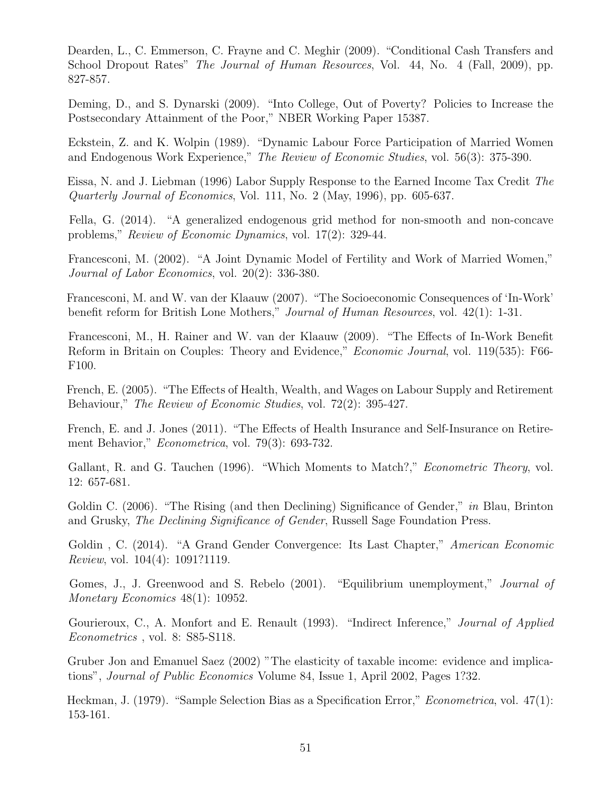Dearden, L., C. Emmerson, C. Frayne and C. Meghir (2009). "Conditional Cash Transfers and School Dropout Rates" *The Journal of Human Resources*, Vol. 44, No. 4 (Fall, 2009), pp. 827-857.

Deming, D., and S. Dynarski (2009). "Into College, Out of Poverty? Policies to Increase the Postsecondary Attainment of the Poor," NBER Working Paper 15387.

Eckstein, Z. and K. Wolpin (1989). "Dynamic Labour Force Participation of Married Women and Endogenous Work Experience," The Review of Economic Studies, vol. 56(3): 375-390.

Eissa, N. and J. Liebman (1996) Labor Supply Response to the Earned Income Tax Credit The Quarterly Journal of Economics, Vol. 111, No. 2 (May, 1996), pp. 605-637.

Fella, G. (2014). "A generalized endogenous grid method for non-smooth and non-concave problems," Review of Economic Dynamics, vol. 17(2): 329-44.

Francesconi, M. (2002). "A Joint Dynamic Model of Fertility and Work of Married Women," Journal of Labor Economics, vol. 20(2): 336-380.

Francesconi, M. and W. van der Klaauw (2007). "The Socioeconomic Consequences of 'In-Work' benefit reform for British Lone Mothers," Journal of Human Resources, vol. 42(1): 1-31.

Francesconi, M., H. Rainer and W. van der Klaauw (2009). "The Effects of In-Work Benefit Reform in Britain on Couples: Theory and Evidence," Economic Journal, vol. 119(535): F66- F100.

French, E. (2005). "The Effects of Health, Wealth, and Wages on Labour Supply and Retirement Behaviour," The Review of Economic Studies, vol. 72(2): 395-427.

French, E. and J. Jones (2011). "The Effects of Health Insurance and Self-Insurance on Retirement Behavior," *Econometrica*, vol. 79(3): 693-732.

Gallant, R. and G. Tauchen (1996). "Which Moments to Match?," *Econometric Theory*, vol. 12: 657-681.

Goldin C. (2006). "The Rising (and then Declining) Significance of Gender," in Blau, Brinton and Grusky, The Declining Significance of Gender, Russell Sage Foundation Press.

Goldin , C. (2014). "A Grand Gender Convergence: Its Last Chapter," American Economic Review, vol. 104(4): 1091?1119.

Gomes, J., J. Greenwood and S. Rebelo (2001). "Equilibrium unemployment," Journal of Monetary Economics 48(1): 10952.

Gourieroux, C., A. Monfort and E. Renault (1993). "Indirect Inference," *Journal of Applied* Econometrics , vol. 8: S85-S118.

Gruber Jon and Emanuel Saez (2002) "The elasticity of taxable income: evidence and implications", Journal of Public Economics Volume 84, Issue 1, April 2002, Pages 1?32.

Heckman, J. (1979). "Sample Selection Bias as a Specification Error," *Econometrica*, vol. 47(1): 153-161.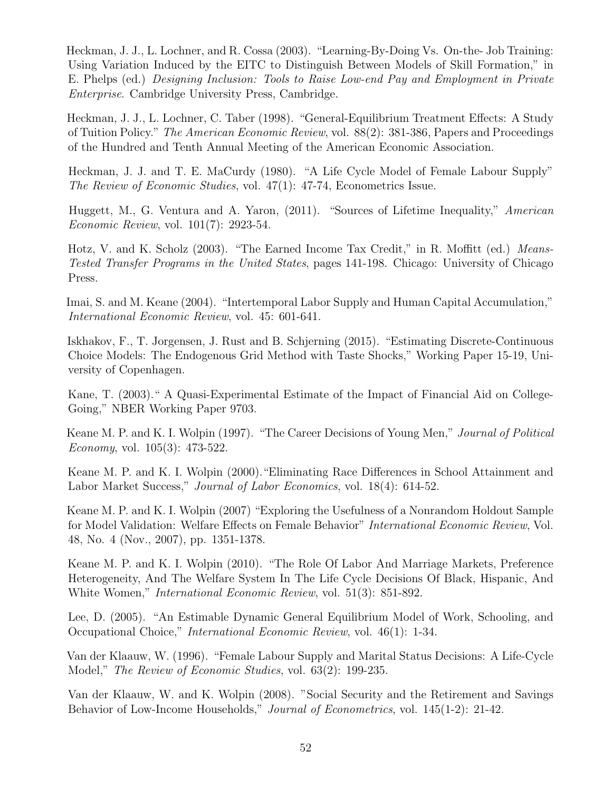Heckman, J. J., L. Lochner, and R. Cossa (2003). "Learning-By-Doing Vs. On-the- Job Training: Using Variation Induced by the EITC to Distinguish Between Models of Skill Formation," in E. Phelps (ed.) Designing Inclusion: Tools to Raise Low-end Pay and Employment in Private Enterprise. Cambridge University Press, Cambridge.

Heckman, J. J., L. Lochner, C. Taber (1998). "General-Equilibrium Treatment Effects: A Study of Tuition Policy." The American Economic Review, vol. 88(2): 381-386, Papers and Proceedings of the Hundred and Tenth Annual Meeting of the American Economic Association.

Heckman, J. J. and T. E. MaCurdy (1980). "A Life Cycle Model of Female Labour Supply" The Review of Economic Studies, vol. 47(1): 47-74, Econometrics Issue.

Huggett, M., G. Ventura and A. Yaron, (2011). "Sources of Lifetime Inequality," American Economic Review, vol. 101(7): 2923-54.

Hotz, V. and K. Scholz (2003). "The Earned Income Tax Credit," in R. Moffitt (ed.) Means-Tested Transfer Programs in the United States, pages 141-198. Chicago: University of Chicago Press.

Imai, S. and M. Keane (2004). "Intertemporal Labor Supply and Human Capital Accumulation," International Economic Review, vol. 45: 601-641.

Iskhakov, F., T. Jorgensen, J. Rust and B. Schjerning (2015). "Estimating Discrete-Continuous Choice Models: The Endogenous Grid Method with Taste Shocks," Working Paper 15-19, University of Copenhagen.

Kane, T. (2003)." A Quasi-Experimental Estimate of the Impact of Financial Aid on College-Going," NBER Working Paper 9703.

Keane M. P. and K. I. Wolpin (1997). "The Career Decisions of Young Men," Journal of Political Economy, vol. 105(3): 473-522.

Keane M. P. and K. I. Wolpin (2000)."Eliminating Race Differences in School Attainment and Labor Market Success," *Journal of Labor Economics*, vol. 18(4): 614-52.

Keane M. P. and K. I. Wolpin (2007) "Exploring the Usefulness of a Nonrandom Holdout Sample for Model Validation: Welfare Effects on Female Behavior" International Economic Review, Vol. 48, No. 4 (Nov., 2007), pp. 1351-1378.

Keane M. P. and K. I. Wolpin (2010). "The Role Of Labor And Marriage Markets, Preference Heterogeneity, And The Welfare System In The Life Cycle Decisions Of Black, Hispanic, And White Women," International Economic Review, vol. 51(3): 851-892.

Lee, D. (2005). "An Estimable Dynamic General Equilibrium Model of Work, Schooling, and Occupational Choice," International Economic Review, vol. 46(1): 1-34.

Van der Klaauw, W. (1996). "Female Labour Supply and Marital Status Decisions: A Life-Cycle Model," The Review of Economic Studies, vol. 63(2): 199-235.

Van der Klaauw, W. and K. Wolpin (2008). "Social Security and the Retirement and Savings Behavior of Low-Income Households," *Journal of Econometrics*, vol. 145(1-2): 21-42.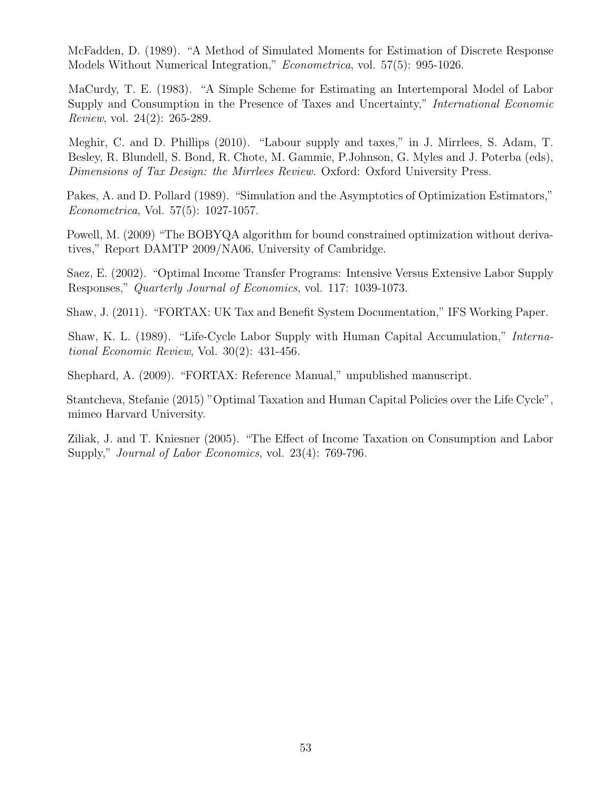McFadden, D. (1989). "A Method of Simulated Moments for Estimation of Discrete Response Models Without Numerical Integration," Econometrica, vol. 57(5): 995-1026.

MaCurdy, T. E. (1983). "A Simple Scheme for Estimating an Intertemporal Model of Labor Supply and Consumption in the Presence of Taxes and Uncertainty," *International Economic* Review, vol. 24(2): 265-289.

Meghir, C. and D. Phillips (2010). "Labour supply and taxes," in J. Mirrlees, S. Adam, T. Besley, R. Blundell, S. Bond, R. Chote, M. Gammie, P.Johnson, G. Myles and J. Poterba (eds), Dimensions of Tax Design: the Mirrlees Review. Oxford: Oxford University Press.

Pakes, A. and D. Pollard (1989). "Simulation and the Asymptotics of Optimization Estimators," Econometrica, Vol. 57(5): 1027-1057.

Powell, M. (2009) "The BOBYQA algorithm for bound constrained optimization without derivatives," Report DAMTP 2009/NA06, University of Cambridge.

Saez, E. (2002). "Optimal Income Transfer Programs: Intensive Versus Extensive Labor Supply Responses," Quarterly Journal of Economics, vol. 117: 1039-1073.

Shaw, J. (2011). "FORTAX: UK Tax and Benefit System Documentation," IFS Working Paper.

Shaw, K. L. (1989). "Life-Cycle Labor Supply with Human Capital Accumulation," International Economic Review, Vol. 30(2): 431-456.

Shephard, A. (2009). "FORTAX: Reference Manual," unpublished manuscript.

Stantcheva, Stefanie (2015) "Optimal Taxation and Human Capital Policies over the Life Cycle", mimeo Harvard University.

Ziliak, J. and T. Kniesner (2005). "The Effect of Income Taxation on Consumption and Labor Supply," *Journal of Labor Economics*, vol. 23(4): 769-796.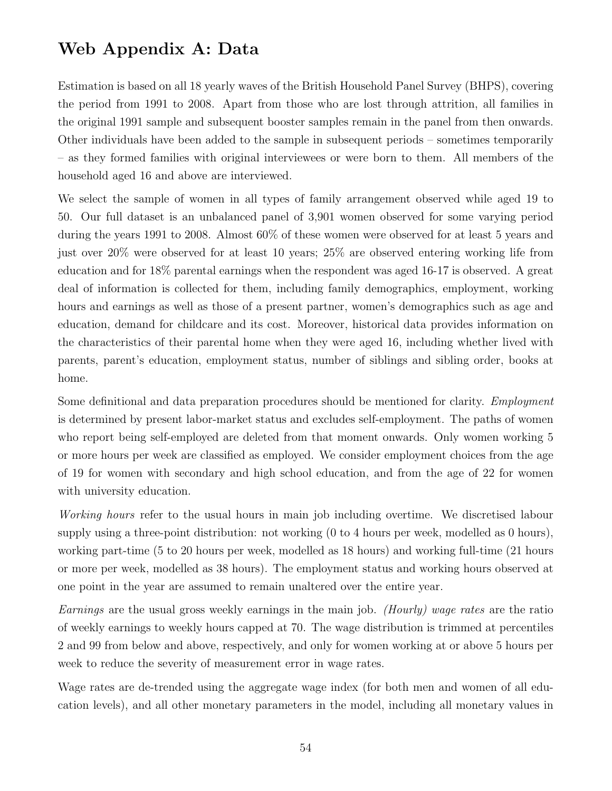# Web Appendix A: Data

Estimation is based on all 18 yearly waves of the British Household Panel Survey (BHPS), covering the period from 1991 to 2008. Apart from those who are lost through attrition, all families in the original 1991 sample and subsequent booster samples remain in the panel from then onwards. Other individuals have been added to the sample in subsequent periods – sometimes temporarily – as they formed families with original interviewees or were born to them. All members of the household aged 16 and above are interviewed.

We select the sample of women in all types of family arrangement observed while aged 19 to 50. Our full dataset is an unbalanced panel of 3,901 women observed for some varying period during the years 1991 to 2008. Almost 60% of these women were observed for at least 5 years and just over 20% were observed for at least 10 years; 25% are observed entering working life from education and for 18% parental earnings when the respondent was aged 16-17 is observed. A great deal of information is collected for them, including family demographics, employment, working hours and earnings as well as those of a present partner, women's demographics such as age and education, demand for childcare and its cost. Moreover, historical data provides information on the characteristics of their parental home when they were aged 16, including whether lived with parents, parent's education, employment status, number of siblings and sibling order, books at home.

Some definitional and data preparation procedures should be mentioned for clarity. Employment is determined by present labor-market status and excludes self-employment. The paths of women who report being self-employed are deleted from that moment onwards. Only women working 5 or more hours per week are classified as employed. We consider employment choices from the age of 19 for women with secondary and high school education, and from the age of 22 for women with university education.

Working hours refer to the usual hours in main job including overtime. We discretised labour supply using a three-point distribution: not working (0 to 4 hours per week, modelled as 0 hours), working part-time (5 to 20 hours per week, modelled as 18 hours) and working full-time (21 hours or more per week, modelled as 38 hours). The employment status and working hours observed at one point in the year are assumed to remain unaltered over the entire year.

Earnings are the usual gross weekly earnings in the main job. (Hourly) wage rates are the ratio of weekly earnings to weekly hours capped at 70. The wage distribution is trimmed at percentiles 2 and 99 from below and above, respectively, and only for women working at or above 5 hours per week to reduce the severity of measurement error in wage rates.

Wage rates are de-trended using the aggregate wage index (for both men and women of all education levels), and all other monetary parameters in the model, including all monetary values in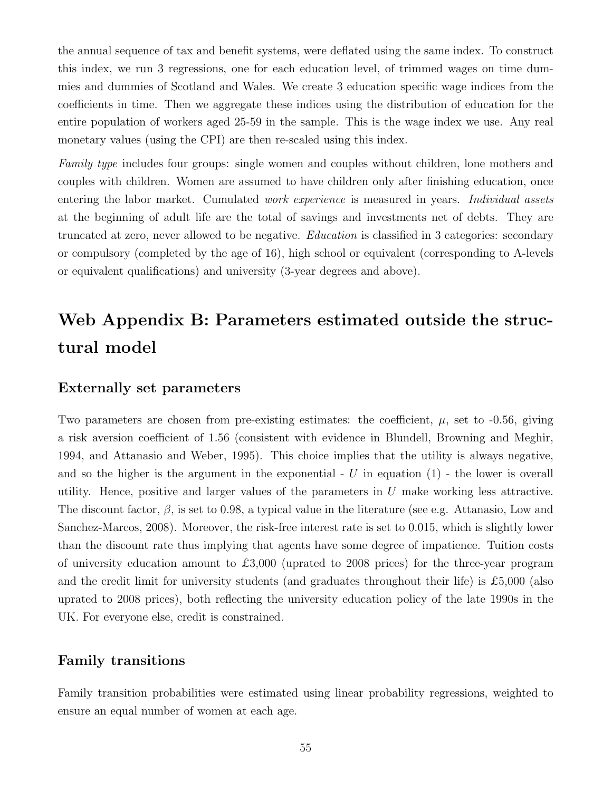the annual sequence of tax and benefit systems, were deflated using the same index. To construct this index, we run 3 regressions, one for each education level, of trimmed wages on time dummies and dummies of Scotland and Wales. We create 3 education specific wage indices from the coefficients in time. Then we aggregate these indices using the distribution of education for the entire population of workers aged 25-59 in the sample. This is the wage index we use. Any real monetary values (using the CPI) are then re-scaled using this index.

Family type includes four groups: single women and couples without children, lone mothers and couples with children. Women are assumed to have children only after finishing education, once entering the labor market. Cumulated work experience is measured in years. Individual assets at the beginning of adult life are the total of savings and investments net of debts. They are truncated at zero, never allowed to be negative. Education is classified in 3 categories: secondary or compulsory (completed by the age of 16), high school or equivalent (corresponding to A-levels or equivalent qualifications) and university (3-year degrees and above).

# Web Appendix B: Parameters estimated outside the structural model

### Externally set parameters

Two parameters are chosen from pre-existing estimates: the coefficient,  $\mu$ , set to -0.56, giving a risk aversion coefficient of 1.56 (consistent with evidence in Blundell, Browning and Meghir, 1994, and Attanasio and Weber, 1995). This choice implies that the utility is always negative, and so the higher is the argument in the exponential -  $U$  in equation  $(1)$  - the lower is overall utility. Hence, positive and larger values of the parameters in  $U$  make working less attractive. The discount factor,  $\beta$ , is set to 0.98, a typical value in the literature (see e.g. Attanasio, Low and Sanchez-Marcos, 2008). Moreover, the risk-free interest rate is set to 0.015, which is slightly lower than the discount rate thus implying that agents have some degree of impatience. Tuition costs of university education amount to £3,000 (uprated to 2008 prices) for the three-year program and the credit limit for university students (and graduates throughout their life) is  $\pounds 5,000$  (also uprated to 2008 prices), both reflecting the university education policy of the late 1990s in the UK. For everyone else, credit is constrained.

### Family transitions

Family transition probabilities were estimated using linear probability regressions, weighted to ensure an equal number of women at each age.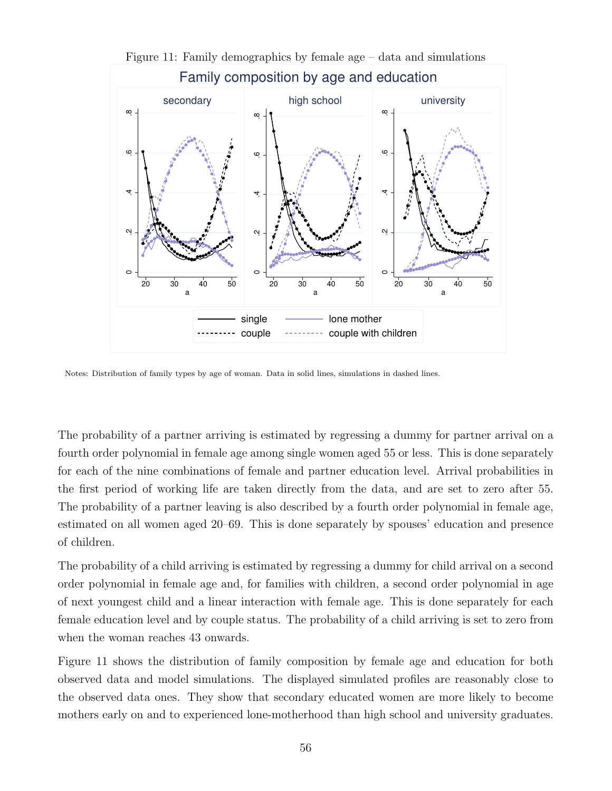

Figure 11: Family demographics by female age – data and simulations

Notes: Distribution of family types by age of woman. Data in solid lines, simulations in dashed lines.

The probability of a partner arriving is estimated by regressing a dummy for partner arrival on a fourth order polynomial in female age among single women aged 55 or less. This is done separately for each of the nine combinations of female and partner education level. Arrival probabilities in the first period of working life are taken directly from the data, and are set to zero after 55. The probability of a partner leaving is also described by a fourth order polynomial in female age, estimated on all women aged 20–69. This is done separately by spouses' education and presence of children.

The probability of a child arriving is estimated by regressing a dummy for child arrival on a second order polynomial in female age and, for families with children, a second order polynomial in age of next youngest child and a linear interaction with female age. This is done separately for each female education level and by couple status. The probability of a child arriving is set to zero from when the woman reaches 43 onwards.

Figure 11 shows the distribution of family composition by female age and education for both observed data and model simulations. The displayed simulated profiles are reasonably close to the observed data ones. They show that secondary educated women are more likely to become mothers early on and to experienced lone-motherhood than high school and university graduates.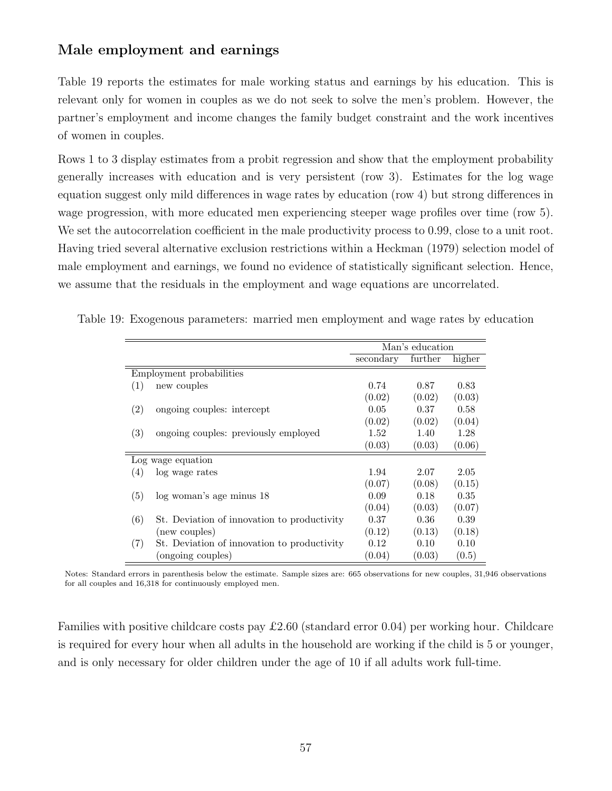## Male employment and earnings

Table 19 reports the estimates for male working status and earnings by his education. This is relevant only for women in couples as we do not seek to solve the men's problem. However, the partner's employment and income changes the family budget constraint and the work incentives of women in couples.

Rows 1 to 3 display estimates from a probit regression and show that the employment probability generally increases with education and is very persistent (row 3). Estimates for the log wage equation suggest only mild differences in wage rates by education (row 4) but strong differences in wage progression, with more educated men experiencing steeper wage profiles over time (row 5). We set the autocorrelation coefficient in the male productivity process to 0.99, close to a unit root. Having tried several alternative exclusion restrictions within a Heckman (1979) selection model of male employment and earnings, we found no evidence of statistically significant selection. Hence, we assume that the residuals in the employment and wage equations are uncorrelated.

|                   |                                             |           | Man's education |        |
|-------------------|---------------------------------------------|-----------|-----------------|--------|
|                   |                                             | secondary | further         | higher |
|                   | Employment probabilities                    |           |                 |        |
| (1)               | new couples                                 | 0.74      | 0.87            | 0.83   |
|                   |                                             | (0.02)    | (0.02)          | (0.03) |
| $\left( 2\right)$ | ongoing couples: intercept                  | 0.05      | 0.37            | 0.58   |
|                   |                                             | (0.02)    | (0.02)          | (0.04) |
| (3)               | ongoing couples: previously employed        | 1.52      | 1.40            | 1.28   |
|                   |                                             | (0.03)    | (0.03)          | (0.06) |
|                   | Log wage equation                           |           |                 |        |
| (4)               | log wage rates                              | 1.94      | 2.07            | 2.05   |
|                   |                                             | (0.07)    | (0.08)          | (0.15) |
| (5)               | log woman's age minus 18                    | 0.09      | 0.18            | 0.35   |
|                   |                                             | (0.04)    | (0.03)          | (0.07) |
| (6)               | St. Deviation of innovation to productivity | 0.37      | 0.36            | 0.39   |
|                   | (new couples)                               | (0.12)    | (0.13)          | (0.18) |
| (7)               | St. Deviation of innovation to productivity | 0.12      | 0.10            | 0.10   |
|                   | (ongoing couples)                           | (0.04)    | (0.03)          | (0.5)  |

Table 19: Exogenous parameters: married men employment and wage rates by education

Notes: Standard errors in parenthesis below the estimate. Sample sizes are: 665 observations for new couples, 31,946 observations for all couples and 16,318 for continuously employed men.

Families with positive childcare costs pay  $\pounds 2.60$  (standard error 0.04) per working hour. Childcare is required for every hour when all adults in the household are working if the child is 5 or younger, and is only necessary for older children under the age of 10 if all adults work full-time.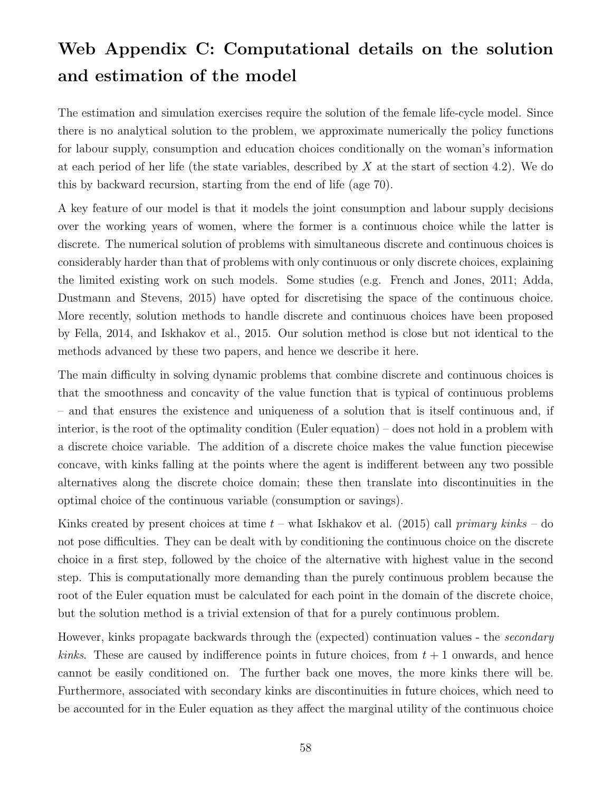# Web Appendix C: Computational details on the solution and estimation of the model

The estimation and simulation exercises require the solution of the female life-cycle model. Since there is no analytical solution to the problem, we approximate numerically the policy functions for labour supply, consumption and education choices conditionally on the woman's information at each period of her life (the state variables, described by  $X$  at the start of section 4.2). We do this by backward recursion, starting from the end of life (age 70).

A key feature of our model is that it models the joint consumption and labour supply decisions over the working years of women, where the former is a continuous choice while the latter is discrete. The numerical solution of problems with simultaneous discrete and continuous choices is considerably harder than that of problems with only continuous or only discrete choices, explaining the limited existing work on such models. Some studies (e.g. French and Jones, 2011; Adda, Dustmann and Stevens, 2015) have opted for discretising the space of the continuous choice. More recently, solution methods to handle discrete and continuous choices have been proposed by Fella, 2014, and Iskhakov et al., 2015. Our solution method is close but not identical to the methods advanced by these two papers, and hence we describe it here.

The main difficulty in solving dynamic problems that combine discrete and continuous choices is that the smoothness and concavity of the value function that is typical of continuous problems – and that ensures the existence and uniqueness of a solution that is itself continuous and, if interior, is the root of the optimality condition (Euler equation) – does not hold in a problem with a discrete choice variable. The addition of a discrete choice makes the value function piecewise concave, with kinks falling at the points where the agent is indifferent between any two possible alternatives along the discrete choice domain; these then translate into discontinuities in the optimal choice of the continuous variable (consumption or savings).

Kinks created by present choices at time  $t$  – what Iskhakov et al. (2015) call primary kinks – do not pose difficulties. They can be dealt with by conditioning the continuous choice on the discrete choice in a first step, followed by the choice of the alternative with highest value in the second step. This is computationally more demanding than the purely continuous problem because the root of the Euler equation must be calculated for each point in the domain of the discrete choice, but the solution method is a trivial extension of that for a purely continuous problem.

However, kinks propagate backwards through the (expected) continuation values - the *secondary kinks*. These are caused by indifference points in future choices, from  $t + 1$  onwards, and hence cannot be easily conditioned on. The further back one moves, the more kinks there will be. Furthermore, associated with secondary kinks are discontinuities in future choices, which need to be accounted for in the Euler equation as they affect the marginal utility of the continuous choice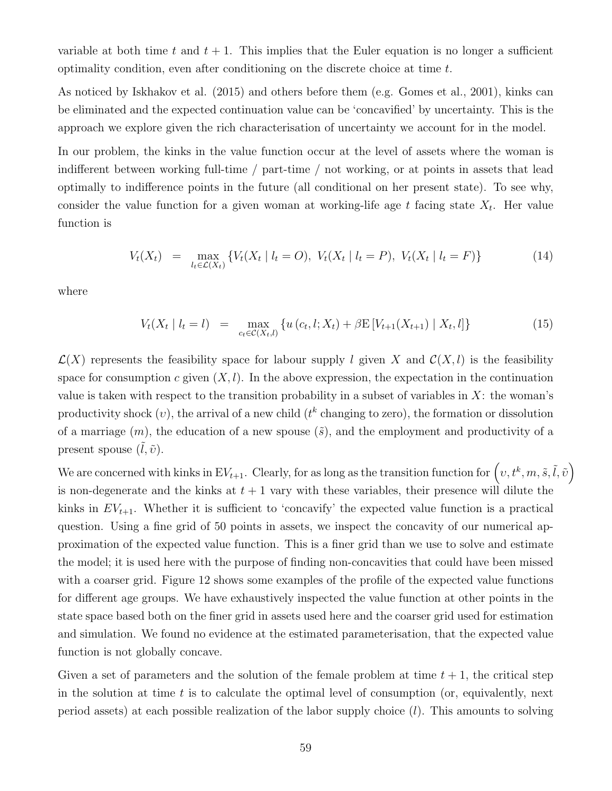variable at both time t and  $t + 1$ . This implies that the Euler equation is no longer a sufficient optimality condition, even after conditioning on the discrete choice at time t.

As noticed by Iskhakov et al. (2015) and others before them (e.g. Gomes et al., 2001), kinks can be eliminated and the expected continuation value can be 'concavified' by uncertainty. This is the approach we explore given the rich characterisation of uncertainty we account for in the model.

In our problem, the kinks in the value function occur at the level of assets where the woman is indifferent between working full-time / part-time / not working, or at points in assets that lead optimally to indifference points in the future (all conditional on her present state). To see why, consider the value function for a given woman at working-life age t facing state  $X_t$ . Her value function is

$$
V_t(X_t) = \max_{l_t \in \mathcal{L}(X_t)} \{ V_t(X_t \mid l_t = 0), \ V_t(X_t \mid l_t = P), \ V_t(X_t \mid l_t = F) \}
$$
(14)

where

$$
V_t(X_t | l_t = l) = \max_{c_t \in \mathcal{C}(X_t, l)} \{ u(c_t, l; X_t) + \beta E \left[ V_{t+1}(X_{t+1}) | X_t, l \right] \}
$$
(15)

 $\mathcal{L}(X)$  represents the feasibility space for labour supply l given X and  $\mathcal{C}(X, l)$  is the feasibility space for consumption c given  $(X, l)$ . In the above expression, the expectation in the continuation value is taken with respect to the transition probability in a subset of variables in  $X$ : the woman's productivity shock  $(v)$ , the arrival of a new child  $(t<sup>k</sup>$  changing to zero), the formation or dissolution of a marriage  $(m)$ , the education of a new spouse  $(\tilde{s})$ , and the employment and productivity of a present spouse  $(l, \tilde{v})$ .

We are concerned with kinks in  $EV_{t+1}$ . Clearly, for as long as the transition function for  $(v, t^k, m, \tilde{s}, \tilde{l}, \tilde{v})$ is non-degenerate and the kinks at  $t + 1$  vary with these variables, their presence will dilute the kinks in  $EV_{t+1}$ . Whether it is sufficient to 'concavify' the expected value function is a practical question. Using a fine grid of 50 points in assets, we inspect the concavity of our numerical approximation of the expected value function. This is a finer grid than we use to solve and estimate the model; it is used here with the purpose of finding non-concavities that could have been missed with a coarser grid. Figure 12 shows some examples of the profile of the expected value functions for different age groups. We have exhaustively inspected the value function at other points in the state space based both on the finer grid in assets used here and the coarser grid used for estimation and simulation. We found no evidence at the estimated parameterisation, that the expected value function is not globally concave.

Given a set of parameters and the solution of the female problem at time  $t + 1$ , the critical step in the solution at time  $t$  is to calculate the optimal level of consumption (or, equivalently, next period assets) at each possible realization of the labor supply choice  $(l)$ . This amounts to solving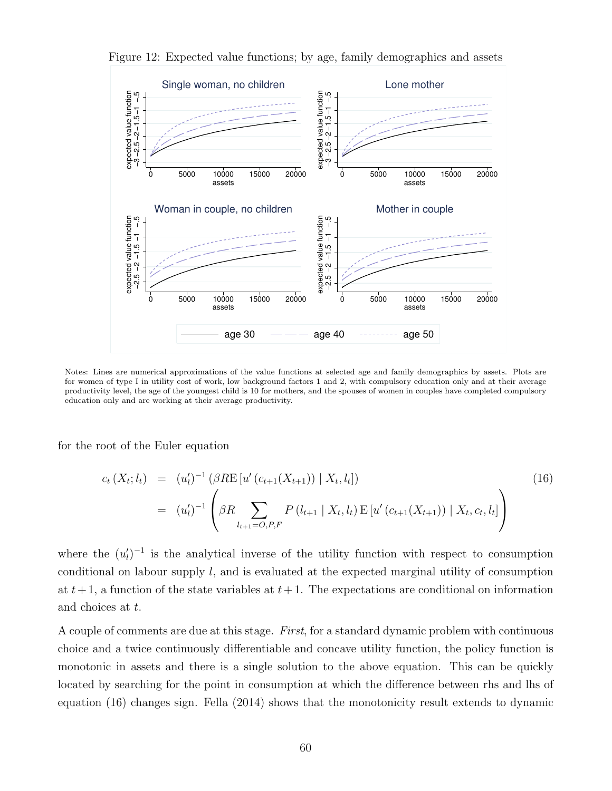

Figure 12: Expected value functions; by age, family demographics and assets

Notes: Lines are numerical approximations of the value functions at selected age and family demographics by assets. Plots are for women of type I in utility cost of work, low background factors 1 and 2, with compulsory education only and at their average productivity level, the age of the youngest child is 10 for mothers, and the spouses of women in couples have completed compulsory education only and are working at their average productivity.

for the root of the Euler equation

$$
c_t(X_t; l_t) = (u'_l)^{-1} (\beta R E [u'(c_{t+1}(X_{t+1})) | X_t, l_t])
$$
\n
$$
= (u'_l)^{-1} \left( \beta R \sum_{l_{t+1} = O, P, F} P(l_{t+1} | X_t, l_t) E [u'(c_{t+1}(X_{t+1})) | X_t, c_t, l_t] \right)
$$
\n(16)

where the  $(u'_l)^{-1}$  is the analytical inverse of the utility function with respect to consumption conditional on labour supply l, and is evaluated at the expected marginal utility of consumption at  $t+1$ , a function of the state variables at  $t+1$ . The expectations are conditional on information and choices at t.

A couple of comments are due at this stage. First, for a standard dynamic problem with continuous choice and a twice continuously differentiable and concave utility function, the policy function is monotonic in assets and there is a single solution to the above equation. This can be quickly located by searching for the point in consumption at which the difference between rhs and lhs of equation (16) changes sign. Fella (2014) shows that the monotonicity result extends to dynamic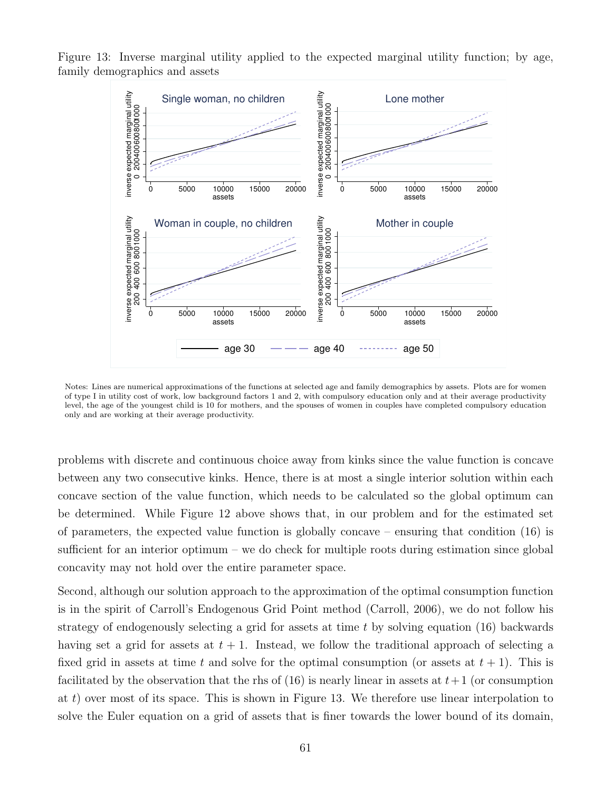

Figure 13: Inverse marginal utility applied to the expected marginal utility function; by age, family demographics and assets

Notes: Lines are numerical approximations of the functions at selected age and family demographics by assets. Plots are for women of type I in utility cost of work, low background factors 1 and 2, with compulsory education only and at their average productivity level, the age of the youngest child is 10 for mothers, and the spouses of women in couples have completed compulsory education only and are working at their average productivity.

problems with discrete and continuous choice away from kinks since the value function is concave between any two consecutive kinks. Hence, there is at most a single interior solution within each concave section of the value function, which needs to be calculated so the global optimum can be determined. While Figure 12 above shows that, in our problem and for the estimated set of parameters, the expected value function is globally concave – ensuring that condition  $(16)$  is sufficient for an interior optimum – we do check for multiple roots during estimation since global concavity may not hold over the entire parameter space.

Second, although our solution approach to the approximation of the optimal consumption function is in the spirit of Carroll's Endogenous Grid Point method (Carroll, 2006), we do not follow his strategy of endogenously selecting a grid for assets at time  $t$  by solving equation (16) backwards having set a grid for assets at  $t + 1$ . Instead, we follow the traditional approach of selecting a fixed grid in assets at time t and solve for the optimal consumption (or assets at  $t + 1$ ). This is facilitated by the observation that the rhs of (16) is nearly linear in assets at  $t+1$  (or consumption at  $t$ ) over most of its space. This is shown in Figure 13. We therefore use linear interpolation to solve the Euler equation on a grid of assets that is finer towards the lower bound of its domain,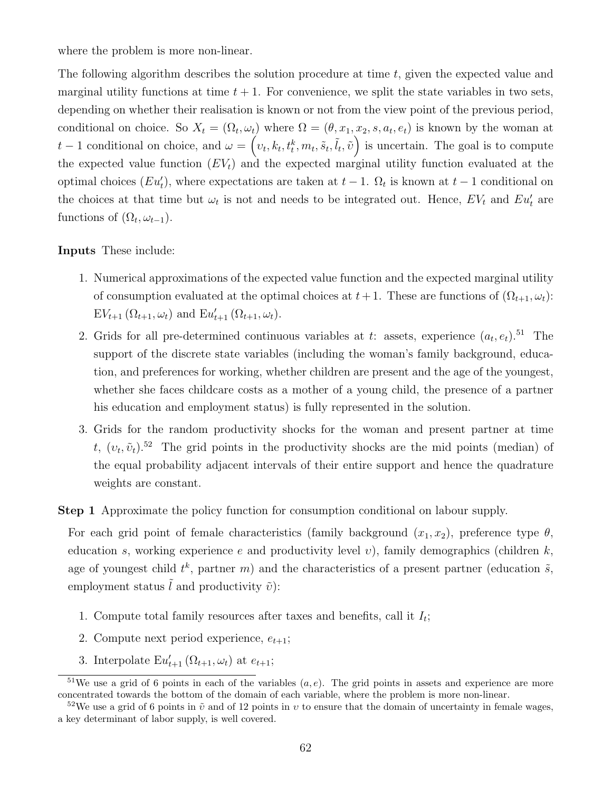where the problem is more non-linear.

The following algorithm describes the solution procedure at time t, given the expected value and marginal utility functions at time  $t + 1$ . For convenience, we split the state variables in two sets, depending on whether their realisation is known or not from the view point of the previous period, conditional on choice. So  $X_t = (\Omega_t, \omega_t)$  where  $\Omega = (\theta, x_1, x_2, s, a_t, e_t)$  is known by the woman at  $t-1$  conditional on choice, and  $\omega = \left(v_t, k_t, t_t^k, m_t, \tilde{s}_t, \tilde{l}_t, \tilde{v}\right)$  is uncertain. The goal is to compute the expected value function  $(EV_t)$  and the expected marginal utility function evaluated at the optimal choices  $(Eu'_t)$ , where expectations are taken at  $t-1$ .  $\Omega_t$  is known at  $t-1$  conditional on the choices at that time but  $\omega_t$  is not and needs to be integrated out. Hence,  $EV_t$  and  $Eu'_t$  are functions of  $(\Omega_t, \omega_{t-1})$ .

#### Inputs These include:

- 1. Numerical approximations of the expected value function and the expected marginal utility of consumption evaluated at the optimal choices at  $t+1$ . These are functions of  $(\Omega_{t+1}, \omega_t)$ :  $EV_{t+1}(\Omega_{t+1}, \omega_t)$  and  $Eu'_{t+1}(\Omega_{t+1}, \omega_t)$ .
- 2. Grids for all pre-determined continuous variables at t: assets, experience  $(a_t, e_t)$ .<sup>51</sup> The support of the discrete state variables (including the woman's family background, education, and preferences for working, whether children are present and the age of the youngest, whether she faces childcare costs as a mother of a young child, the presence of a partner his education and employment status) is fully represented in the solution.
- 3. Grids for the random productivity shocks for the woman and present partner at time t,  $(v_t, \tilde{v}_t)$ .<sup>52</sup> The grid points in the productivity shocks are the mid points (median) of the equal probability adjacent intervals of their entire support and hence the quadrature weights are constant.

#### Step 1 Approximate the policy function for consumption conditional on labour supply.

For each grid point of female characteristics (family background  $(x_1, x_2)$ , preference type  $\theta$ , education s, working experience e and productivity level v), family demographics (children k, age of youngest child  $t^k$ , partner m) and the characteristics of a present partner (education  $\tilde{s}$ , employment status  $\tilde{l}$  and productivity  $\tilde{v}$ ):

- 1. Compute total family resources after taxes and benefits, call it  $I_t$ ;
- 2. Compute next period experience,  $e_{t+1}$ ;
- 3. Interpolate  $\mathrm{E}u'_{t+1}(\Omega_{t+1}, \omega_t)$  at  $e_{t+1}$ ;

<sup>&</sup>lt;sup>51</sup>We use a grid of 6 points in each of the variables  $(a, e)$ . The grid points in assets and experience are more concentrated towards the bottom of the domain of each variable, where the problem is more non-linear.

<sup>&</sup>lt;sup>52</sup>We use a grid of 6 points in  $\tilde{v}$  and of 12 points in v to ensure that the domain of uncertainty in female wages, a key determinant of labor supply, is well covered.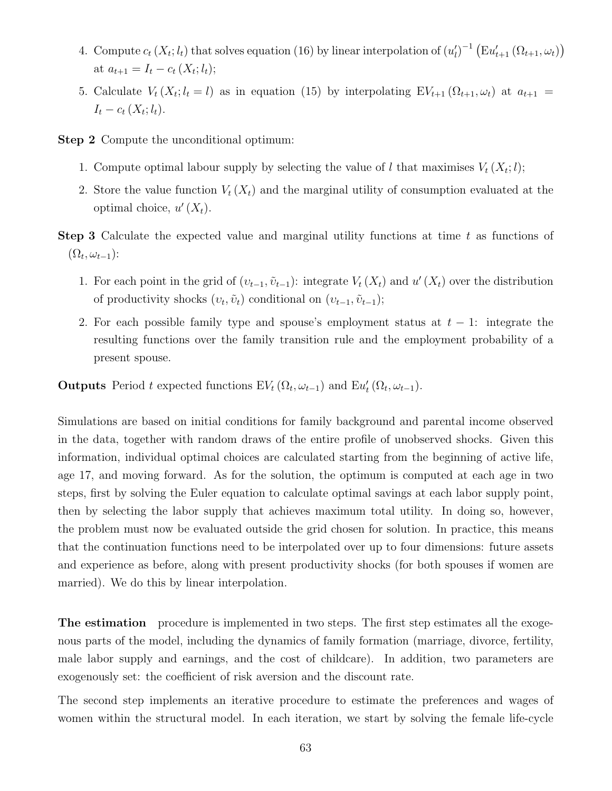- 4. Compute  $c_t(X_t; l_t)$  that solves equation (16) by linear interpolation of  $(u'_l)^{-1}$   $(\mathrm{E}u'_{t+1}(\Omega_{t+1}, \omega_t))$ at  $a_{t+1} = I_t - c_t (X_t; l_t);$
- 5. Calculate  $V_t(X_t; l_t = l)$  as in equation (15) by interpolating  $EV_{t+1}(\Omega_{t+1}, \omega_t)$  at  $a_{t+1} =$  $I_t - c_t(X_t; l_t).$

Step 2 Compute the unconditional optimum:

- 1. Compute optimal labour supply by selecting the value of l that maximises  $V_t(X_t; l)$ ;
- 2. Store the value function  $V_t(X_t)$  and the marginal utility of consumption evaluated at the optimal choice,  $u'(X_t)$ .

**Step 3** Calculate the expected value and marginal utility functions at time  $t$  as functions of  $(\Omega_t, \omega_{t-1})$ :

- 1. For each point in the grid of  $(v_{t-1}, \tilde{v}_{t-1})$ : integrate  $V_t(X_t)$  and  $u'(X_t)$  over the distribution of productivity shocks  $(v_t, \tilde{v}_t)$  conditional on  $(v_{t-1}, \tilde{v}_{t-1});$
- 2. For each possible family type and spouse's employment status at  $t 1$ : integrate the resulting functions over the family transition rule and the employment probability of a present spouse.

**Outputs** Period t expected functions  $EV_t(\Omega_t, \omega_{t-1})$  and  $Ev'_t(\Omega_t, \omega_{t-1})$ .

Simulations are based on initial conditions for family background and parental income observed in the data, together with random draws of the entire profile of unobserved shocks. Given this information, individual optimal choices are calculated starting from the beginning of active life, age 17, and moving forward. As for the solution, the optimum is computed at each age in two steps, first by solving the Euler equation to calculate optimal savings at each labor supply point, then by selecting the labor supply that achieves maximum total utility. In doing so, however, the problem must now be evaluated outside the grid chosen for solution. In practice, this means that the continuation functions need to be interpolated over up to four dimensions: future assets and experience as before, along with present productivity shocks (for both spouses if women are married). We do this by linear interpolation.

The estimation procedure is implemented in two steps. The first step estimates all the exogenous parts of the model, including the dynamics of family formation (marriage, divorce, fertility, male labor supply and earnings, and the cost of childcare). In addition, two parameters are exogenously set: the coefficient of risk aversion and the discount rate.

The second step implements an iterative procedure to estimate the preferences and wages of women within the structural model. In each iteration, we start by solving the female life-cycle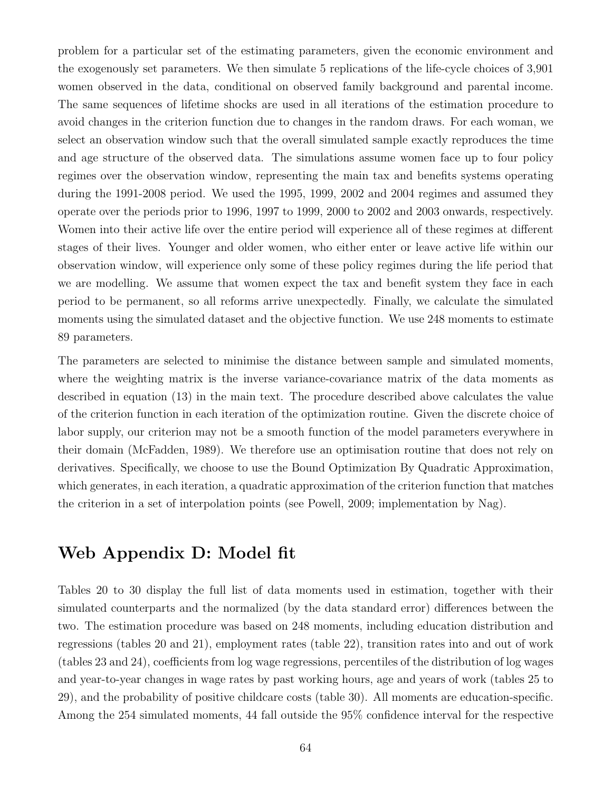problem for a particular set of the estimating parameters, given the economic environment and the exogenously set parameters. We then simulate 5 replications of the life-cycle choices of 3,901 women observed in the data, conditional on observed family background and parental income. The same sequences of lifetime shocks are used in all iterations of the estimation procedure to avoid changes in the criterion function due to changes in the random draws. For each woman, we select an observation window such that the overall simulated sample exactly reproduces the time and age structure of the observed data. The simulations assume women face up to four policy regimes over the observation window, representing the main tax and benefits systems operating during the 1991-2008 period. We used the 1995, 1999, 2002 and 2004 regimes and assumed they operate over the periods prior to 1996, 1997 to 1999, 2000 to 2002 and 2003 onwards, respectively. Women into their active life over the entire period will experience all of these regimes at different stages of their lives. Younger and older women, who either enter or leave active life within our observation window, will experience only some of these policy regimes during the life period that we are modelling. We assume that women expect the tax and benefit system they face in each period to be permanent, so all reforms arrive unexpectedly. Finally, we calculate the simulated moments using the simulated dataset and the objective function. We use 248 moments to estimate 89 parameters.

The parameters are selected to minimise the distance between sample and simulated moments, where the weighting matrix is the inverse variance-covariance matrix of the data moments as described in equation (13) in the main text. The procedure described above calculates the value of the criterion function in each iteration of the optimization routine. Given the discrete choice of labor supply, our criterion may not be a smooth function of the model parameters everywhere in their domain (McFadden, 1989). We therefore use an optimisation routine that does not rely on derivatives. Specifically, we choose to use the Bound Optimization By Quadratic Approximation, which generates, in each iteration, a quadratic approximation of the criterion function that matches the criterion in a set of interpolation points (see Powell, 2009; implementation by Nag).

## Web Appendix D: Model fit

Tables 20 to 30 display the full list of data moments used in estimation, together with their simulated counterparts and the normalized (by the data standard error) differences between the two. The estimation procedure was based on 248 moments, including education distribution and regressions (tables 20 and 21), employment rates (table 22), transition rates into and out of work (tables 23 and 24), coefficients from log wage regressions, percentiles of the distribution of log wages and year-to-year changes in wage rates by past working hours, age and years of work (tables 25 to 29), and the probability of positive childcare costs (table 30). All moments are education-specific. Among the 254 simulated moments, 44 fall outside the 95% confidence interval for the respective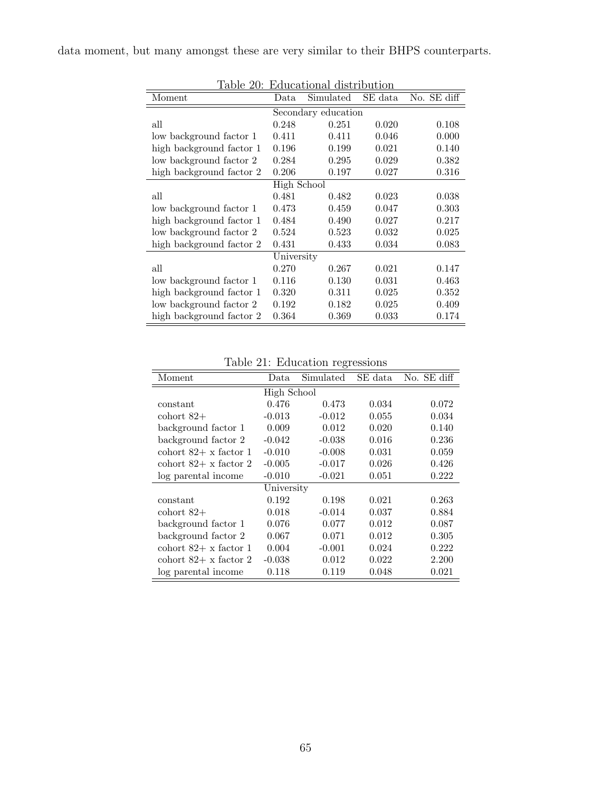data moment, but many amongst these are very similar to their BHPS counterparts.

|                          |                    | rable 20. Equeational distribution |         |             |  |  |  |  |
|--------------------------|--------------------|------------------------------------|---------|-------------|--|--|--|--|
| Moment                   | Data               | Simulated                          | SE data | No. SE diff |  |  |  |  |
|                          |                    | Secondary education                |         |             |  |  |  |  |
| all                      | 0.248              | 0.251                              | 0.020   | 0.108       |  |  |  |  |
| low background factor 1  | 0.411              | 0.411                              | 0.046   | 0.000       |  |  |  |  |
| high background factor 1 | 0.196              | 0.199                              | 0.021   | 0.140       |  |  |  |  |
| low background factor 2  | 0.284              | 0.295                              | 0.029   | 0.382       |  |  |  |  |
| high background factor 2 | 0.206              | 0.197                              | 0.027   | 0.316       |  |  |  |  |
|                          | <b>High School</b> |                                    |         |             |  |  |  |  |
| all                      | 0.481              | 0.482                              | 0.023   | 0.038       |  |  |  |  |
| low background factor 1  | 0.473              | 0.459                              | 0.047   | 0.303       |  |  |  |  |
| high background factor 1 | 0.484              | 0.490                              | 0.027   | 0.217       |  |  |  |  |
| low background factor 2  | 0.524              | 0.523                              | 0.032   | 0.025       |  |  |  |  |
| high background factor 2 | 0.431              | 0.433                              | 0.034   | 0.083       |  |  |  |  |
|                          | University         |                                    |         |             |  |  |  |  |
| all                      | 0.270              | 0.267                              | 0.021   | 0.147       |  |  |  |  |
| low background factor 1  | 0.116              | 0.130                              | 0.031   | 0.463       |  |  |  |  |
| high background factor 1 | 0.320              | 0.311                              | 0.025   | 0.352       |  |  |  |  |
| low background factor 2  | 0.192              | 0.182                              | 0.025   | 0.409       |  |  |  |  |
| high background factor 2 | 0.364              | 0.369                              | 0.033   | 0.174       |  |  |  |  |

Table 20: Educational distribution

Table 21: Education regressions

| Moment                   | Data        | Simulated | SE data | No. SE diff |
|--------------------------|-------------|-----------|---------|-------------|
|                          | High School |           |         |             |
| constant                 | 0.476       | 0.473     | 0.034   | 0.072       |
| $\text{cohort } 82+$     | $-0.013$    | $-0.012$  | 0.055   | 0.034       |
| background factor 1      | 0.009       | 0.012     | 0.020   | 0.140       |
| background factor 2      | $-0.042$    | $-0.038$  | 0.016   | 0.236       |
| cohort $82 + x$ factor 1 | $-0.010$    | $-0.008$  | 0.031   | 0.059       |
| cohort $82+$ x factor 2  | $-0.005$    | $-0.017$  | 0.026   | 0.426       |
| log parental income      | $-0.010$    | $-0.021$  | 0.051   | 0.222       |
|                          | University  |           |         |             |
| constant                 | 0.192       | 0.198     | 0.021   | 0.263       |
| $\text{cohort } 82+$     | 0.018       | $-0.014$  | 0.037   | 0.884       |
| background factor 1      | 0.076       | 0.077     | 0.012   | 0.087       |
| background factor 2      | 0.067       | 0.071     | 0.012   | 0.305       |
| cohort $82 + x$ factor 1 | 0.004       | $-0.001$  | 0.024   | 0.222       |
| cohort $82+$ x factor 2  | $-0.038$    | 0.012     | 0.022   | 2.200       |
| log parental income      | 0.118       | 0.119     | 0.048   | 0.021       |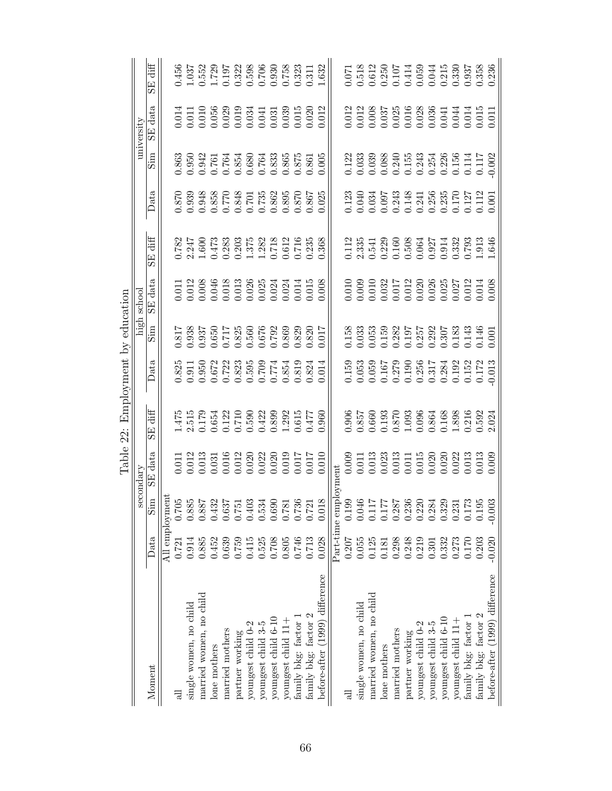|                         |            | <b>SE</b> diff |                |       |                                                        |                         | 0.456<br>0.552<br>0.552 32 38 36 56 56 575<br>0.532 38 56 56 56 5753<br>0.532 50 50 50 50 51.632                                                                                                                                                                                                    |                 |                 |                    |                    |                     |                    |                      |                      |                                                                                                                                                                                                                                                                                                     |                      |       | $\begin{array}{l} 0.071 \\ 0.518 \\ 0.612 \\ 0.0141 \\ 0.000 \\ 0.011 \\ 0.000 \\ 0.000 \\ 0.000 \\ 0.000 \\ 0.000 \\ 0.000 \\ 0.000 \\ 0.000 \\ 0.000 \\ 0.000 \\ 0.000 \\ 0.000 \\ 0.000 \\ 0.000 \\ 0.000 \\ 0.000 \\ 0.000 \\ 0.000 \\ 0.000 \\ 0.000 \\ 0.000 \\ 0.000 \\ 0.000 \\ 0.000 \\ 0$         |                         |              |                 |                                                                                                                                                                          |                    |                    |                     |                    |                      |                      |                                |
|-------------------------|------------|----------------|----------------|-------|--------------------------------------------------------|-------------------------|-----------------------------------------------------------------------------------------------------------------------------------------------------------------------------------------------------------------------------------------------------------------------------------------------------|-----------------|-----------------|--------------------|--------------------|---------------------|--------------------|----------------------|----------------------|-----------------------------------------------------------------------------------------------------------------------------------------------------------------------------------------------------------------------------------------------------------------------------------------------------|----------------------|-------|-------------------------------------------------------------------------------------------------------------------------------------------------------------------------------------------------------------------------------------------------------------------------------------------------------------|-------------------------|--------------|-----------------|--------------------------------------------------------------------------------------------------------------------------------------------------------------------------|--------------------|--------------------|---------------------|--------------------|----------------------|----------------------|--------------------------------|
|                         | university | $SE$ data      |                |       |                                                        |                         |                                                                                                                                                                                                                                                                                                     |                 |                 |                    |                    |                     |                    |                      |                      | $\begin{array}{l} 0.011 \\ 0.011 \\ 0.010 \\ 0.056 \\ 0.039 \\ 0.039 \\ 0.034 \\ 0.031 \\ 0.039 \\ 0.039 \\ 0.039 \\ 0.039 \\ 0.039 \\ 0.012 \\ 0.012 \\ 0.012 \\ 0.012 \\ 0.012 \\ 0.012 \\ 0.013 \\ 0.014 \\ 0.013 \\ 0.014 \\ 0.014 \\ 0.015 \\ 0.012 \\ 0.014 \\ 0.014 \\ 0.014 \\ 0.015 \\ 0.$ |                      |       | $\begin{array}{l} 0.012 \\ 0.012 \\ 0.08 \\ 0.037 \\ 0.010 \\ 0.010 \\ 0.038 \\ 0.038 \\ 0.034 \\ 0.010 \\ 0.000 \\ 0.011 \\ 0.011 \\ 0.011 \\ 0.010 \\ 0.010 \\ 0.001 \\ 0.001 \\ 0.001 \\ 0.001 \\ 0.001 \\ 0.001 \\ 0.001 \\ 0.001 \\ 0.001 \\ 0.001 \\ 0.001 \\ 0.001 \\ 0.001 \\ 0.001 \\ 0.0$         |                         |              |                 |                                                                                                                                                                          |                    |                    |                     |                    |                      |                      |                                |
|                         |            | Sim            |                |       |                                                        |                         |                                                                                                                                                                                                                                                                                                     |                 |                 |                    |                    |                     |                    |                      |                      |                                                                                                                                                                                                                                                                                                     |                      |       | $\begin{array}{c} 1.122 \\ 0.033 \\ 0.039 \\ 0.039 \\ 0.038 \\ 0.038 \\ 0.01 \\ 0.01 \\ 0.01 \\ 0.01 \\ 0.01 \\ 0.01 \\ 0.01 \\ 0.01 \\ 0.01 \\ 0.01 \\ 0.01 \\ 0.01 \\ 0.01 \\ 0.01 \\ 0.01 \\ 0.01 \\ 0.01 \\ 0.01 \\ 0.01 \\ 0.01 \\ 0.01 \\ 0.01 \\ 0.01 \\ 0.01 \\ 0.01 \\ 0.01 \\ 0.01 \\ 0.01 \\ 0.$ |                         |              |                 |                                                                                                                                                                          |                    |                    |                     |                    |                      |                      |                                |
|                         |            | <b>D</b> ata   |                |       | $\begin{array}{c} 0.870 \\ 0.939 \\ 0.948 \end{array}$ |                         | 858<br>0.848<br>0.0.847<br>0.0.0.855<br>0.0.0.0.0.0.0.0.0<br>0.0.0.0.0.0.0.0.0                                                                                                                                                                                                                      |                 |                 |                    |                    |                     |                    |                      |                      |                                                                                                                                                                                                                                                                                                     |                      |       |                                                                                                                                                                                                                                                                                                             |                         |              |                 |                                                                                                                                                                          |                    |                    |                     |                    |                      |                      |                                |
|                         |            | <b>SE</b> diff |                |       |                                                        |                         | $\begin{array}{l} 0.782 \\ 2.247 \\ 1.600 \\ 0.473 \\ 0.283 \\ 0.203 \\ 0.203 \\ 1.378 \\ 0.718 \\ 0.718 \\ 0.719 \\ 0.368 \\ 0.368 \\ 0.368 \\ \end{array}$                                                                                                                                        |                 |                 |                    |                    |                     |                    |                      |                      |                                                                                                                                                                                                                                                                                                     |                      |       | $\begin{array}{l} 0.112 \\ 0.335 \\ 0.541 \\ 0.010 \\ 0.000 \\ 0.000 \\ 0.000 \\ 0.000 \\ 0.000 \\ 0.000 \\ 0.000 \\ 0.001 \\ 0.000 \\ 0.001 \\ 0.001 \\ 0.01 \\ 0.01 \\ 0.01 \\ 0.01 \\ 0.01 \\ 0.01 \\ 0.01 \\ 0.01 \\ 0.01 \\ 0.01 \\ 0.01 \\ 0.01 \\ 0.01 \\ 0.01 \\ 0.01 \\ 0.01 \\ 0.01 \\ 0.01 \\$   |                         |              |                 |                                                                                                                                                                          |                    |                    |                     |                    |                      |                      |                                |
|                         | high schoo | data<br>55     |                |       |                                                        |                         | $\begin{array}{l} 0.011 \\ 0.012 \\ 0.008 \\ 0.010 \\ 0.011 \\ 0.010 \\ 0.011 \\ 0.010 \\ 0.011 \\ 0.000 \\ 0.000 \\ 0.000 \\ 0.000 \\ 0.000 \\ 0.000 \\ 0.000 \\ 0.000 \\ 0.000 \\ 0.000 \\ 0.000 \\ 0.000 \\ 0.000 \\ 0.000 \\ 0.000 \\ 0.000 \\ 0.000 \\ 0.000 \\ 0.000 \\ 0.000 \\ 0.000 \\ 0.$ |                 |                 |                    |                    |                     |                    |                      |                      |                                                                                                                                                                                                                                                                                                     |                      |       | $\begin{array}{l} 0.010\\ 0.000\\ 0.011\\ 0.011\\ 0.011\\ 0.011\\ 0.000\\ 0.000\\ 0.000\\ 0.000\\ 0.000\\ 0.000\\ 0.000\\ 0.000\\ 0.000\\ 0.000\\ 0.000\\ 0.000\\ 0.000\\ 0.000\\ 0.000\\ 0.000\\ 0.000\\ 0.000\\ 0.000\\ 0.000\\ 0.000\\ 0.000\\ 0.000\\ 0.000\\ 0.$                                       |                         |              |                 |                                                                                                                                                                          |                    |                    |                     |                    |                      |                      |                                |
|                         |            | $\sin$         |                |       |                                                        |                         |                                                                                                                                                                                                                                                                                                     |                 |                 |                    |                    |                     |                    |                      |                      |                                                                                                                                                                                                                                                                                                     |                      |       | $\begin{array}{r} 0.158 \\ 0.033 \\ 0.053 \\ 0.054 \\ 0.159 \\ 0.282 \\ 0.215 \\ 0.235 \\ 0.307 \\ 0.307 \\ 0.307 \\ 0.307 \\ 0.307 \\ 0.0146 \\ 0.001 \\ 0.001 \\ 0.001 \\ \end{array}$                                                                                                                    |                         |              |                 |                                                                                                                                                                          |                    |                    |                     |                    |                      |                      |                                |
| Employment by education |            | Data           |                |       |                                                        |                         |                                                                                                                                                                                                                                                                                                     |                 |                 |                    |                    |                     |                    |                      |                      |                                                                                                                                                                                                                                                                                                     |                      |       |                                                                                                                                                                                                                                                                                                             |                         |              |                 |                                                                                                                                                                          |                    |                    |                     |                    |                      |                      |                                |
|                         |            | Ë<br><b>SE</b> |                |       |                                                        |                         | $\begin{array}{l} 1.475 \\ 1.515 \\ 2.517 \\ 0.179 \\ 0.171 \\ 0.011 \\ 0.011 \\ 0.011 \\ 0.011 \\ 0.011 \\ 0.011 \\ 0.011 \\ 0.011 \\ 0.011 \\ 0.011 \\ 0.011 \\ 0.011 \\ 0.011 \\ 0.011 \\ 0.011 \\ 0.011 \\ 0.011 \\ 0.011 \\ 0.011 \\ 0.011 \\ 0.011 \\ 0.011 \\ 0.011 \\ 0.011 \\ 0.011 \\ 0.$ |                 |                 |                    |                    |                     |                    |                      |                      |                                                                                                                                                                                                                                                                                                     |                      |       | 0.906<br>0.8570<br>0.660 0.870<br>0.870 0.884 0.888 0.882<br>0.700 0.888 0.882 0.892                                                                                                                                                                                                                        |                         |              |                 |                                                                                                                                                                          |                    |                    |                     |                    |                      |                      |                                |
| Table 22:               | secondary  | $\rm SE~data$  |                |       |                                                        |                         | $\begin{array}{l} 0.011 \\ 0.012 \\ 0.013 \\ 0.013 \\ 0.014 \\ 0.015 \\ 0.012 \\ 0.013 \\ 0.010 \\ 0.000 \\ 0.000 \\ 0.001 \\ 0.011 \\ 0.010 \\ 0.010 \\ 0.010 \\ 0.010 \\ 0.010 \\ 0.010 \\ 0.010 \\ 0.010 \\ 0.010 \\ 0.010 \\ 0.010 \\ 0.010 \\ 0.010 \\ 0.010 \\ 0.010 \\ 0.010 \\ 0.010 \\ 0.$ |                 |                 |                    |                    |                     |                    |                      |                      |                                                                                                                                                                                                                                                                                                     |                      |       | $\begin{array}{r} 0.0000\\ 0.0111\\ 0.0113\\ 0.0111\\ 0.0000\\ 0.0111\\ 0.0000\\ 0.0000\\ 0.0000\\ 0.0000\\ 0.0000\\ 0.0000\\ 0.0000\\ 0.0000\\ 0.0000\\ 0.0000\\ 0.0000\\ 0.0000\\ 0.0000\\ 0.0000\\ 0.0000\\ 0.0000\\ 0.0000\\ 0.0000\\ 0.0000\\ 0.0000\\ 0.00$                                           |                         |              |                 |                                                                                                                                                                          |                    |                    |                     |                    |                      |                      |                                |
|                         |            | Sim            |                |       |                                                        |                         | $\begin{array}{l} 0.705\\ 0.885\\ 0.887\\ 0.631\\ 0.6432\\ 0.651\\ 0.633\\ 0.634\\ 0.634\\ 0.634\\ 0.634\\ 0.600\\ 0.600\\ 0.600\\ 0.600\\ 0.600\\ 0.600\\ 0.600\\ 0.600\\ 0.600\\ 0.600\\ 0.600\\ 0.600\\ 0.600\\ 0.600\\ 0.600\\ 0.600\\ 0.600\\ 0.600\\ 0.600\\ 0$                               |                 |                 |                    |                    |                     |                    |                      |                      |                                                                                                                                                                                                                                                                                                     | Part-time employment | 0.199 | 0.046                                                                                                                                                                                                                                                                                                       |                         |              |                 | $\begin{array}{l} 0.117 \\ 0.177 \\ 0.287 \\ 0.236 \\ 0.230 \\ 0.334 \\ 0.333 \\ 0.331 \\ 0.173 \\ 0.131 \\ 0.131 \\ 0.133 \\ 0.0195 \\ 0.0195 \\ 0.0195 \\ \end{array}$ |                    |                    |                     |                    |                      |                      |                                |
|                         |            | Data           | All employment | 0.721 | 0.914                                                  | 0.885                   | 0.452                                                                                                                                                                                                                                                                                               | 0.639           | 0.759           | 0.415              | 0.525              | 0.708               | 0.805              | 0.746                | 0.713                | 0.028                                                                                                                                                                                                                                                                                               |                      | 0.207 | 0.055                                                                                                                                                                                                                                                                                                       | 0.125                   | 0.181        | 0.298           | 0.248                                                                                                                                                                    | 0.219              | 0.301              | 0.332               | 0.273              | 0.170                | 0.203                | $-0.020$                       |
|                         |            | Moment         |                |       | single women, no child                                 | married women, no child | lone mothers                                                                                                                                                                                                                                                                                        | married mothers | partner working | youngest child 0-2 | youngest child 3-5 | youngest child 6-10 | youngest child 11+ | family bkg: factor 1 | family bkg: factor 2 | before-after (1999) difference                                                                                                                                                                                                                                                                      |                      |       | single women, no child                                                                                                                                                                                                                                                                                      | married women, no child | lone mothers | married mothers | partner working                                                                                                                                                          | youngest child 0-2 | youngest child 3-5 | youngest child 6-10 | youngest child 11+ | family bkg: factor 1 | family bkg: factor 2 | before-after (1999) difference |

Table 22: Employment by education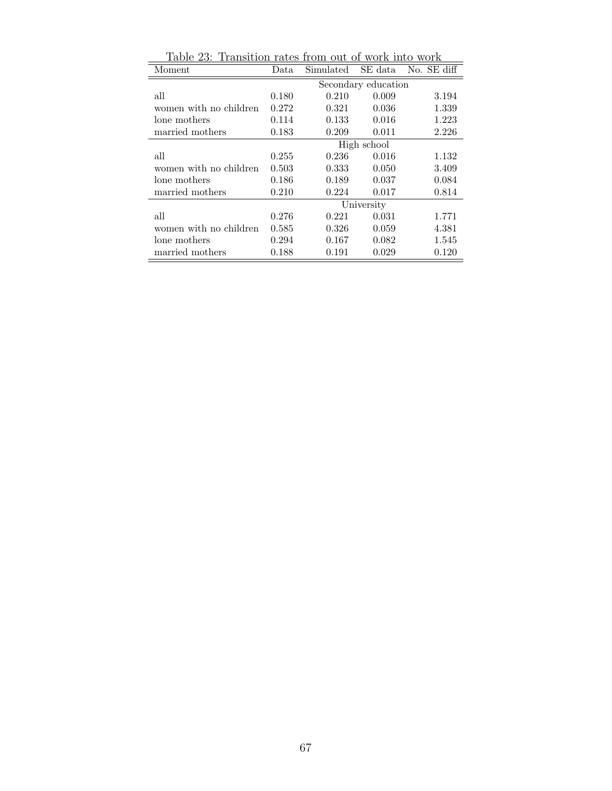| таріе 25:              |       | Transition rates from out of work mto |                     | - WOLK      |
|------------------------|-------|---------------------------------------|---------------------|-------------|
| Moment                 | Data  | Simulated                             | SE data             | No. SE diff |
|                        |       |                                       | Secondary education |             |
| all                    | 0.180 | 0.210                                 | 0.009               | 3.194       |
| women with no children | 0.272 | 0.321                                 | 0.036               | 1.339       |
| lone mothers           | 0.114 | 0.133                                 | 0.016               | 1.223       |
| married mothers        | 0.183 | 0.209                                 | 0.011               | 2.226       |
|                        |       |                                       | High school         |             |
| all                    | 0.255 | 0.236                                 | 0.016               | 1.132       |
| women with no children | 0.503 | 0.333                                 | 0.050               | 3.409       |
| lone mothers           | 0.186 | 0.189                                 | 0.037               | 0.084       |
| married mothers        | 0.210 | 0.224                                 | 0.017               | 0.814       |
|                        |       |                                       | University          |             |
| all                    | 0.276 | 0.221                                 | 0.031               | 1.771       |
| women with no children | 0.585 | 0.326                                 | 0.059               | 4.381       |
| lone mothers           | 0.294 | 0.167                                 | 0.082               | 1.545       |
| married mothers        | 0.188 | 0.191                                 | 0.029               | 0.120       |
|                        |       |                                       |                     |             |

Table 23: Transition rates from out of work into work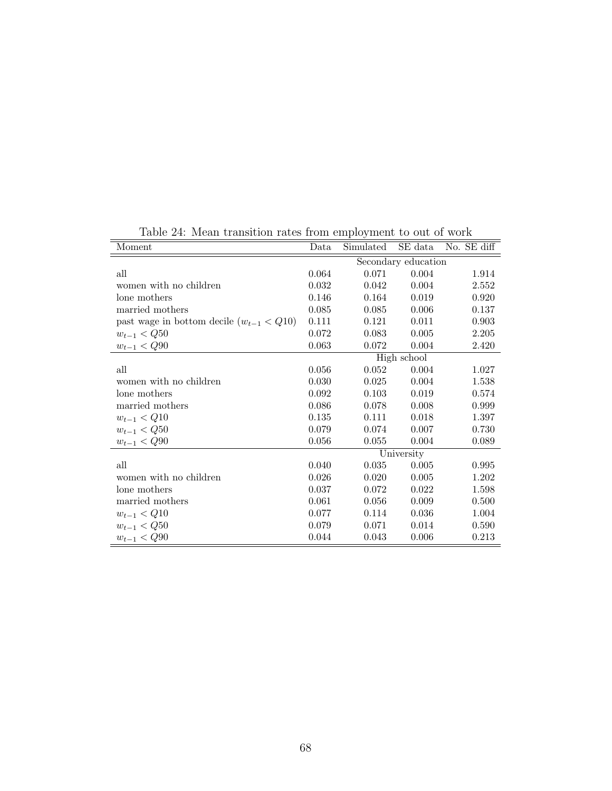| Moment                                       | Data        | Simulated           | SE data | No. SE diff |
|----------------------------------------------|-------------|---------------------|---------|-------------|
|                                              |             | Secondary education |         |             |
| all                                          | 0.064       | 0.071               | 0.004   | 1.914       |
| women with no children                       | 0.032       | 0.042               | 0.004   | 2.552       |
| lone mothers                                 | 0.146       | 0.164               | 0.019   | 0.920       |
| married mothers                              | 0.085       | 0.085               | 0.006   | 0.137       |
| past wage in bottom decile $(w_{t-1} < Q10)$ | 0.111       | 0.121               | 0.011   | 0.903       |
| $w_{t-1} < Q50$                              | 0.072       | 0.083               | 0.005   | 2.205       |
| $w_{t-1} < Q90$                              | 0.063       | 0.072               | 0.004   | 2.420       |
|                                              | High school |                     |         |             |
| all                                          | 0.056       | 0.052               | 0.004   | 1.027       |
| women with no children                       | 0.030       | 0.025               | 0.004   | 1.538       |
| lone mothers                                 | 0.092       | 0.103               | 0.019   | 0.574       |
| married mothers                              | 0.086       | 0.078               | 0.008   | 0.999       |
| $w_{t-1} < Q10$                              | 0.135       | 0.111               | 0.018   | 1.397       |
| $w_{t-1} < Q50$                              | 0.079       | 0.074               | 0.007   | 0.730       |
| $w_{t-1} < Q90$                              | 0.056       | 0.055               | 0.004   | 0.089       |
|                                              |             | University          |         |             |
| all                                          | 0.040       | 0.035               | 0.005   | 0.995       |
| women with no children                       | 0.026       | 0.020               | 0.005   | 1.202       |
| lone mothers                                 | 0.037       | 0.072               | 0.022   | 1.598       |
| married mothers                              | 0.061       | 0.056               | 0.009   | 0.500       |
| $w_{t-1} < Q10$                              | 0.077       | 0.114               | 0.036   | 1.004       |
| $w_{t-1} < Q50$                              | 0.079       | 0.071               | 0.014   | 0.590       |
| $w_{t-1} < Q90$                              | 0.044       | 0.043               | 0.006   | 0.213       |

Table 24: Mean transition rates from employment to out of work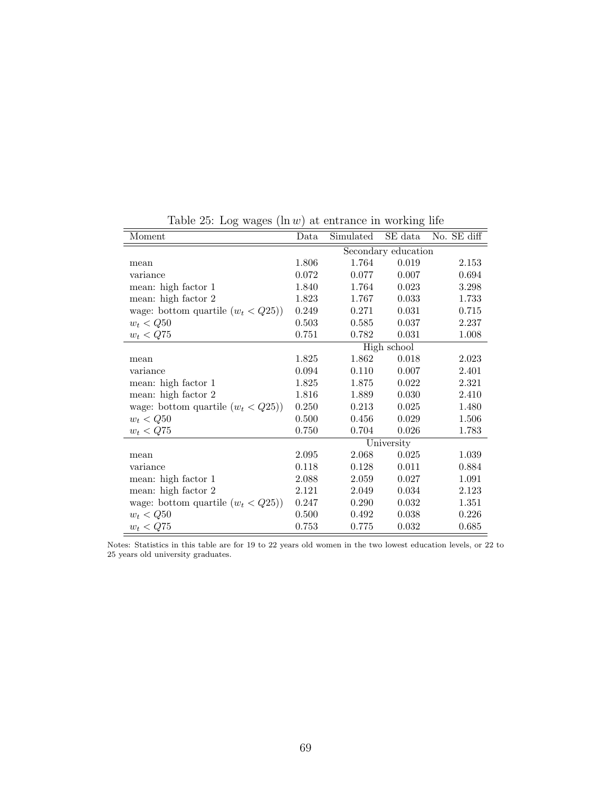| Moment                                | Data                | Simulated  | SE data | No. SE diff |
|---------------------------------------|---------------------|------------|---------|-------------|
|                                       | Secondary education |            |         |             |
| mean                                  | 1.806               | 1.764      | 0.019   | 2.153       |
| variance                              | 0.072               | 0.077      | 0.007   | 0.694       |
| mean: high factor 1                   | 1.840               | 1.764      | 0.023   | 3.298       |
| mean: high factor 2                   | 1.823               | 1.767      | 0.033   | 1.733       |
| wage: bottom quartile $(w_t < Q25)$   | 0.249               | 0.271      | 0.031   | 0.715       |
| $w_t < Q50$                           | 0.503               | 0.585      | 0.037   | 2.237       |
| $w_t < Q$ 75                          | 0.751               | 0.782      | 0.031   | 1.008       |
|                                       | High school         |            |         |             |
| mean                                  | 1.825               | 1.862      | 0.018   | 2.023       |
| variance                              | 0.094               | 0.110      | 0.007   | 2.401       |
| mean: high factor 1                   | 1.825               | 1.875      | 0.022   | 2.321       |
| mean: high factor 2                   | 1.816               | 1.889      | 0.030   | 2.410       |
| wage: bottom quartile $(w_t < Q25)$ ) | 0.250               | 0.213      | 0.025   | 1.480       |
| $w_t < Q50$                           | 0.500               | 0.456      | 0.029   | 1.506       |
| $w_t < Q$ 75                          | 0.750               | 0.704      | 0.026   | 1.783       |
|                                       |                     | University |         |             |
| mean                                  | 2.095               | 2.068      | 0.025   | 1.039       |
| variance                              | 0.118               | 0.128      | 0.011   | 0.884       |
| mean: high factor 1                   | 2.088               | 2.059      | 0.027   | 1.091       |
| mean: high factor 2                   | 2.121               | 2.049      | 0.034   | 2.123       |
| wage: bottom quartile $(w_t < Q25)$   | 0.247               | 0.290      | 0.032   | 1.351       |
| $w_t < Q50$                           | 0.500               | 0.492      | 0.038   | 0.226       |
| $w_t < Q$ 75                          | 0.753               | 0.775      | 0.032   | 0.685       |

Table 25: Log wages  $(\ln w)$  at entrance in working life

Notes: Statistics in this table are for 19 to 22 years old women in the two lowest education levels, or 22 to 25 years old university graduates.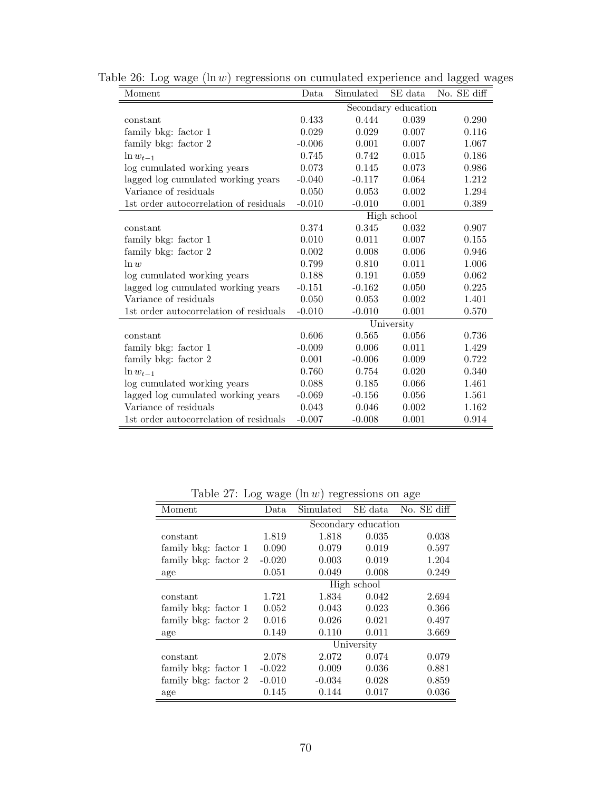| Moment                                 | Data                | Simulated  | SE data | No. SE diff |
|----------------------------------------|---------------------|------------|---------|-------------|
|                                        | Secondary education |            |         |             |
| constant                               | 0.433               | 0.444      | 0.039   | 0.290       |
| family bkg: factor 1                   | 0.029               | 0.029      | 0.007   | 0.116       |
| family bkg: factor 2                   | $-0.006$            | 0.001      | 0.007   | 1.067       |
| $\ln w_{t-1}$                          | 0.745               | 0.742      | 0.015   | 0.186       |
| log cumulated working years            | 0.073               | 0.145      | 0.073   | 0.986       |
| lagged log cumulated working years     | $-0.040$            | $-0.117$   | 0.064   | 1.212       |
| Variance of residuals                  | 0.050               | 0.053      | 0.002   | 1.294       |
| 1st order autocorrelation of residuals | $-0.010$            | $-0.010$   | 0.001   | 0.389       |
|                                        | High school         |            |         |             |
| constant                               | 0.374               | 0.345      | 0.032   | 0.907       |
| family bkg: factor 1                   | 0.010               | 0.011      | 0.007   | 0.155       |
| family bkg: factor 2                   | 0.002               | 0.008      | 0.006   | 0.946       |
| ln w                                   | 0.799               | 0.810      | 0.011   | 1.006       |
| log cumulated working years            | 0.188               | 0.191      | 0.059   | 0.062       |
| lagged log cumulated working years     | $-0.151$            | $-0.162$   | 0.050   | 0.225       |
| Variance of residuals                  | 0.050               | 0.053      | 0.002   | 1.401       |
| 1st order autocorrelation of residuals | $-0.010$            | $-0.010$   | 0.001   | 0.570       |
|                                        |                     | University |         |             |
| constant                               | 0.606               | 0.565      | 0.056   | 0.736       |
| family bkg: factor 1                   | $-0.009$            | 0.006      | 0.011   | 1.429       |
| family bkg: factor 2                   | 0.001               | $-0.006$   | 0.009   | 0.722       |
| $\ln w_{t-1}$                          | 0.760               | 0.754      | 0.020   | 0.340       |
| log cumulated working years            | 0.088               | 0.185      | 0.066   | 1.461       |
| lagged log cumulated working years     | $-0.069$            | $-0.156$   | 0.056   | 1.561       |
| Variance of residuals                  | 0.043               | 0.046      | 0.002   | 1.162       |
| 1st order autocorrelation of residuals | $-0.007$            | $-0.008$   | 0.001   | 0.914       |

Table 26: Log wage  $(\ln w)$  regressions on cumulated experience and lagged wages

Table 27: Log wage  $(\ln w)$  regressions on age

| Moment               | Data                | Simulated | SE data | No. SE diff |  |
|----------------------|---------------------|-----------|---------|-------------|--|
|                      | Secondary education |           |         |             |  |
| constant             | 1.819               | 1.818     | 0.035   | 0.038       |  |
| family bkg: factor 1 | 0.090               | 0.079     | 0.019   | 0.597       |  |
| family bkg: factor 2 | $-0.020$            | 0.003     | 0.019   | 1.204       |  |
| age                  | 0.051               | 0.049     | 0.008   | 0.249       |  |
|                      | High school         |           |         |             |  |
| constant             | 1.721               | 1.834     | 0.042   | 2.694       |  |
| family bkg: factor 1 | 0.052               | 0.043     | 0.023   | 0.366       |  |
| family bkg: factor 2 | 0.016               | 0.026     | 0.021   | 0.497       |  |
| age                  | 0.149               | 0.110     | 0.011   | 3.669       |  |
|                      | University          |           |         |             |  |
| constant             | 2.078               | 2.072     | 0.074   | 0.079       |  |
| family bkg: factor 1 | $-0.022$            | 0.009     | 0.036   | 0.881       |  |
| family bkg: factor 2 | $-0.010$            | $-0.034$  | 0.028   | 0.859       |  |
| age                  | 0.145               | 0.144     | 0.017   | 0.036       |  |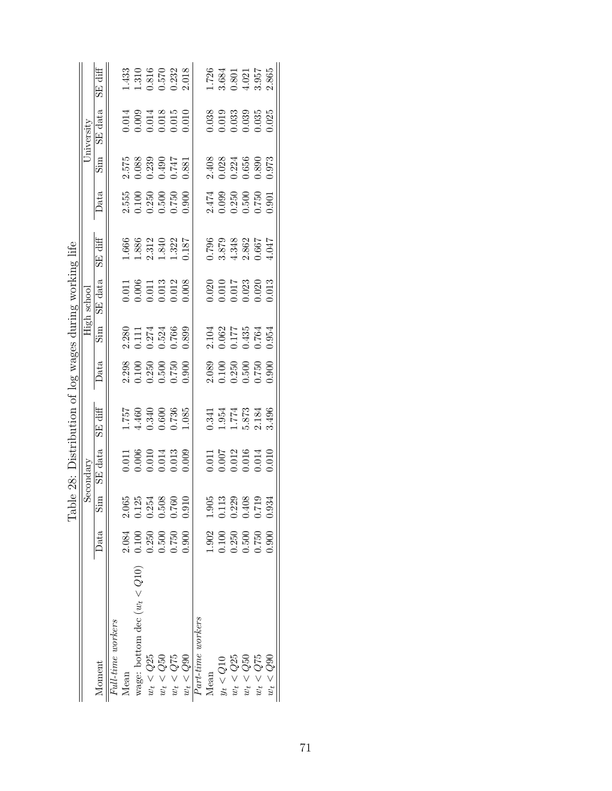|                                |                    |                                                                                   | Secondary                                                                                     | abite zo: Distribution of log wages during working inte        |                                                                                               | High                                      | schoo                                                                                      |                                                                             |                                                                |                                                                | Jniversity                                                                                             |                                                                                   |
|--------------------------------|--------------------|-----------------------------------------------------------------------------------|-----------------------------------------------------------------------------------------------|----------------------------------------------------------------|-----------------------------------------------------------------------------------------------|-------------------------------------------|--------------------------------------------------------------------------------------------|-----------------------------------------------------------------------------|----------------------------------------------------------------|----------------------------------------------------------------|--------------------------------------------------------------------------------------------------------|-----------------------------------------------------------------------------------|
|                                |                    |                                                                                   |                                                                                               |                                                                |                                                                                               |                                           |                                                                                            |                                                                             |                                                                |                                                                |                                                                                                        |                                                                                   |
|                                | Data               | $\sin$                                                                            | SE data                                                                                       | diff<br>SE)                                                    | Data                                                                                          | $\sin$                                    | SE data                                                                                    | $SE$ diff                                                                   | Data                                                           | Sim                                                            | SE data                                                                                                | $SE$ diff                                                                         |
| Full-time workers              |                    |                                                                                   |                                                                                               |                                                                |                                                                                               |                                           |                                                                                            |                                                                             |                                                                |                                                                |                                                                                                        |                                                                                   |
|                                | 2.084              |                                                                                   |                                                                                               |                                                                |                                                                                               |                                           |                                                                                            |                                                                             |                                                                |                                                                |                                                                                                        |                                                                                   |
| wage: bottom dec $(w_t < Q10)$ | 0.100              | $2.065$<br>$0.125$<br>$0.254$<br>$0.508$<br>$0.760$<br>$0.910$                    | $0.011$<br>$0.006$<br>$0.010$<br>$0.014$<br>$0.013$<br>$0.009$                                | $1.757$<br>$4.460$<br>$0.340$<br>$0.736$<br>$0.736$<br>$1.085$ | $\begin{array}{r} 2.298 \\ 0.100 \\ 0.550 \\ 0.500 \\ 0.500 \\ 0.030 \\ 0.900 \\ \end{array}$ | 2.280<br>0.111<br>0.524<br>0.899<br>0.890 | $\begin{array}{c} 0.011 \\ 0.006 \\ 0.011 \\ 0.013 \\ 0.013 \\ 0.008 \end{array}$          | $\begin{array}{c} 1.666 \\ 1.886 \\ 2.312 \\ 1.322 \\ 1.322 \\ \end{array}$ | 2.555<br>0.100<br>0.500<br>0.500<br>0.900                      | 2.575<br>0.088<br>0.239<br>0.747<br>0.881                      | $\begin{array}{c} 0.014 \\ 0.009 \\ 0.014 \\ 0.018 \\ 0.015 \\ 0.015 \\ 0.015 \\ 0.010 \\ \end{array}$ | $1.433$<br>$1.310$<br>$0.816$<br>$0.570$<br>$0.232$                               |
|                                |                    |                                                                                   |                                                                                               |                                                                |                                                                                               |                                           |                                                                                            |                                                                             |                                                                |                                                                |                                                                                                        |                                                                                   |
|                                | $0.250$<br>$0.500$ |                                                                                   |                                                                                               |                                                                |                                                                                               |                                           |                                                                                            |                                                                             |                                                                |                                                                |                                                                                                        |                                                                                   |
|                                | 0.750              |                                                                                   |                                                                                               |                                                                |                                                                                               |                                           |                                                                                            |                                                                             |                                                                |                                                                |                                                                                                        |                                                                                   |
|                                | 0.900              |                                                                                   |                                                                                               |                                                                |                                                                                               |                                           |                                                                                            |                                                                             |                                                                |                                                                |                                                                                                        |                                                                                   |
| Part-time workers              |                    |                                                                                   |                                                                                               |                                                                |                                                                                               |                                           |                                                                                            |                                                                             |                                                                |                                                                |                                                                                                        |                                                                                   |
|                                | 1.902              |                                                                                   |                                                                                               |                                                                |                                                                                               |                                           |                                                                                            |                                                                             |                                                                |                                                                |                                                                                                        |                                                                                   |
|                                | 0.100              |                                                                                   |                                                                                               |                                                                |                                                                                               |                                           |                                                                                            |                                                                             |                                                                |                                                                |                                                                                                        |                                                                                   |
|                                | 0.250              |                                                                                   |                                                                                               |                                                                |                                                                                               |                                           |                                                                                            |                                                                             |                                                                |                                                                |                                                                                                        |                                                                                   |
|                                | 0.500              |                                                                                   |                                                                                               |                                                                |                                                                                               |                                           |                                                                                            |                                                                             |                                                                |                                                                |                                                                                                        |                                                                                   |
|                                | 0.750              | $\begin{array}{c} 1.905 \\ 0.113 \\ 0.229 \\ 0.408 \\ 0.719 \\ 0.034 \end{array}$ | $\begin{array}{r} 0.011 \\ 0.007 \\ 0.012 \\ 0.016 \\ 0.016 \\ 0.014 \\ 0.010 \\ \end{array}$ | 0.341<br>1.954<br>1.774<br>5.873<br>2.496                      | 2.089<br>0.100<br>0.500<br>0.500<br>0.900                                                     | 2.104<br>0.062<br>0.177<br>0.764<br>0.954 | $\begin{array}{c} 0.020 \\ 0.010 \\ 0.017 \\ 0.023 \\ 0.020 \\ 0.013 \\ 0.013 \end{array}$ | 0.796<br>3.878<br>4.348<br>0.667<br>0.667                                   | $2.474$<br>$0.099$<br>$0.250$<br>$0.500$<br>$0.750$<br>$0.901$ | $2.408$<br>$0.028$<br>$0.224$<br>$0.656$<br>$0.890$<br>$0.973$ | 038<br>0.019<br>0.033<br>0.035<br>0.025                                                                | $\begin{array}{r} 1.726 \\ 3.684 \\ 0.801 \\ 4.021 \\ 3.857 \\ 2.865 \end{array}$ |
|                                | 0.900              |                                                                                   |                                                                                               |                                                                |                                                                                               |                                           |                                                                                            |                                                                             |                                                                |                                                                |                                                                                                        |                                                                                   |
|                                |                    |                                                                                   |                                                                                               |                                                                |                                                                                               |                                           |                                                                                            |                                                                             |                                                                |                                                                |                                                                                                        |                                                                                   |

working life Table 28: Distribution of log wages during working life ۱. :<br>انتقاد Table 28: Distribution of lo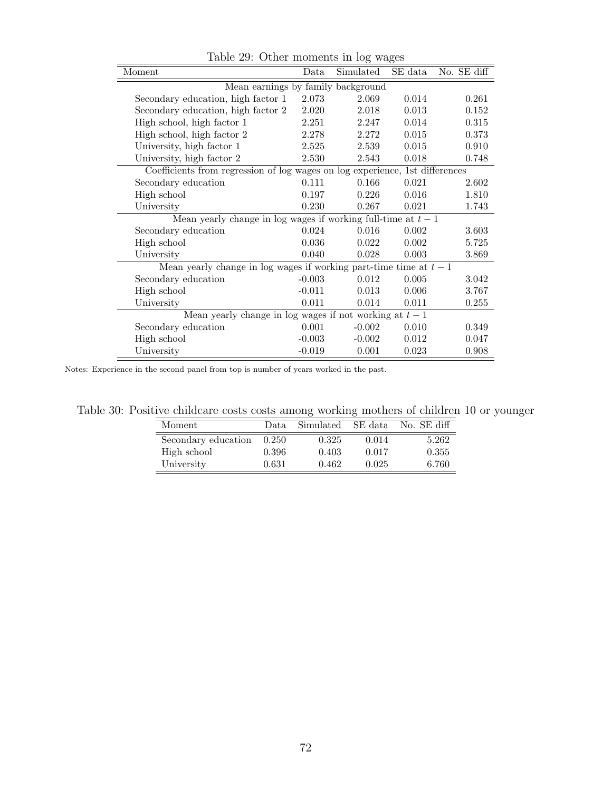| $1000 \pm 0.001$ once including in $100$<br>$\cdots \infty$                  |          |           |         |             |  |  |  |  |
|------------------------------------------------------------------------------|----------|-----------|---------|-------------|--|--|--|--|
| Moment                                                                       | Data     | Simulated | SE data | No. SE diff |  |  |  |  |
| Mean earnings by family background                                           |          |           |         |             |  |  |  |  |
| Secondary education, high factor 1                                           | 2.073    | 2.069     | 0.014   | 0.261       |  |  |  |  |
| Secondary education, high factor 2                                           | 2.020    | 2.018     | 0.013   | 0.152       |  |  |  |  |
| High school, high factor 1                                                   | 2.251    | 2.247     | 0.014   | 0.315       |  |  |  |  |
| High school, high factor 2                                                   | 2.278    | 2.272     | 0.015   | 0.373       |  |  |  |  |
| University, high factor 1                                                    | 2.525    | 2.539     | 0.015   | 0.910       |  |  |  |  |
| University, high factor 2                                                    | 2.530    | 2.543     | 0.018   | 0.748       |  |  |  |  |
| Coefficients from regression of log wages on log experience, 1st differences |          |           |         |             |  |  |  |  |
| Secondary education                                                          | 0.111    | 0.166     | 0.021   | 2.602       |  |  |  |  |
| High school                                                                  | 0.197    | 0.226     | 0.016   | 1.810       |  |  |  |  |
| University                                                                   | 0.230    | 0.267     | 0.021   | 1.743       |  |  |  |  |
| Mean yearly change in log wages if working full-time at $t-1$                |          |           |         |             |  |  |  |  |
| Secondary education                                                          | 0.024    | 0.016     | 0.002   | 3.603       |  |  |  |  |
| High school                                                                  | 0.036    | 0.022     | 0.002   | 5.725       |  |  |  |  |
| University                                                                   | 0.040    | 0.028     | 0.003   | 3.869       |  |  |  |  |
| Mean yearly change in log wages if working part-time time at $t-1$           |          |           |         |             |  |  |  |  |
| Secondary education                                                          | $-0.003$ | 0.012     | 0.005   | 3.042       |  |  |  |  |
| High school                                                                  | $-0.011$ | 0.013     | 0.006   | 3.767       |  |  |  |  |
| University                                                                   | 0.011    | 0.014     | 0.011   | 0.255       |  |  |  |  |
| Mean yearly change in log wages if not working at $t-1$                      |          |           |         |             |  |  |  |  |
| Secondary education                                                          | 0.001    | $-0.002$  | 0.010   | 0.349       |  |  |  |  |
| High school                                                                  | $-0.003$ | $-0.002$  | 0.012   | 0.047       |  |  |  |  |
| University                                                                   | $-0.019$ | 0.001     | 0.023   | 0.908       |  |  |  |  |

Table 29: Other moments in log wages

Notes: Experience in the second panel from top is number of years worked in the past.

| Table 30: Positive childcare costs costs among working mothers of children 10 or younger |  |                                                                                  |  |  |  |  |  |  |
|------------------------------------------------------------------------------------------|--|----------------------------------------------------------------------------------|--|--|--|--|--|--|
|                                                                                          |  | $\mathbf{M}$ and $\mathbf{D}$ and $\mathbf{M}$ and $\mathbf{M}$ and $\mathbf{M}$ |  |  |  |  |  |  |

| Moment              | Data. | Simulated | SE data | No. SE diff |
|---------------------|-------|-----------|---------|-------------|
| Secondary education | 0.250 | 0.325     | 0.014   | 5.262       |
| High school         | 0.396 | 0.403     | 0.017   | 0.355       |
| University          | 0.631 | 0.462     | 0.025   | 6.760       |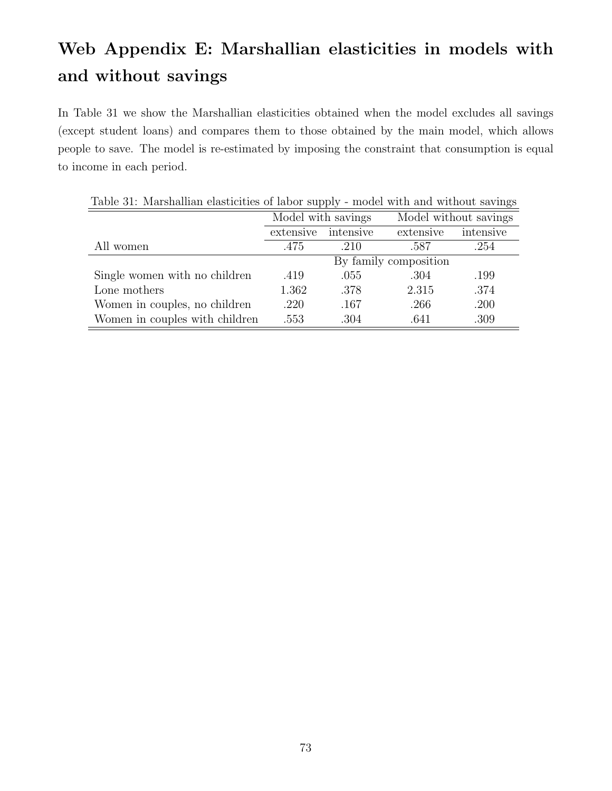## Web Appendix E: Marshallian elasticities in models with and without savings

In Table 31 we show the Marshallian elasticities obtained when the model excludes all savings (except student loans) and compares them to those obtained by the main model, which allows people to save. The model is re-estimated by imposing the constraint that consumption is equal to income in each period.

| Table 31: Marshallian elasticities of labor supply - model with and without savings |                       |           |           |                       |
|-------------------------------------------------------------------------------------|-----------------------|-----------|-----------|-----------------------|
|                                                                                     | Model with savings    |           |           | Model without savings |
|                                                                                     | extensive             | intensive | extensive | intensive             |
| All women                                                                           | .475                  | .210      | .587      | .254                  |
|                                                                                     | By family composition |           |           |                       |
| Single women with no children                                                       | .419                  | .055      | .304      | .199                  |
| Lone mothers                                                                        | 1.362                 | .378      | 2.315     | .374                  |
| Women in couples, no children                                                       | .220                  | .167      | .266      | .200                  |
| Women in couples with children                                                      | .553                  | .304      | .641      | .309                  |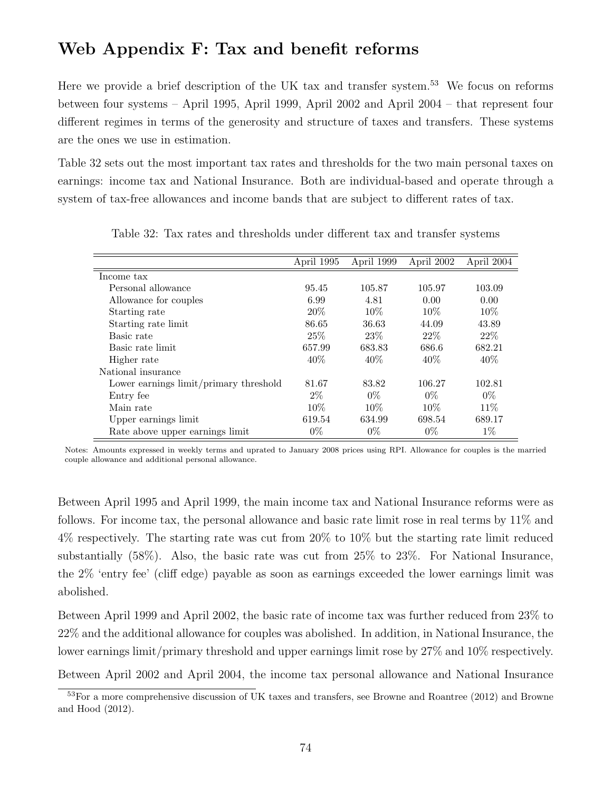## Web Appendix F: Tax and benefit reforms

Here we provide a brief description of the UK tax and transfer system.<sup>53</sup> We focus on reforms between four systems – April 1995, April 1999, April 2002 and April 2004 – that represent four different regimes in terms of the generosity and structure of taxes and transfers. These systems are the ones we use in estimation.

Table 32 sets out the most important tax rates and thresholds for the two main personal taxes on earnings: income tax and National Insurance. Both are individual-based and operate through a system of tax-free allowances and income bands that are subject to different rates of tax.

|                                        | April 1995 | April 1999 | April 2002 | April 2004 |
|----------------------------------------|------------|------------|------------|------------|
| Income tax                             |            |            |            |            |
| Personal allowance                     | 95.45      | 105.87     | 105.97     | 103.09     |
| Allowance for couples                  | 6.99       | 4.81       | 0.00       | 0.00       |
| Starting rate                          | 20\%       | $10\%$     | 10%        | $10\%$     |
| Starting rate limit                    | 86.65      | 36.63      | 44.09      | 43.89      |
| Basic rate                             | 25\%       | 23\%       | 22%        | 22%        |
| Basic rate limit                       | 657.99     | 683.83     | 686.6      | 682.21     |
| Higher rate                            | 40\%       | $40\%$     | $40\%$     | $40\%$     |
| National insurance                     |            |            |            |            |
| Lower earnings limit/primary threshold | 81.67      | 83.82      | 106.27     | 102.81     |
| Entry fee                              | $2\%$      | $0\%$      | $0\%$      | $0\%$      |
| Main rate                              | $10\%$     | $10\%$     | 10%        | 11\%       |
| Upper earnings limit                   | 619.54     | 634.99     | 698.54     | 689.17     |
| Rate above upper earnings limit        | $0\%$      | $0\%$      | $0\%$      | $1\%$      |

Table 32: Tax rates and thresholds under different tax and transfer systems

Notes: Amounts expressed in weekly terms and uprated to January 2008 prices using RPI. Allowance for couples is the married couple allowance and additional personal allowance.

Between April 1995 and April 1999, the main income tax and National Insurance reforms were as follows. For income tax, the personal allowance and basic rate limit rose in real terms by 11% and 4% respectively. The starting rate was cut from 20% to 10% but the starting rate limit reduced substantially (58%). Also, the basic rate was cut from 25% to 23%. For National Insurance, the 2% 'entry fee' (cliff edge) payable as soon as earnings exceeded the lower earnings limit was abolished.

Between April 1999 and April 2002, the basic rate of income tax was further reduced from 23% to 22% and the additional allowance for couples was abolished. In addition, in National Insurance, the lower earnings limit/primary threshold and upper earnings limit rose by 27% and 10% respectively.

Between April 2002 and April 2004, the income tax personal allowance and National Insurance

<sup>53</sup>For a more comprehensive discussion of UK taxes and transfers, see Browne and Roantree (2012) and Browne and Hood (2012).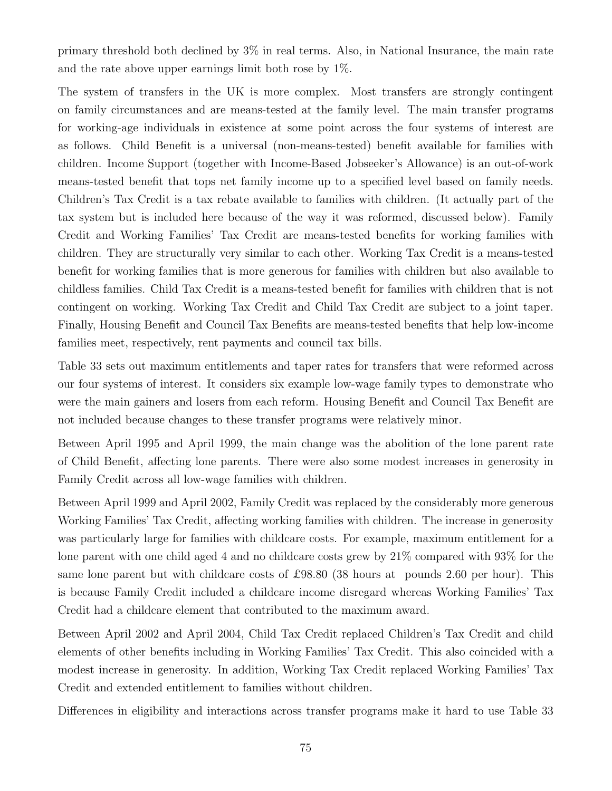primary threshold both declined by 3% in real terms. Also, in National Insurance, the main rate and the rate above upper earnings limit both rose by 1%.

The system of transfers in the UK is more complex. Most transfers are strongly contingent on family circumstances and are means-tested at the family level. The main transfer programs for working-age individuals in existence at some point across the four systems of interest are as follows. Child Benefit is a universal (non-means-tested) benefit available for families with children. Income Support (together with Income-Based Jobseeker's Allowance) is an out-of-work means-tested benefit that tops net family income up to a specified level based on family needs. Children's Tax Credit is a tax rebate available to families with children. (It actually part of the tax system but is included here because of the way it was reformed, discussed below). Family Credit and Working Families' Tax Credit are means-tested benefits for working families with children. They are structurally very similar to each other. Working Tax Credit is a means-tested benefit for working families that is more generous for families with children but also available to childless families. Child Tax Credit is a means-tested benefit for families with children that is not contingent on working. Working Tax Credit and Child Tax Credit are subject to a joint taper. Finally, Housing Benefit and Council Tax Benefits are means-tested benefits that help low-income families meet, respectively, rent payments and council tax bills.

Table 33 sets out maximum entitlements and taper rates for transfers that were reformed across our four systems of interest. It considers six example low-wage family types to demonstrate who were the main gainers and losers from each reform. Housing Benefit and Council Tax Benefit are not included because changes to these transfer programs were relatively minor.

Between April 1995 and April 1999, the main change was the abolition of the lone parent rate of Child Benefit, affecting lone parents. There were also some modest increases in generosity in Family Credit across all low-wage families with children.

Between April 1999 and April 2002, Family Credit was replaced by the considerably more generous Working Families' Tax Credit, affecting working families with children. The increase in generosity was particularly large for families with childcare costs. For example, maximum entitlement for a lone parent with one child aged 4 and no childcare costs grew by 21% compared with 93% for the same lone parent but with childcare costs of £98.80 (38 hours at pounds 2.60 per hour). This is because Family Credit included a childcare income disregard whereas Working Families' Tax Credit had a childcare element that contributed to the maximum award.

Between April 2002 and April 2004, Child Tax Credit replaced Children's Tax Credit and child elements of other benefits including in Working Families' Tax Credit. This also coincided with a modest increase in generosity. In addition, Working Tax Credit replaced Working Families' Tax Credit and extended entitlement to families without children.

Differences in eligibility and interactions across transfer programs make it hard to use Table 33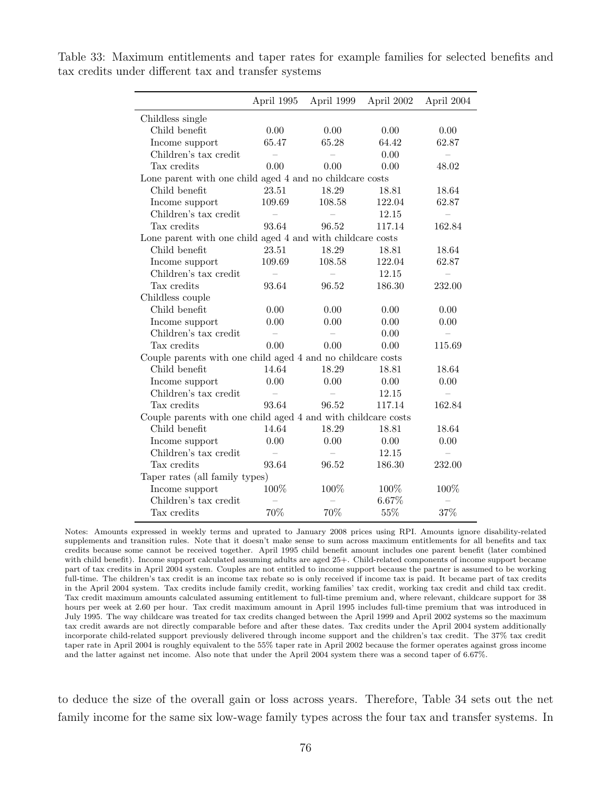|                                                               | April 1995               | April 1999               | April 2002 | April 2004 |
|---------------------------------------------------------------|--------------------------|--------------------------|------------|------------|
| Childless single                                              |                          |                          |            |            |
| Child benefit                                                 | 0.00                     | 0.00                     | 0.00       | 0.00       |
| Income support                                                | 65.47                    | 65.28                    | 64.42      | 62.87      |
| Children's tax credit                                         | $\equiv$                 | $\overline{\phantom{0}}$ | 0.00       |            |
| Tax credits                                                   | 0.00                     | 0.00                     | 0.00       | 48.02      |
| Lone parent with one child aged 4 and no childcare costs      |                          |                          |            |            |
| Child benefit                                                 | 23.51                    | 18.29                    | 18.81      | 18.64      |
| Income support                                                | 109.69                   | 108.58                   | 122.04     | 62.87      |
| Children's tax credit                                         |                          |                          | 12.15      |            |
| Tax credits                                                   | 93.64                    | 96.52                    | 117.14     | 162.84     |
| Lone parent with one child aged 4 and with childcare costs    |                          |                          |            |            |
| Child benefit                                                 | 23.51                    | 18.29                    | 18.81      | 18.64      |
| Income support                                                | 109.69                   | 108.58                   | 122.04     | 62.87      |
| Children's tax credit                                         |                          |                          | 12.15      |            |
| Tax credits                                                   | 93.64                    | 96.52                    | 186.30     | 232.00     |
| Childless couple                                              |                          |                          |            |            |
| Child benefit                                                 | 0.00                     | 0.00                     | 0.00       | 0.00       |
| Income support                                                | 0.00                     | 0.00                     | 0.00       | 0.00       |
| Children's tax credit                                         |                          |                          | 0.00       |            |
| Tax credits                                                   | 0.00                     | 0.00                     | 0.00       | 115.69     |
| Couple parents with one child aged 4 and no childcare costs   |                          |                          |            |            |
| Child benefit                                                 | 14.64                    | 18.29                    | 18.81      | 18.64      |
| Income support                                                | 0.00                     | 0.00                     | 0.00       | 0.00       |
| Children's tax credit                                         | $\overline{\phantom{0}}$ |                          | 12.15      |            |
| Tax credits                                                   | 93.64                    | 96.52                    | 117.14     | 162.84     |
| Couple parents with one child aged 4 and with childcare costs |                          |                          |            |            |
| Child benefit                                                 | 14.64                    | 18.29                    | 18.81      | 18.64      |
| Income support                                                | 0.00                     | 0.00                     | 0.00       | 0.00       |
| Children's tax credit                                         |                          |                          | 12.15      |            |
| Tax credits                                                   | 93.64                    | 96.52                    | 186.30     | 232.00     |
| Taper rates (all family types)                                |                          |                          |            |            |
| Income support                                                | 100%                     | 100%                     | 100%       | 100%       |
| Children's tax credit                                         |                          |                          | 6.67%      |            |
| Tax credits                                                   | 70%                      | 70%                      | 55%        | 37%        |

Table 33: Maximum entitlements and taper rates for example families for selected benefits and tax credits under different tax and transfer systems

Notes: Amounts expressed in weekly terms and uprated to January 2008 prices using RPI. Amounts ignore disability-related supplements and transition rules. Note that it doesn't make sense to sum across maximum entitlements for all benefits and tax credits because some cannot be received together. April 1995 child benefit amount includes one parent benefit (later combined with child benefit). Income support calculated assuming adults are aged 25+. Child-related components of income support became part of tax credits in April 2004 system. Couples are not entitled to income support because the partner is assumed to be working full-time. The children's tax credit is an income tax rebate so is only received if income tax is paid. It became part of tax credits in the April 2004 system. Tax credits include family credit, working families' tax credit, working tax credit and child tax credit. Tax credit maximum amounts calculated assuming entitlement to full-time premium and, where relevant, childcare support for 38 hours per week at 2.60 per hour. Tax credit maximum amount in April 1995 includes full-time premium that was introduced in July 1995. The way childcare was treated for tax credits changed between the April 1999 and April 2002 systems so the maximum tax credit awards are not directly comparable before and after these dates. Tax credits under the April 2004 system additionally incorporate child-related support previously delivered through income support and the children's tax credit. The 37% tax credit taper rate in April 2004 is roughly equivalent to the 55% taper rate in April 2002 because the former operates against gross income and the latter against net income. Also note that under the April 2004 system there was a second taper of 6.67%.

to deduce the size of the overall gain or loss across years. Therefore, Table 34 sets out the net family income for the same six low-wage family types across the four tax and transfer systems. In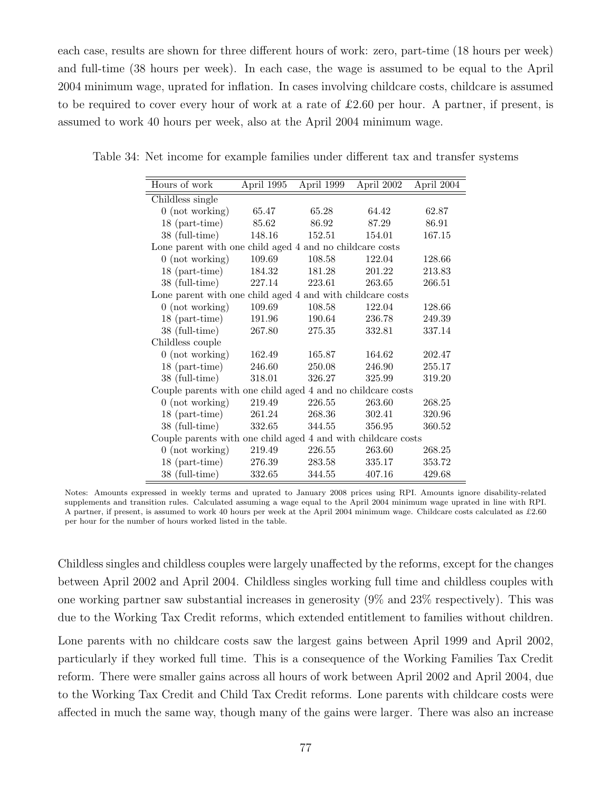each case, results are shown for three different hours of work: zero, part-time (18 hours per week) and full-time (38 hours per week). In each case, the wage is assumed to be equal to the April 2004 minimum wage, uprated for inflation. In cases involving childcare costs, childcare is assumed to be required to cover every hour of work at a rate of £2.60 per hour. A partner, if present, is assumed to work 40 hours per week, also at the April 2004 minimum wage.

| Hours of work                                                 | April 1995 | April 1999 | April 2002 | April 2004 |
|---------------------------------------------------------------|------------|------------|------------|------------|
| Childless single                                              |            |            |            |            |
| $0$ (not working)                                             | 65.47      | 65.28      | 64.42      | 62.87      |
| 18 (part-time)                                                | 85.62      | 86.92      | 87.29      | 86.91      |
| 38 (full-time)                                                | 148.16     | 152.51     | 154.01     | 167.15     |
| Lone parent with one child aged 4 and no childcare costs      |            |            |            |            |
| $0$ (not working)                                             | 109.69     | 108.58     | 122.04     | 128.66     |
| 18 (part-time)                                                | 184.32     | 181.28     | 201.22     | 213.83     |
| 38 (full-time)                                                | 227.14     | 223.61     | 263.65     | 266.51     |
| Lone parent with one child aged 4 and with childcare costs    |            |            |            |            |
| $0$ (not working)                                             | 109.69     | 108.58     | 122.04     | 128.66     |
| $18$ (part-time)                                              | 191.96     | 190.64     | 236.78     | 249.39     |
| 38 (full-time)                                                | 267.80     | 275.35     | 332.81     | 337.14     |
| Childless couple                                              |            |            |            |            |
| $0$ (not working)                                             | 162.49     | 165.87     | 164.62     | 202.47     |
| 18 (part-time)                                                | 246.60     | 250.08     | 246.90     | 255.17     |
| 38 (full-time)                                                | 318.01     | 326.27     | 325.99     | 319.20     |
| Couple parents with one child aged 4 and no childcare costs   |            |            |            |            |
| $0$ (not working)                                             | 219.49     | 226.55     | 263.60     | 268.25     |
| 18 (part-time)                                                | 261.24     | 268.36     | 302.41     | 320.96     |
| 38 (full-time)                                                | 332.65     | 344.55     | 356.95     | 360.52     |
| Couple parents with one child aged 4 and with childcare costs |            |            |            |            |
| $0$ (not working)                                             | 219.49     | 226.55     | 263.60     | 268.25     |
| 18 (part-time)                                                | 276.39     | 283.58     | 335.17     | 353.72     |
| 38 (full-time)                                                | 332.65     | 344.55     | 407.16     | 429.68     |

Table 34: Net income for example families under different tax and transfer systems

Childless singles and childless couples were largely unaffected by the reforms, except for the changes between April 2002 and April 2004. Childless singles working full time and childless couples with one working partner saw substantial increases in generosity (9% and 23% respectively). This was due to the Working Tax Credit reforms, which extended entitlement to families without children.

Lone parents with no childcare costs saw the largest gains between April 1999 and April 2002, particularly if they worked full time. This is a consequence of the Working Families Tax Credit reform. There were smaller gains across all hours of work between April 2002 and April 2004, due to the Working Tax Credit and Child Tax Credit reforms. Lone parents with childcare costs were affected in much the same way, though many of the gains were larger. There was also an increase

Notes: Amounts expressed in weekly terms and uprated to January 2008 prices using RPI. Amounts ignore disability-related supplements and transition rules. Calculated assuming a wage equal to the April 2004 minimum wage uprated in line with RPI. A partner, if present, is assumed to work 40 hours per week at the April 2004 minimum wage. Childcare costs calculated as £2.60 per hour for the number of hours worked listed in the table.